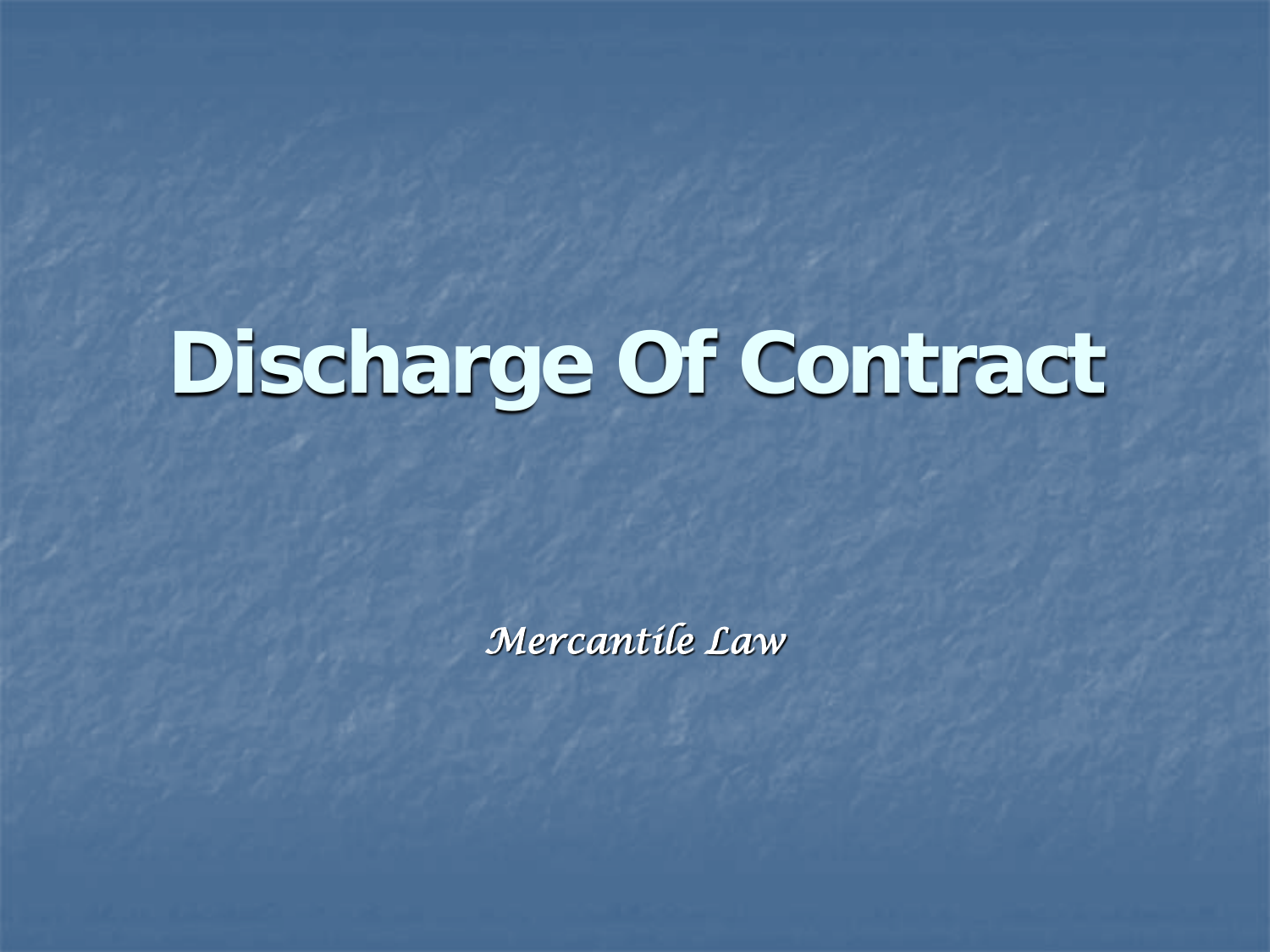## **Discharge Of Contract**

*Mercantile Law*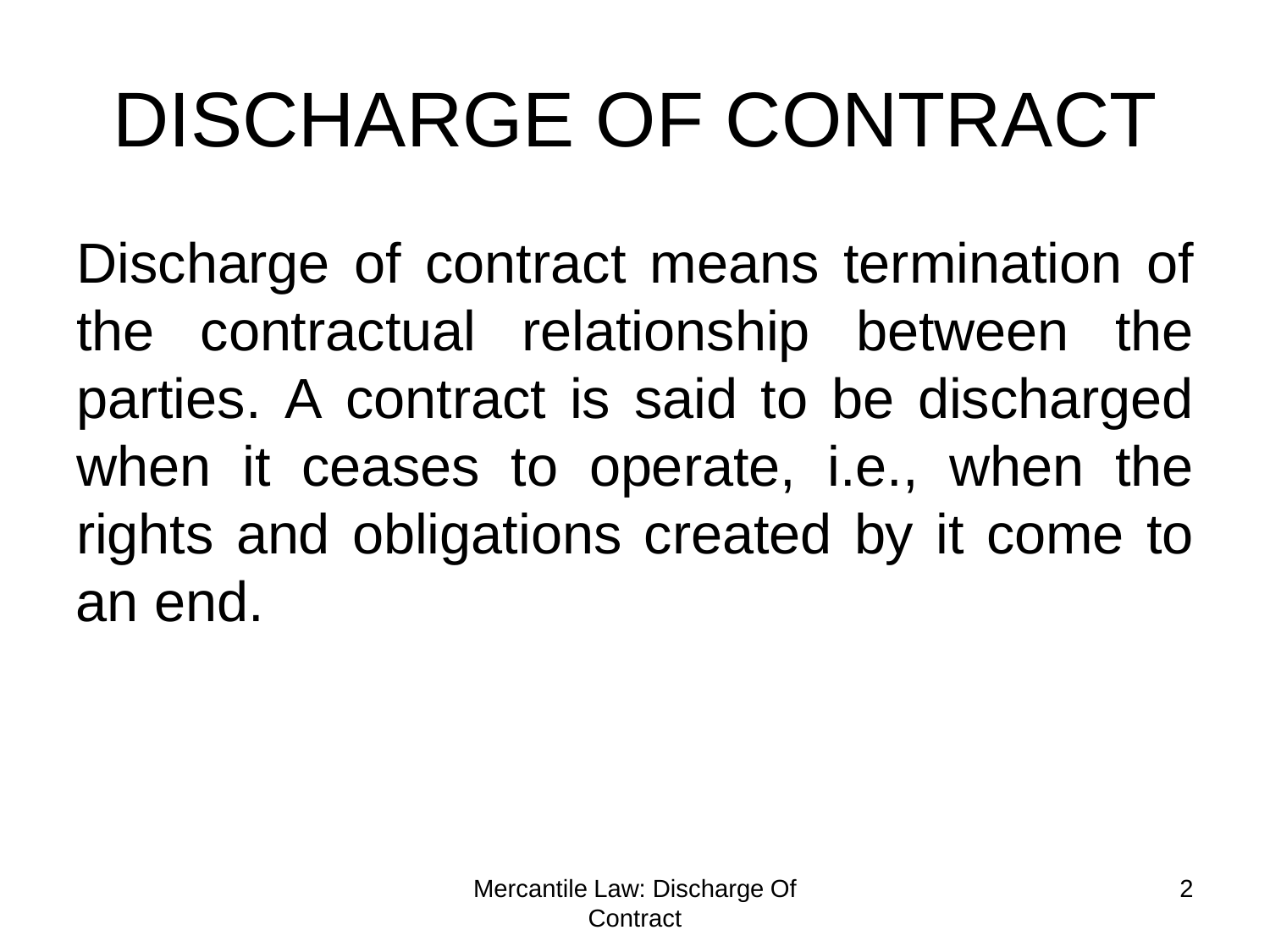Discharge of contract means termination of the contractual relationship between the parties. A contract is said to be discharged when it ceases to operate, i.e., when the rights and obligations created by it come to an end.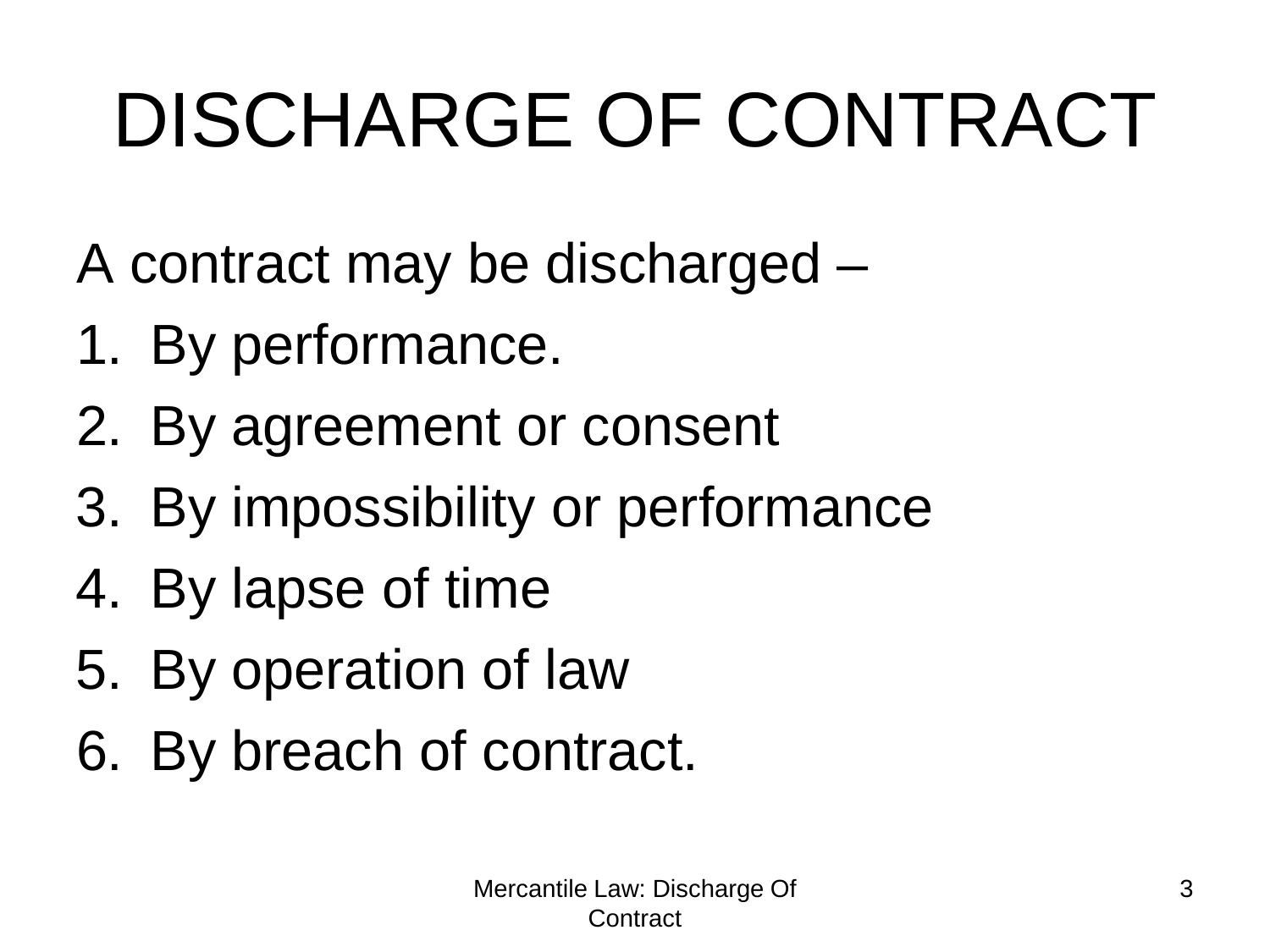A contract may be discharged –

- 1. By performance.
- 2. By agreement or consent
- 3. By impossibility or performance
- 4. By lapse of time
- 5. By operation of law
- 6. By breach of contract.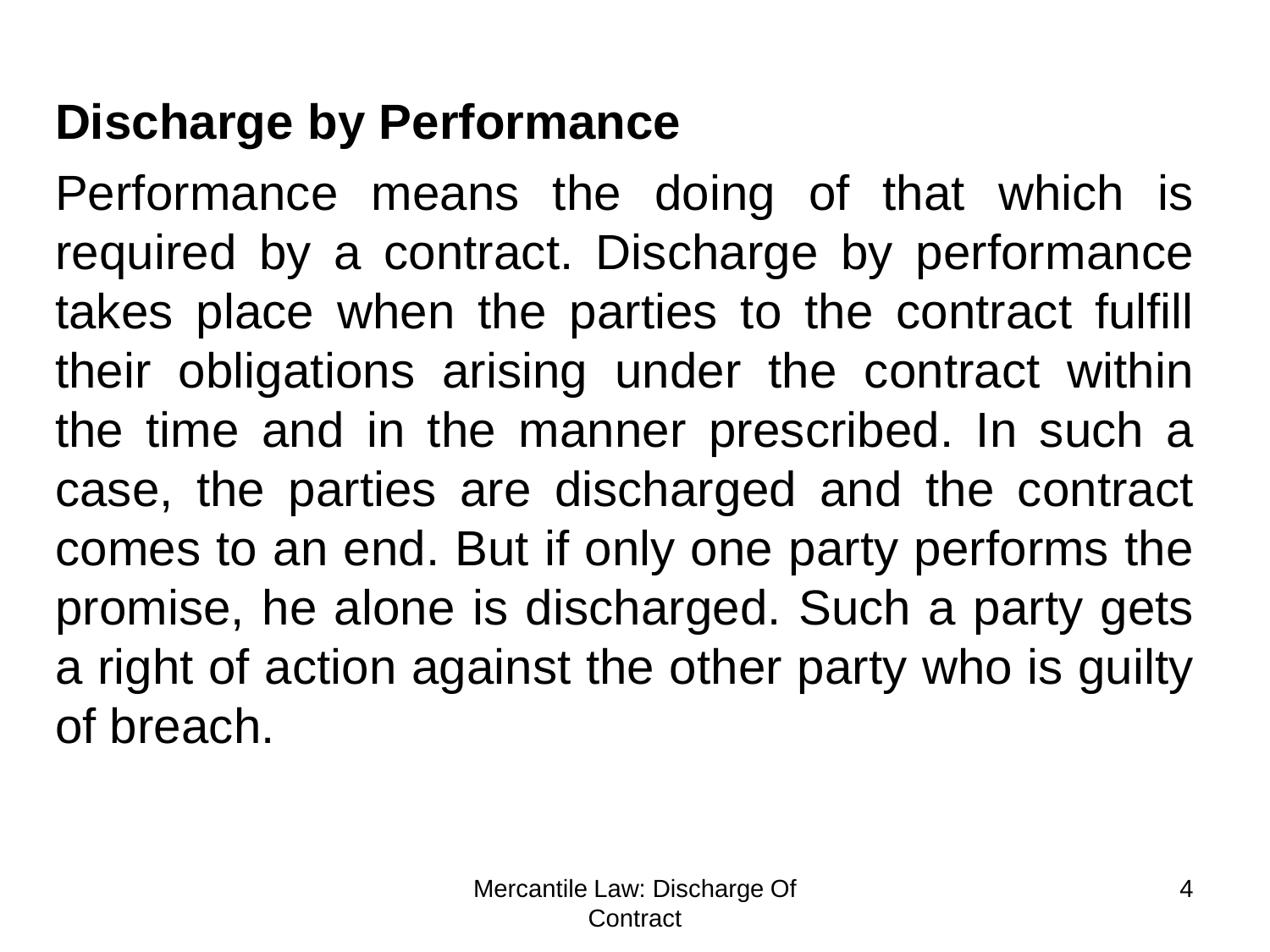#### **Discharge by Performance**

Performance means the doing of that which is required by a contract. Discharge by performance takes place when the parties to the contract fulfill their obligations arising under the contract within the time and in the manner prescribed. In such a case, the parties are discharged and the contract comes to an end. But if only one party performs the promise, he alone is discharged. Such a party gets a right of action against the other party who is guilty of breach.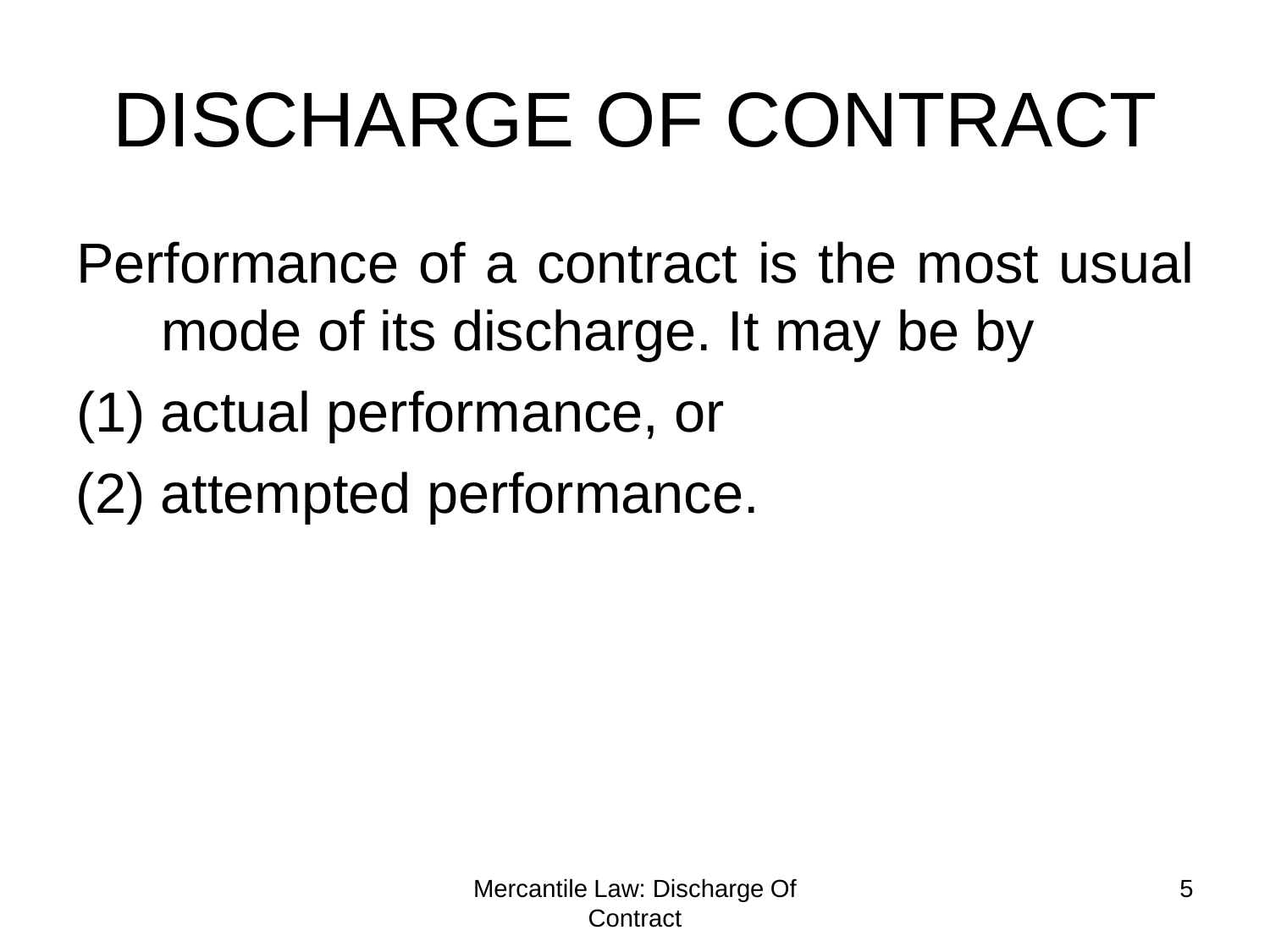Performance of a contract is the most usual mode of its discharge. It may be by

- (1) actual performance, or
- (2) attempted performance.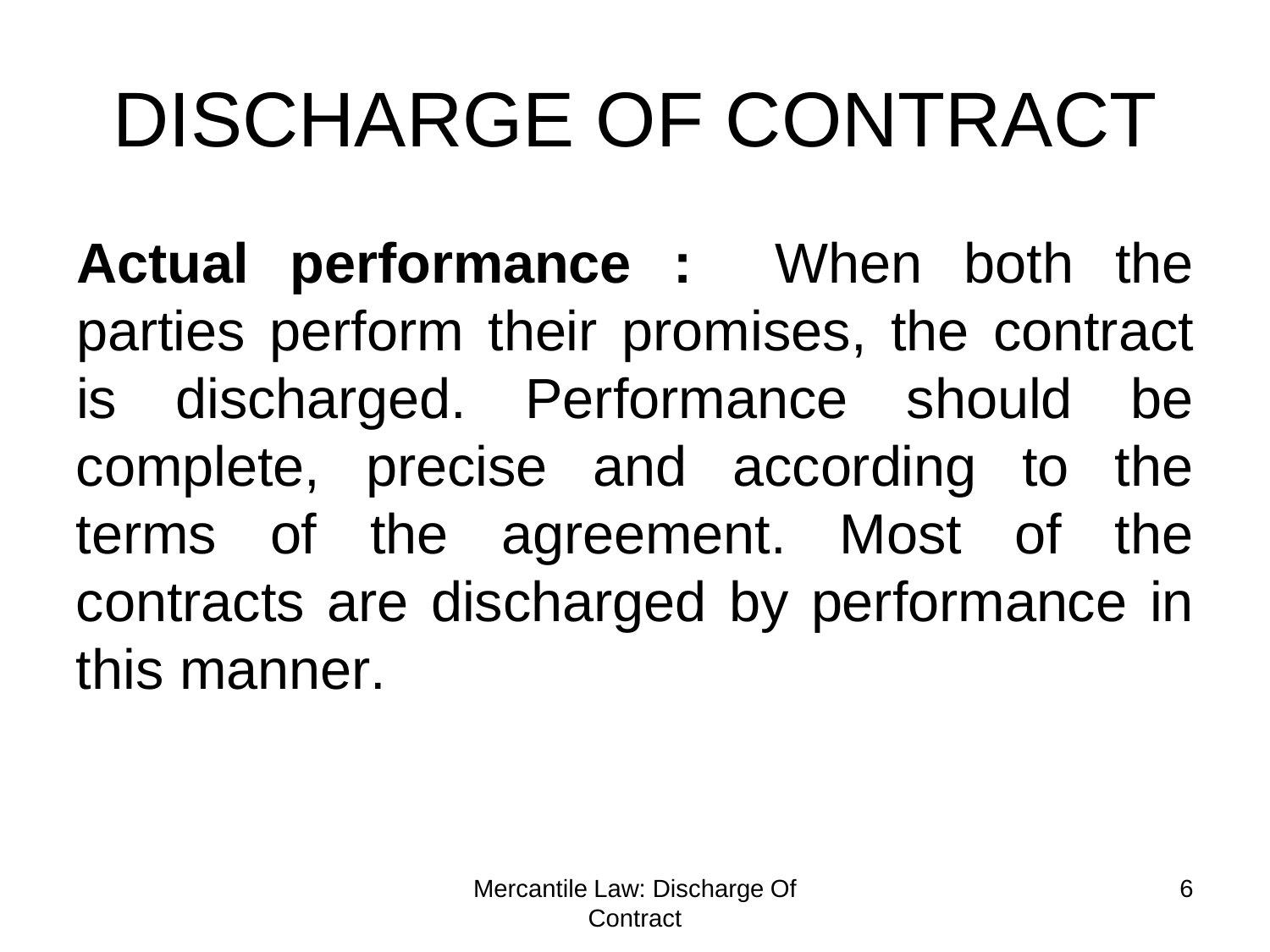**Actual performance :** When both the parties perform their promises, the contract is discharged. Performance should be complete, precise and according to the terms of the agreement. Most of the contracts are discharged by performance in this manner.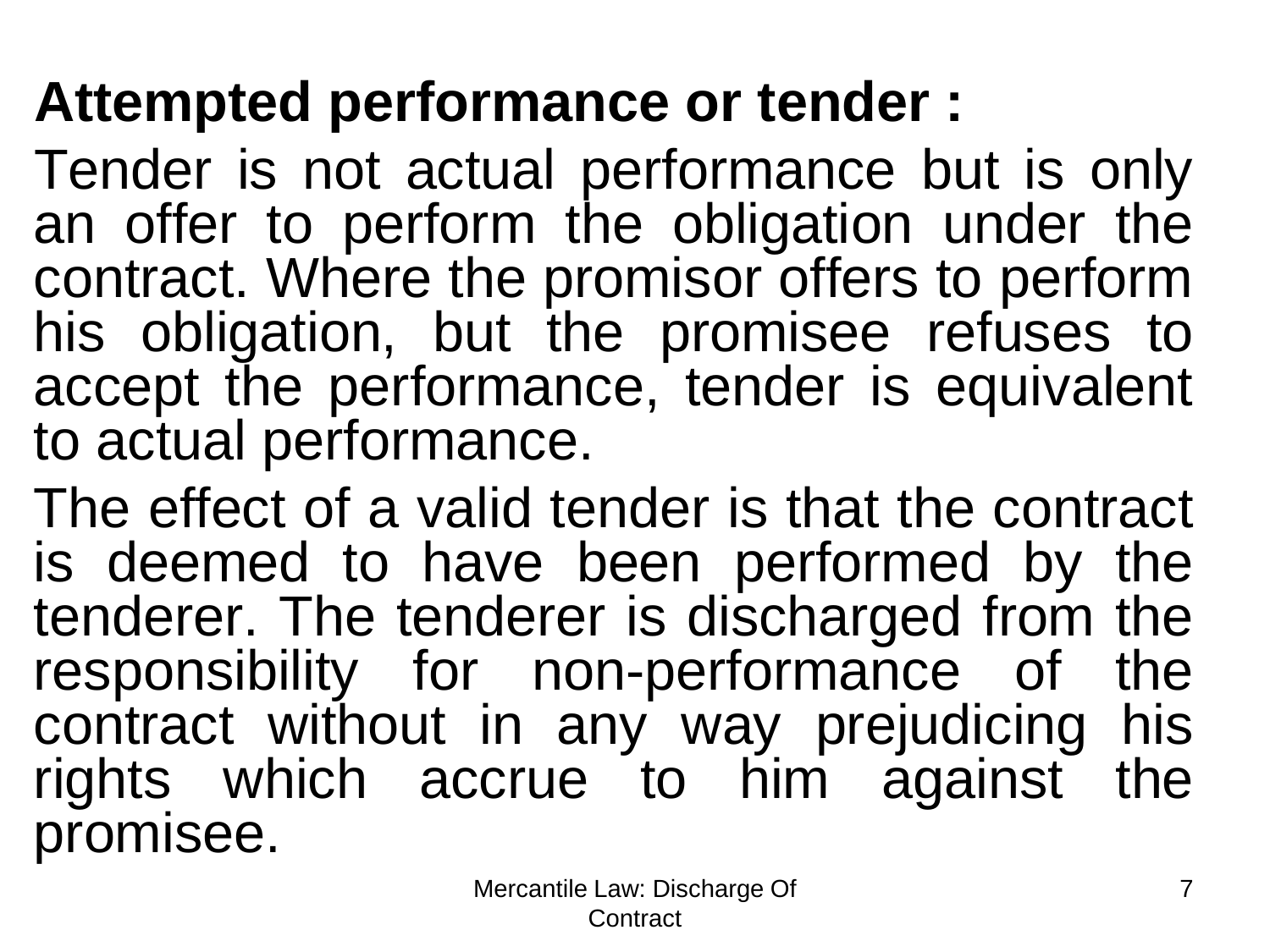#### **Attempted performance or tender :**

Tender is not actual performance but is only an offer to perform the obligation under the contract. Where the promisor offers to perform his obligation, but the promisee refuses to accept the performance, tender is equivalent to actual performance.

The effect of a valid tender is that the contract is deemed to have been performed by the tenderer. The tenderer is discharged from the responsibility for non-performance of the contract without in any way prejudicing his rights which accrue to him against the promisee.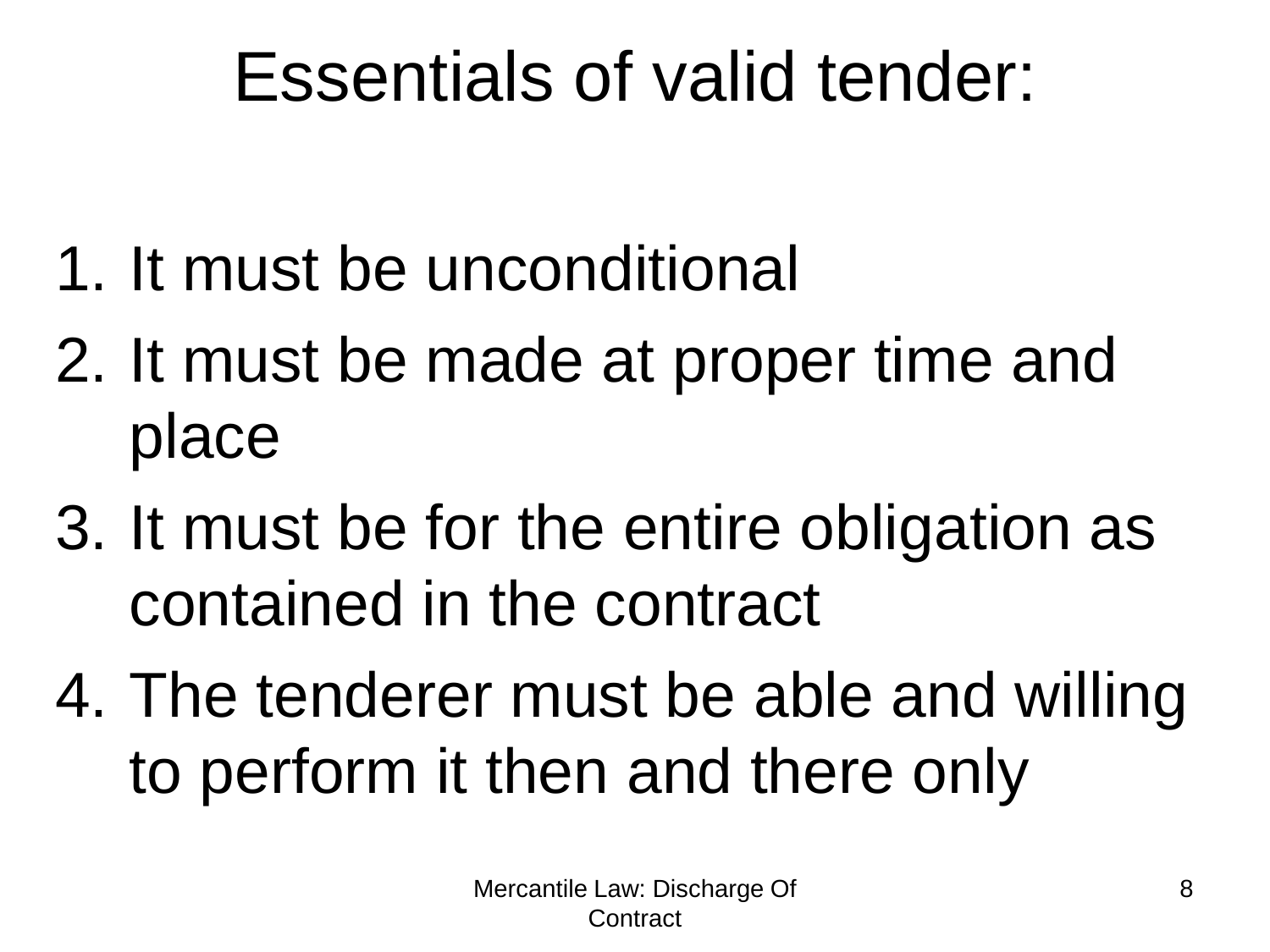### Essentials of valid tender:

- 1. It must be unconditional
- 2. It must be made at proper time and place
- 3. It must be for the entire obligation as contained in the contract
- 4. The tenderer must be able and willing to perform it then and there only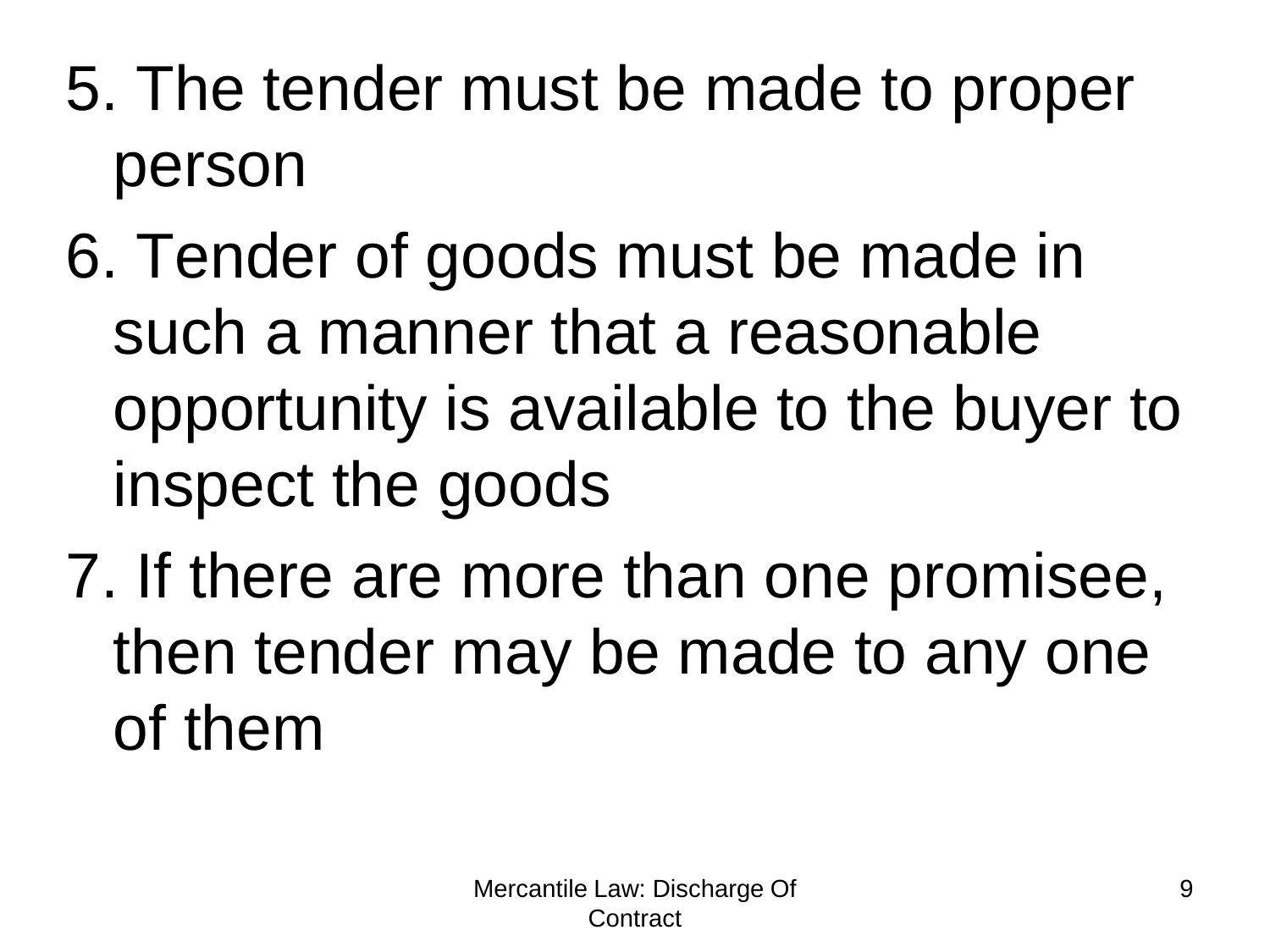- 5. The tender must be made to proper person
- 6. Tender of goods must be made in such a manner that a reasonable opportunity is available to the buyer to inspect the goods
- 7. If there are more than one promisee, then tender may be made to any one of them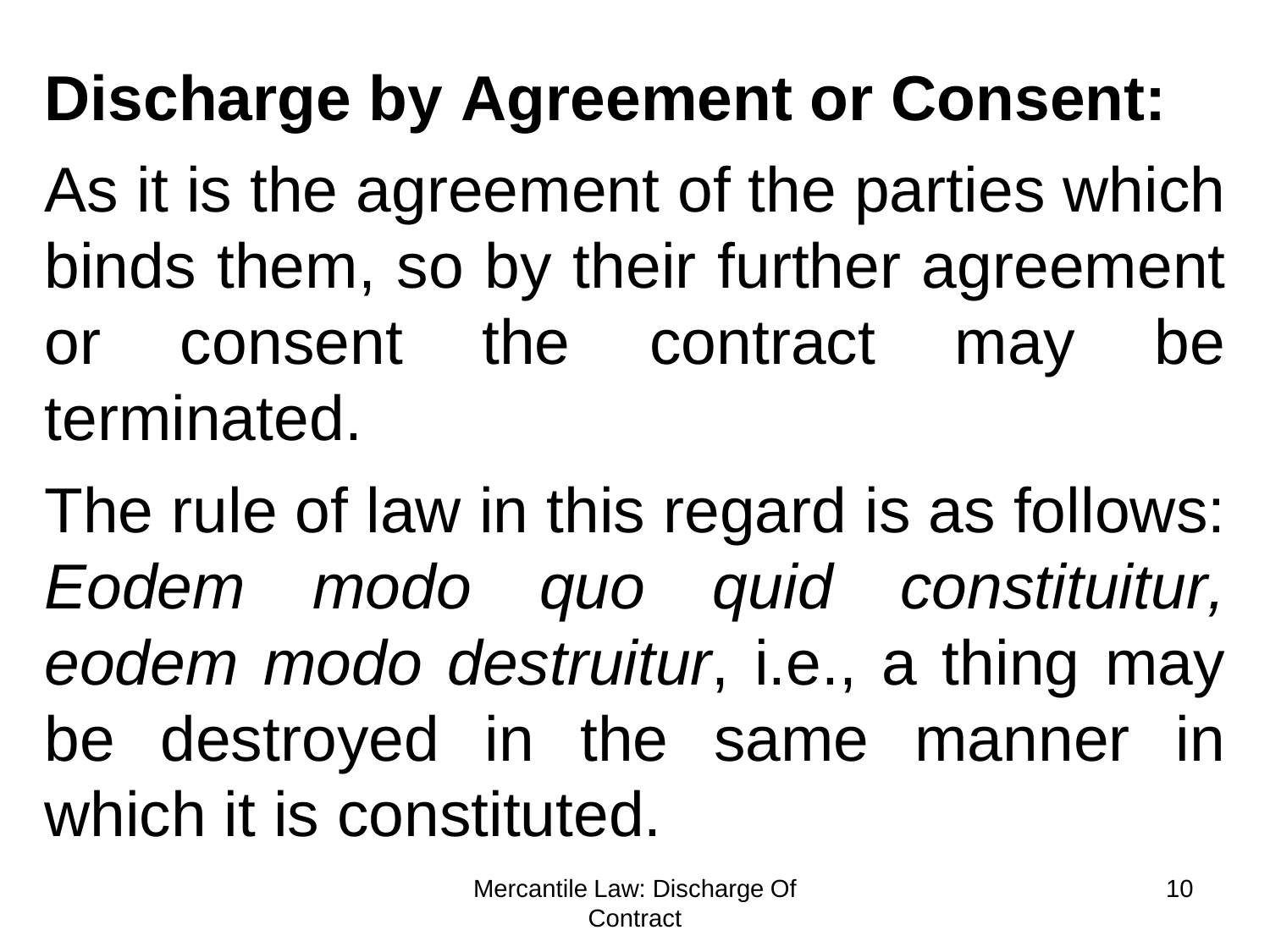### **Discharge by Agreement or Consent:**

As it is the agreement of the parties which binds them, so by their further agreement consent the contract may be terminated.

The rule of law in this regard is as follows: *Eodem modo quo quid constituitur, eodem modo destruitur*, i.e., a thing may be destroyed in the same manner which it is constituted.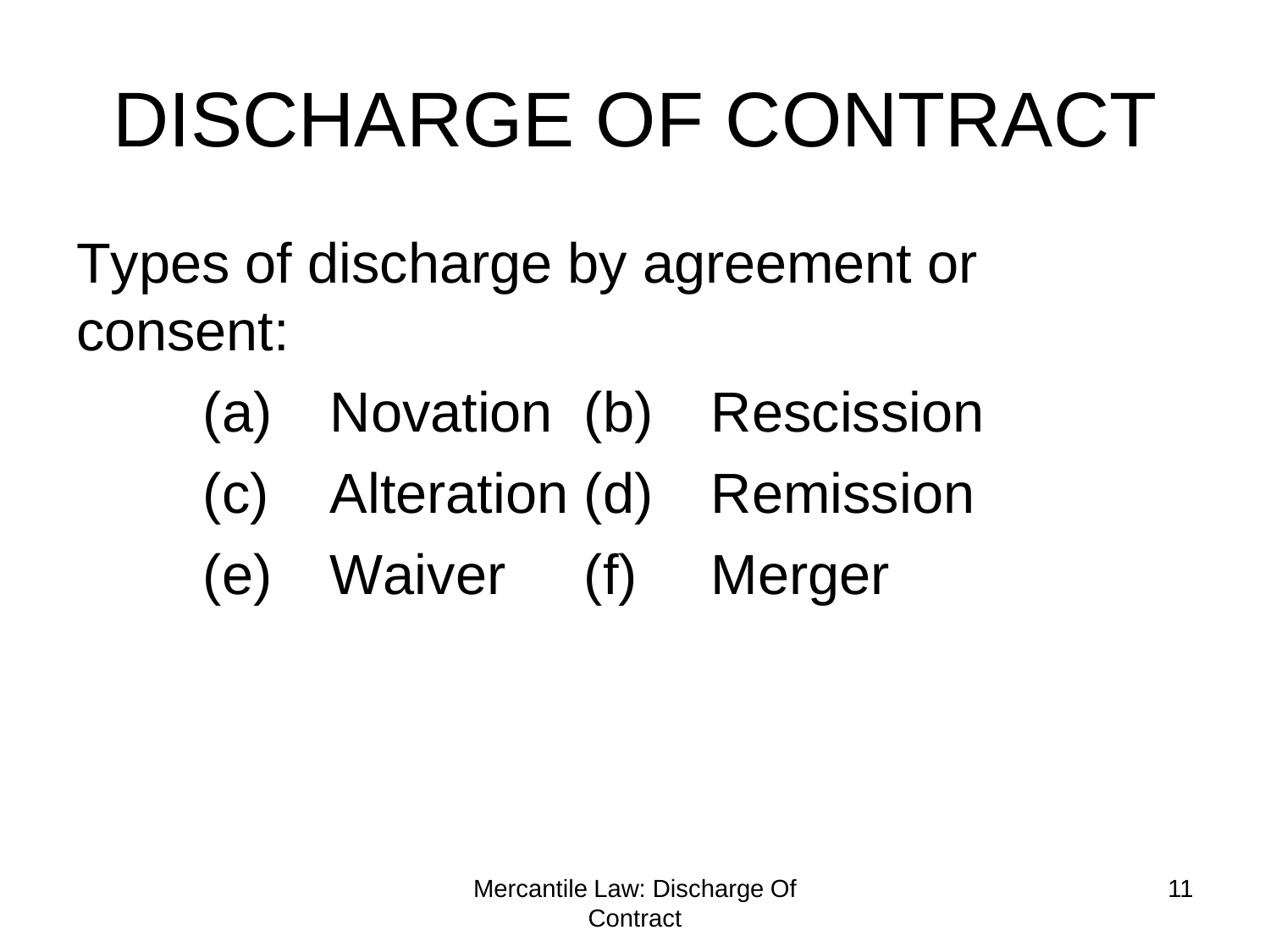- Types of discharge by agreement or consent:
	- (a) Novation (b) Rescission
	- (c) Alteration (d) Remission
	- (e) Waiver (f) Merger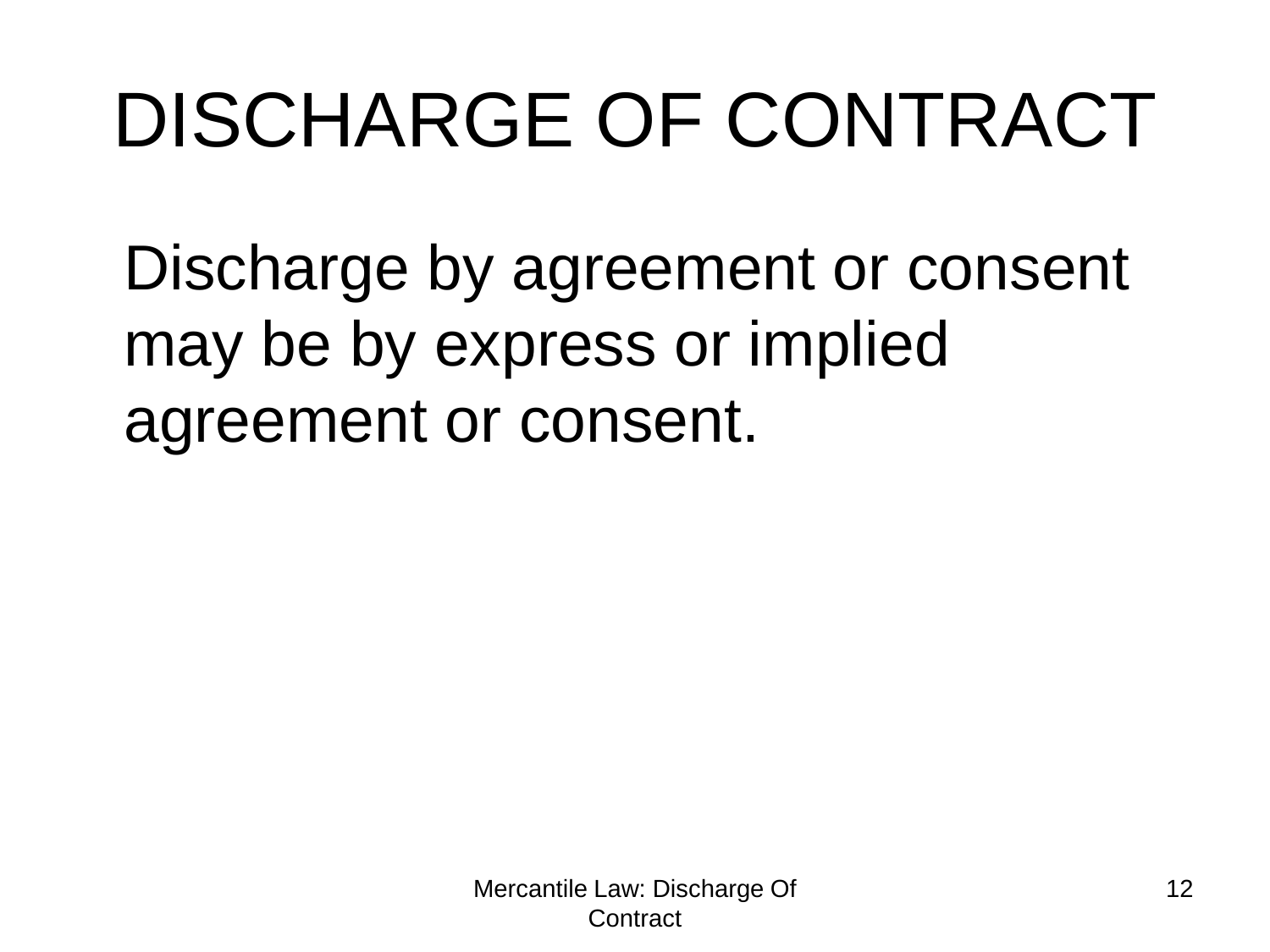Discharge by agreement or consent may be by express or implied agreement or consent.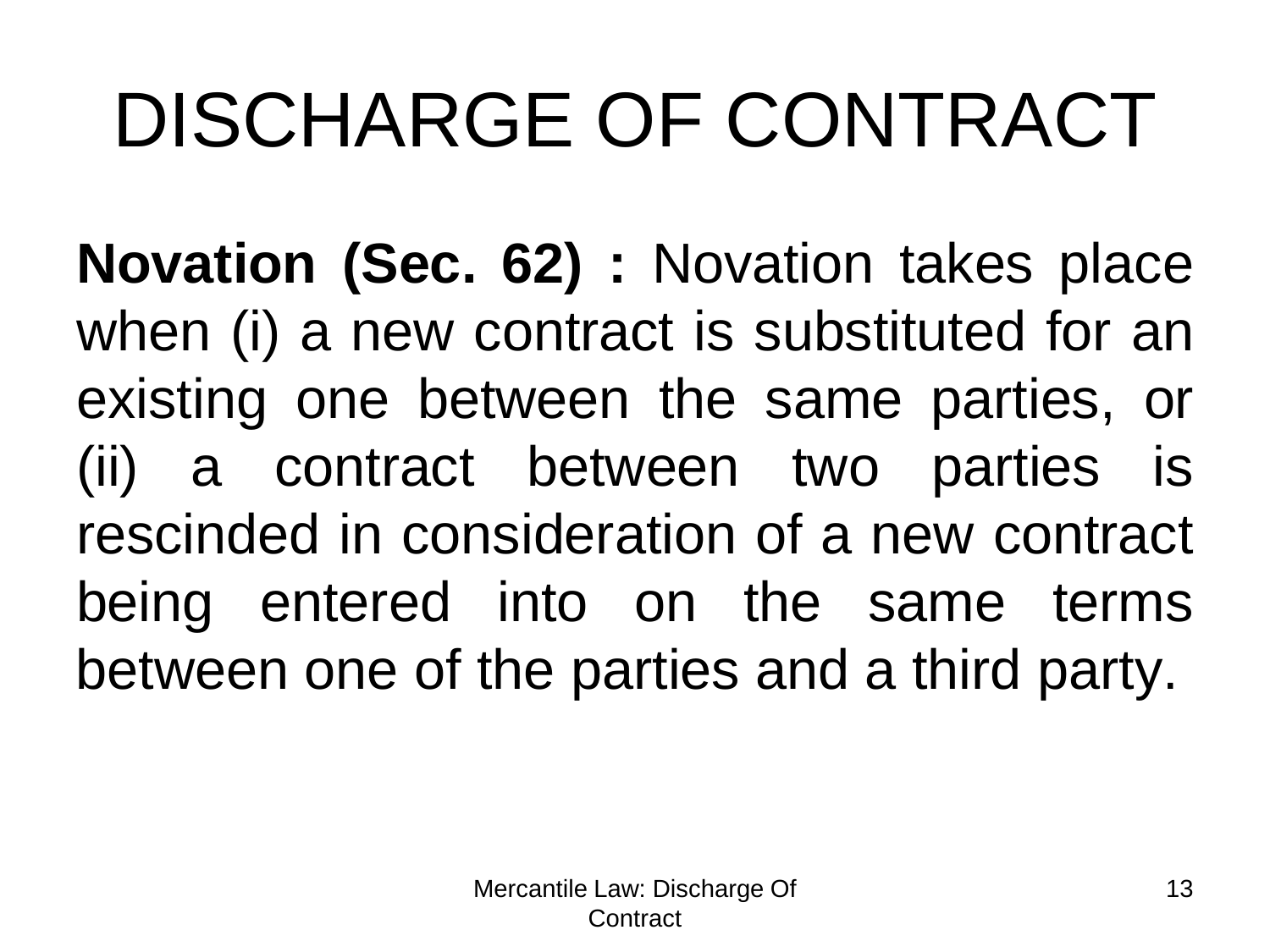**Novation (Sec. 62) :** Novation takes place when (i) a new contract is substituted for an existing one between the same parties, or (ii) a contract between two parties is rescinded in consideration of a new contract being entered into on the same terms between one of the parties and a third party.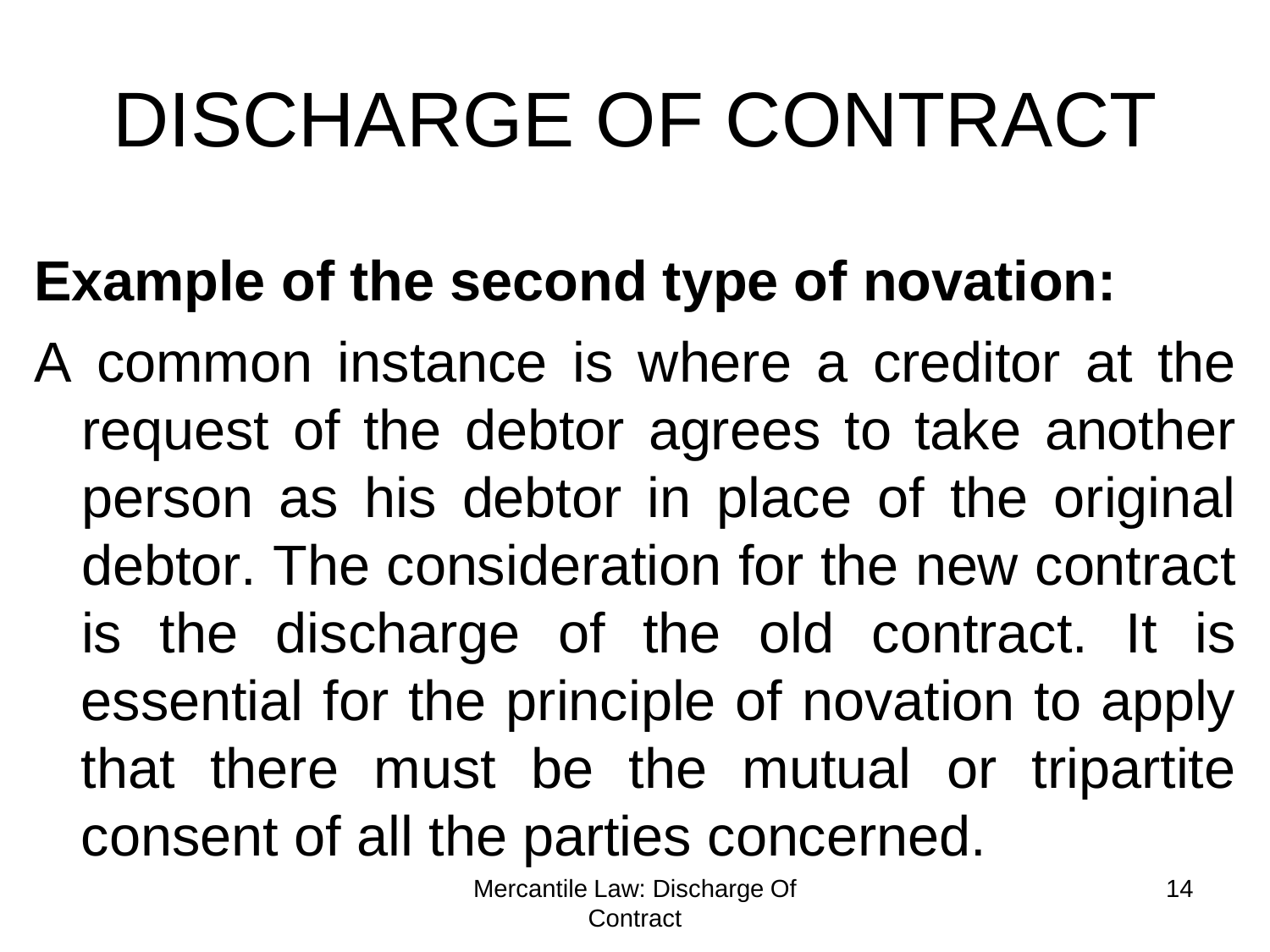#### **Example of the second type of novation:**

A common instance is where a creditor at the request of the debtor agrees to take another person as his debtor in place of the original debtor. The consideration for the new contract is the discharge of the old contract. It is essential for the principle of novation to apply that there must be the mutual or tripartite consent of all the parties concerned.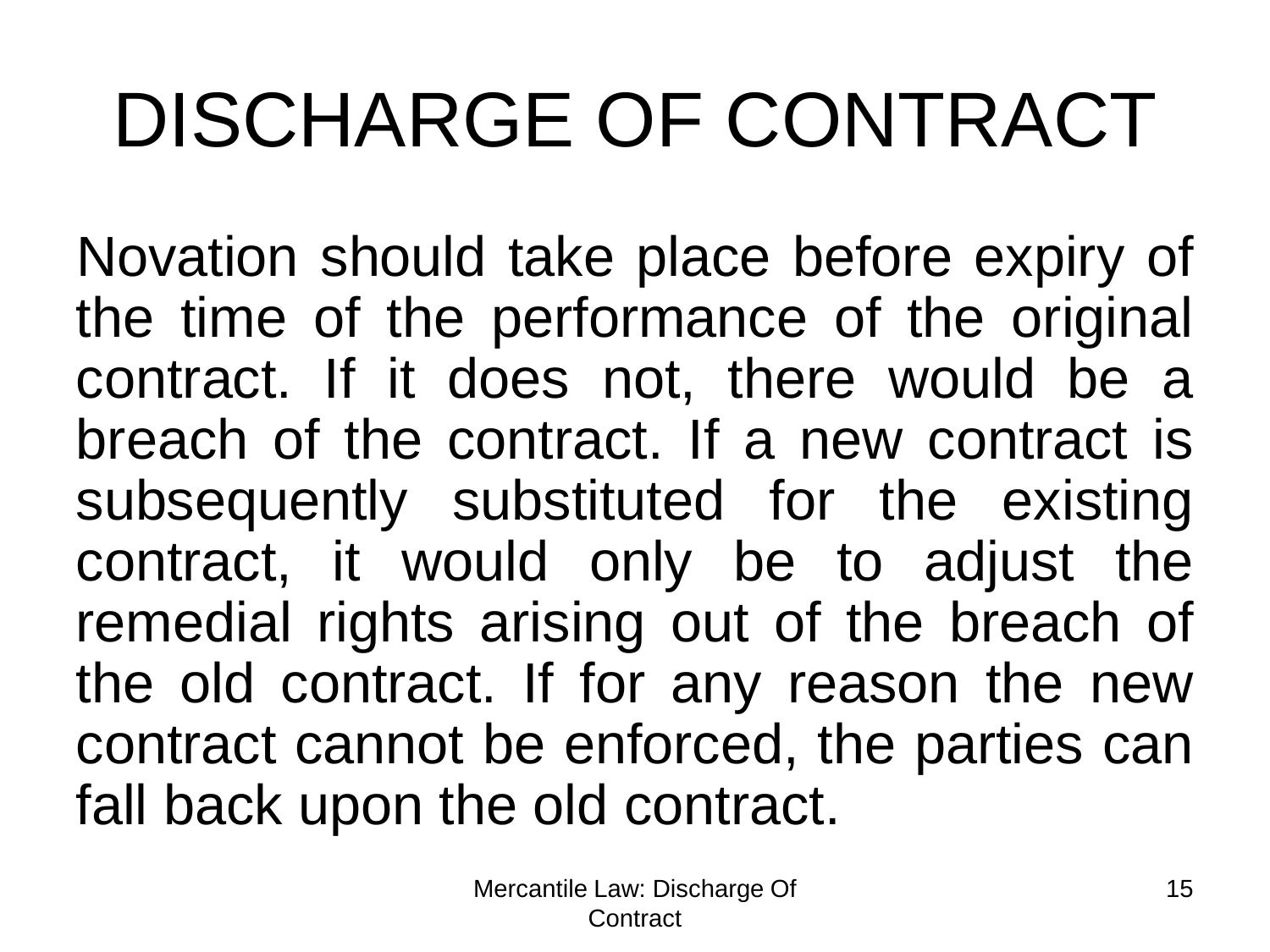Novation should take place before expiry of the time of the performance of the original contract. If it does not, there would be a breach of the contract. If a new contract is subsequently substituted for the existing contract, it would only be to adjust the remedial rights arising out of the breach of the old contract. If for any reason the new contract cannot be enforced, the parties can fall back upon the old contract.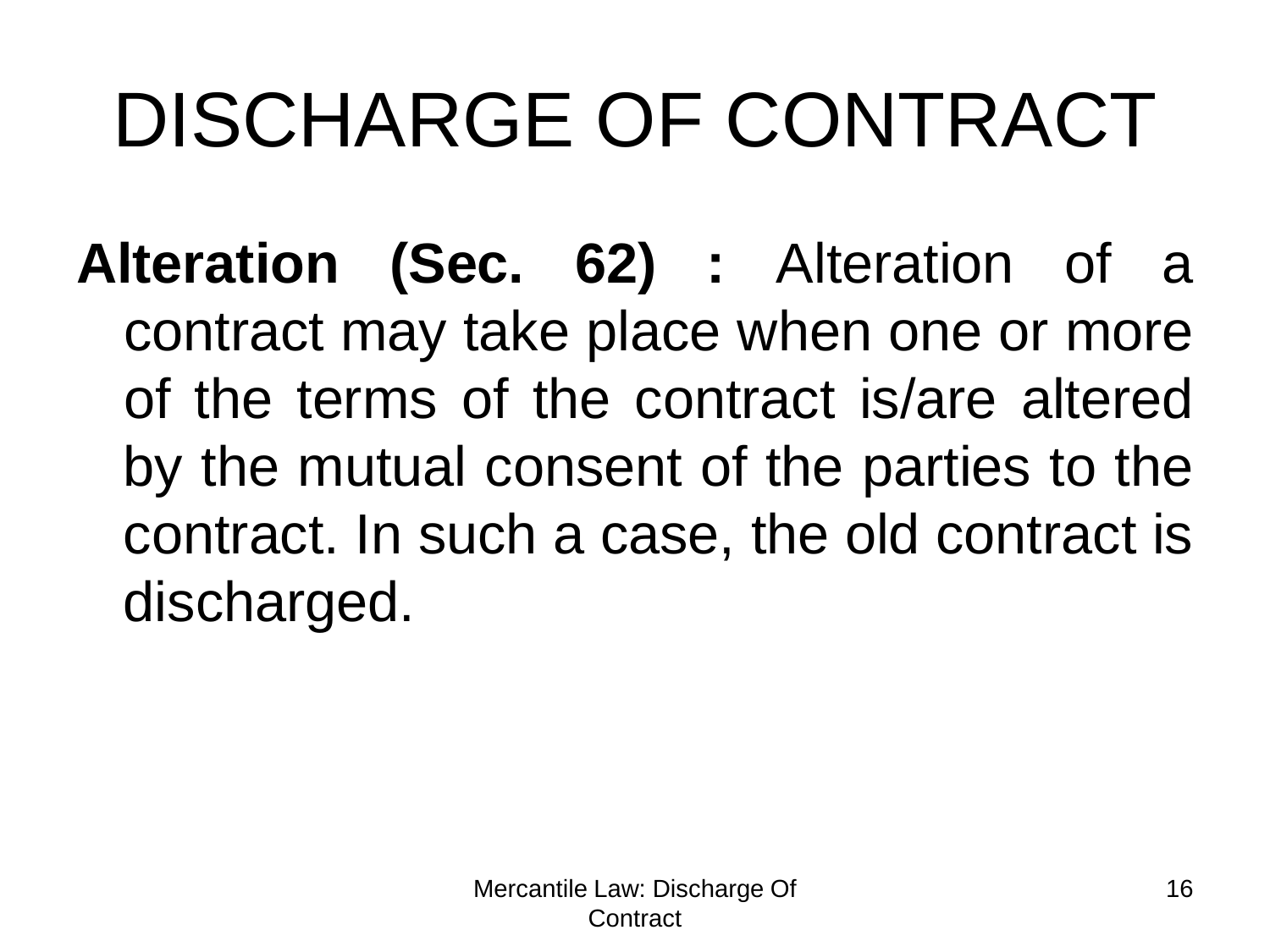**Alteration (Sec. 62) :** Alteration of a contract may take place when one or more of the terms of the contract is/are altered by the mutual consent of the parties to the contract. In such a case, the old contract is discharged.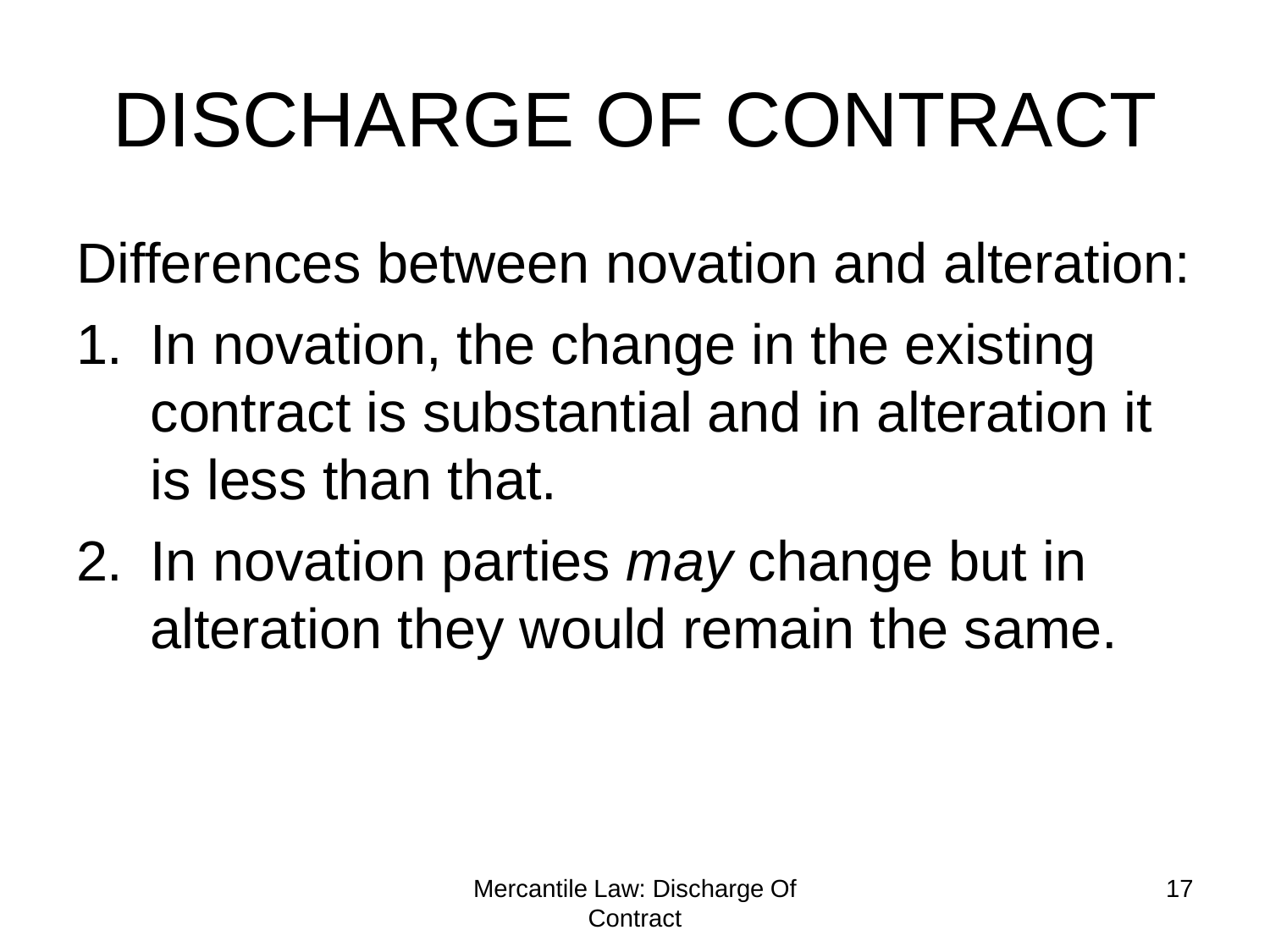Differences between novation and alteration:

- 1. In novation, the change in the existing contract is substantial and in alteration it is less than that.
- 2. In novation parties *may* change but in alteration they would remain the same.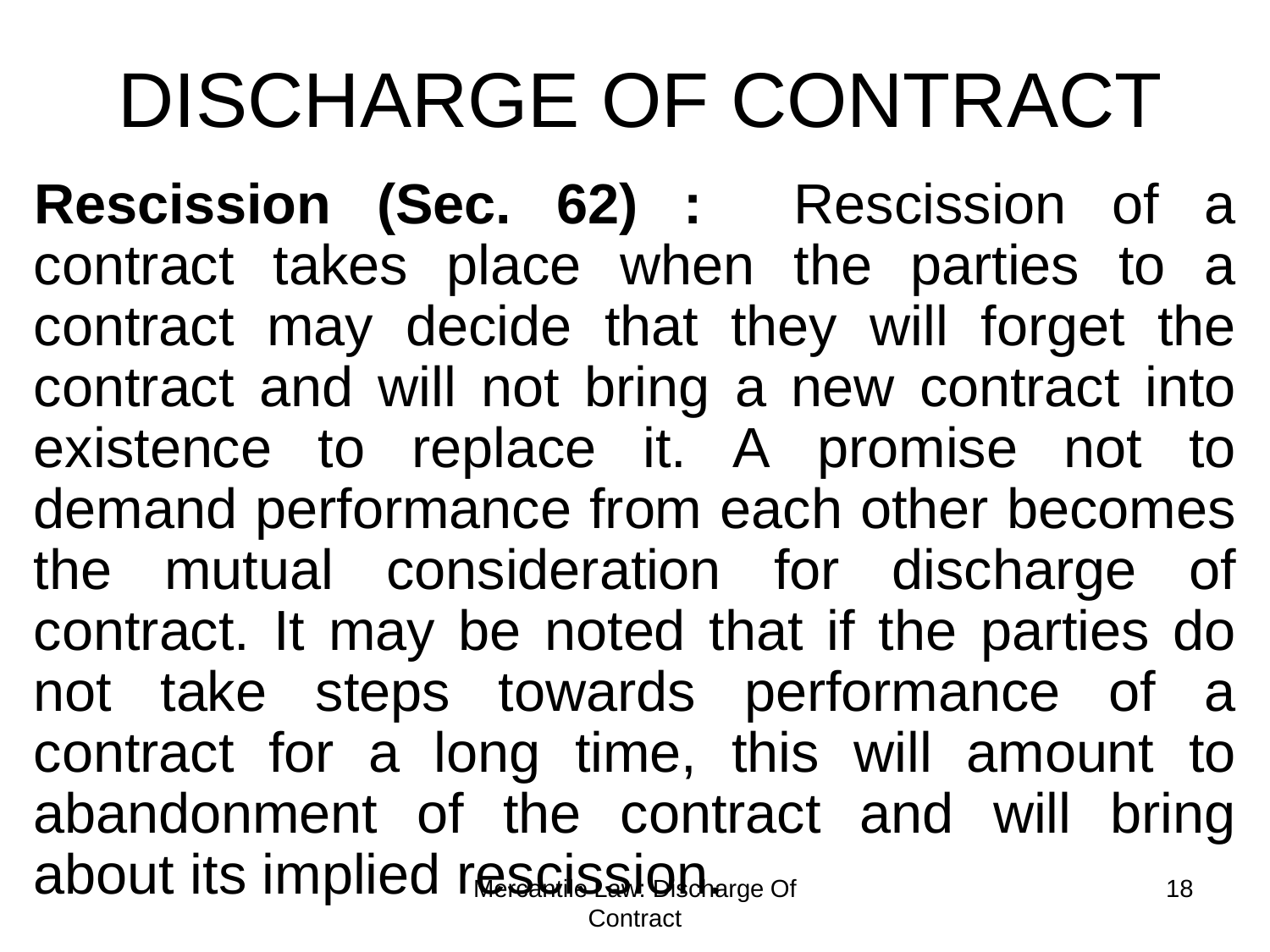about its implied rescission. Contract 18 **Rescission (Sec. 62) :** Rescission of a contract takes place when the parties to a contract may decide that they will forget the contract and will not bring a new contract into existence to replace it. A promise not to demand performance from each other becomes the mutual consideration for discharge of contract. It may be noted that if the parties do not take steps towards performance of a contract for a long time, this will amount to abandonment of the contract and will bring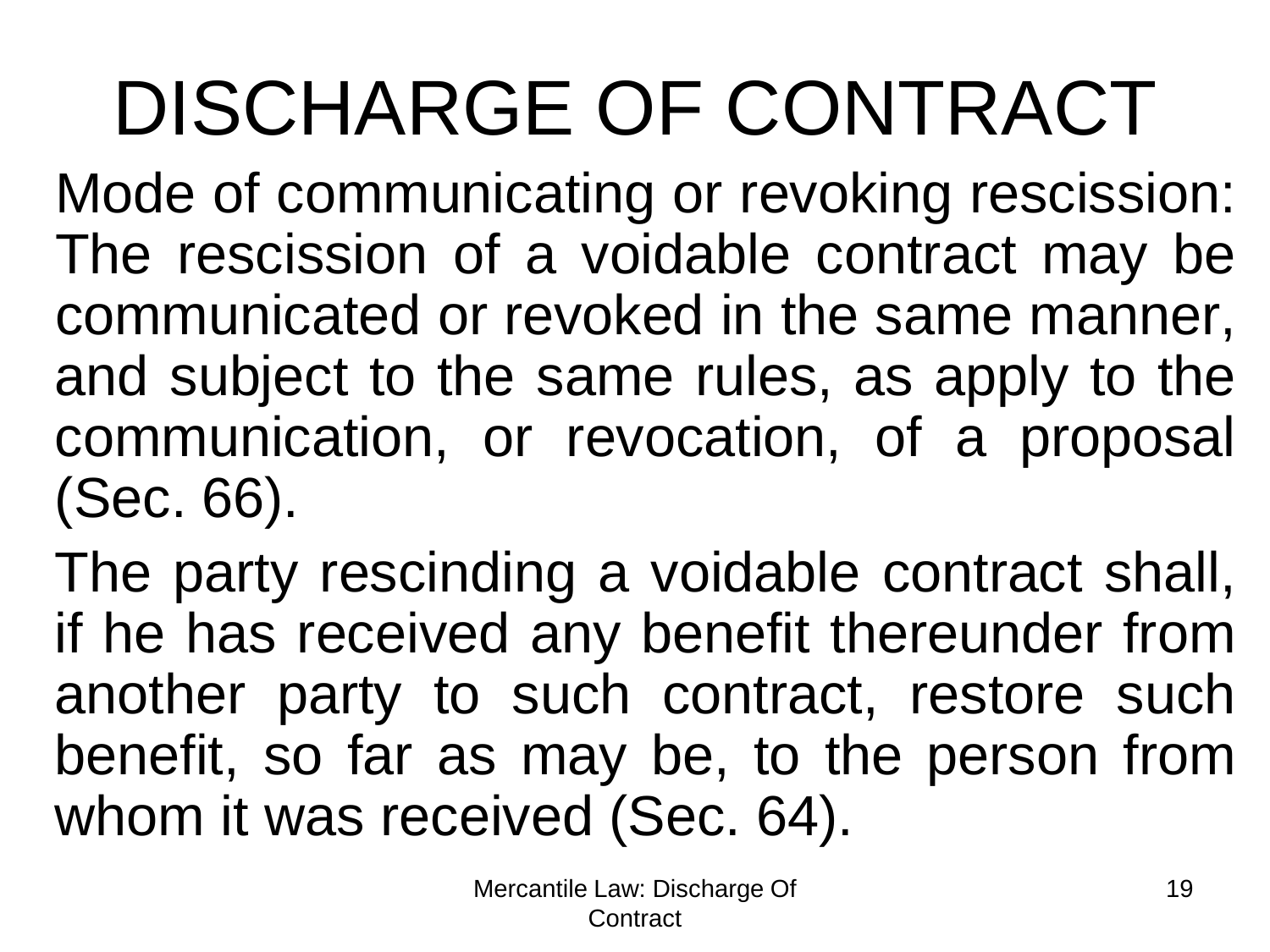Mode of communicating or revoking rescission: The rescission of a voidable contract may be communicated or revoked in the same manner, and subject to the same rules, as apply to the communication, or revocation, of a proposal (Sec. 66).

The party rescinding a voidable contract shall, if he has received any benefit thereunder from another party to such contract, restore such benefit, so far as may be, to the person from whom it was received (Sec. 64).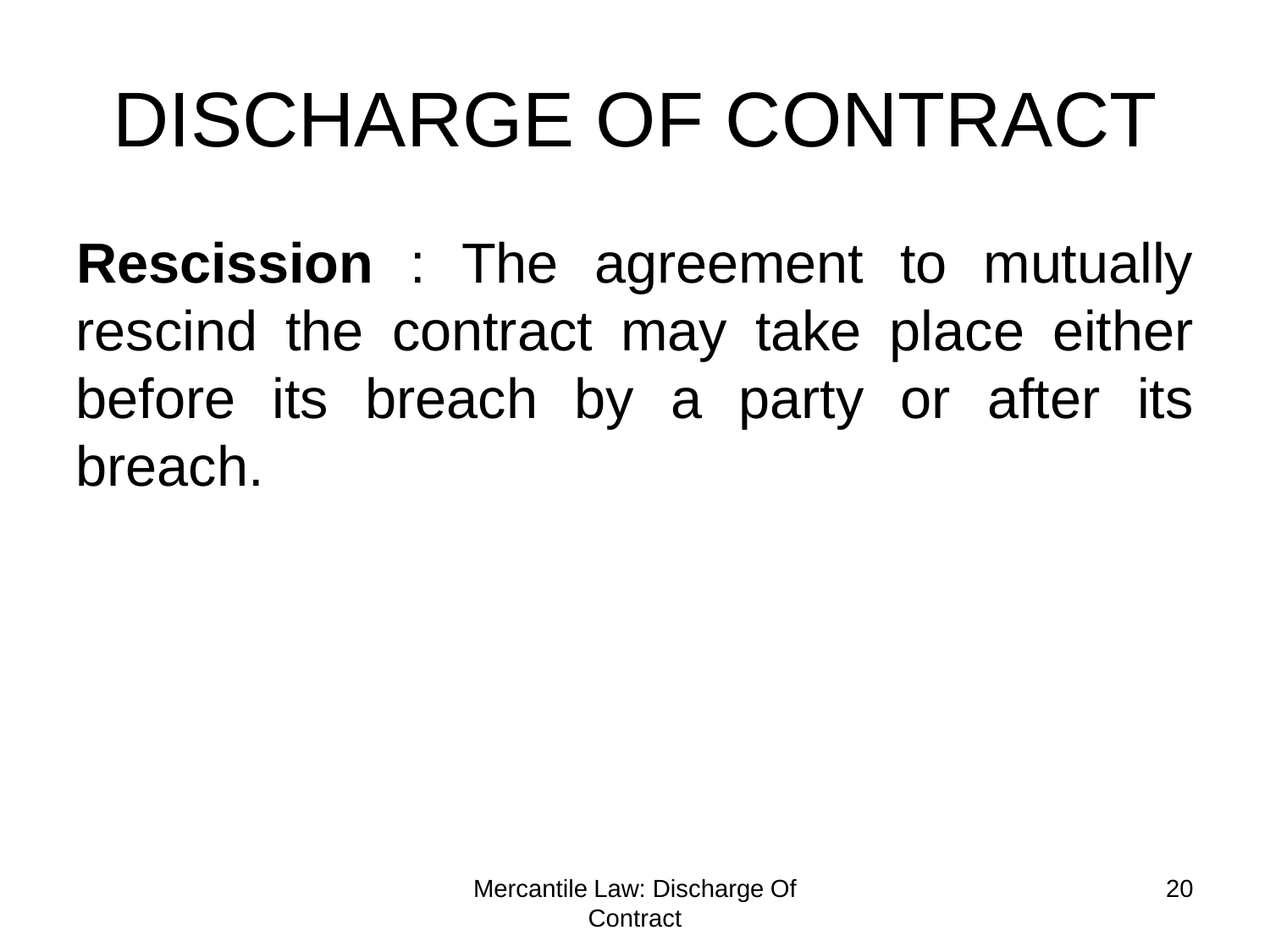**Rescission** : The agreement to mutually rescind the contract may take place either before its breach by a party or after its breach.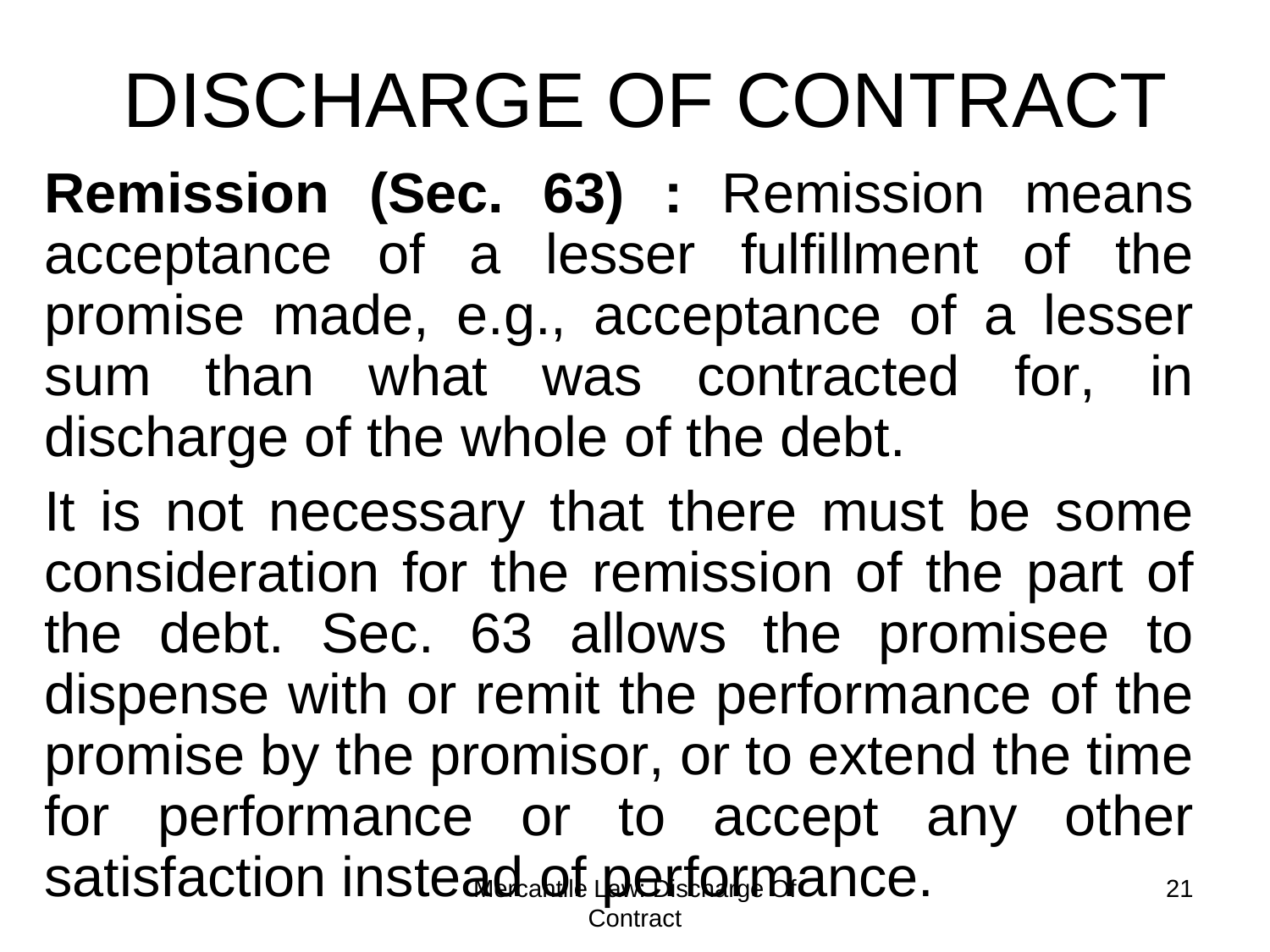**Remission (Sec. 63) :** Remission means acceptance of a lesser fulfillment of the promise made, e.g., acceptance of a lesser sum than what was contracted for, in discharge of the whole of the debt.

satisfaction instead.of performance. **Contract** 21 It is not necessary that there must be some consideration for the remission of the part of the debt. Sec. 63 allows the promisee to dispense with or remit the performance of the promise by the promisor, or to extend the time for performance or to accept any other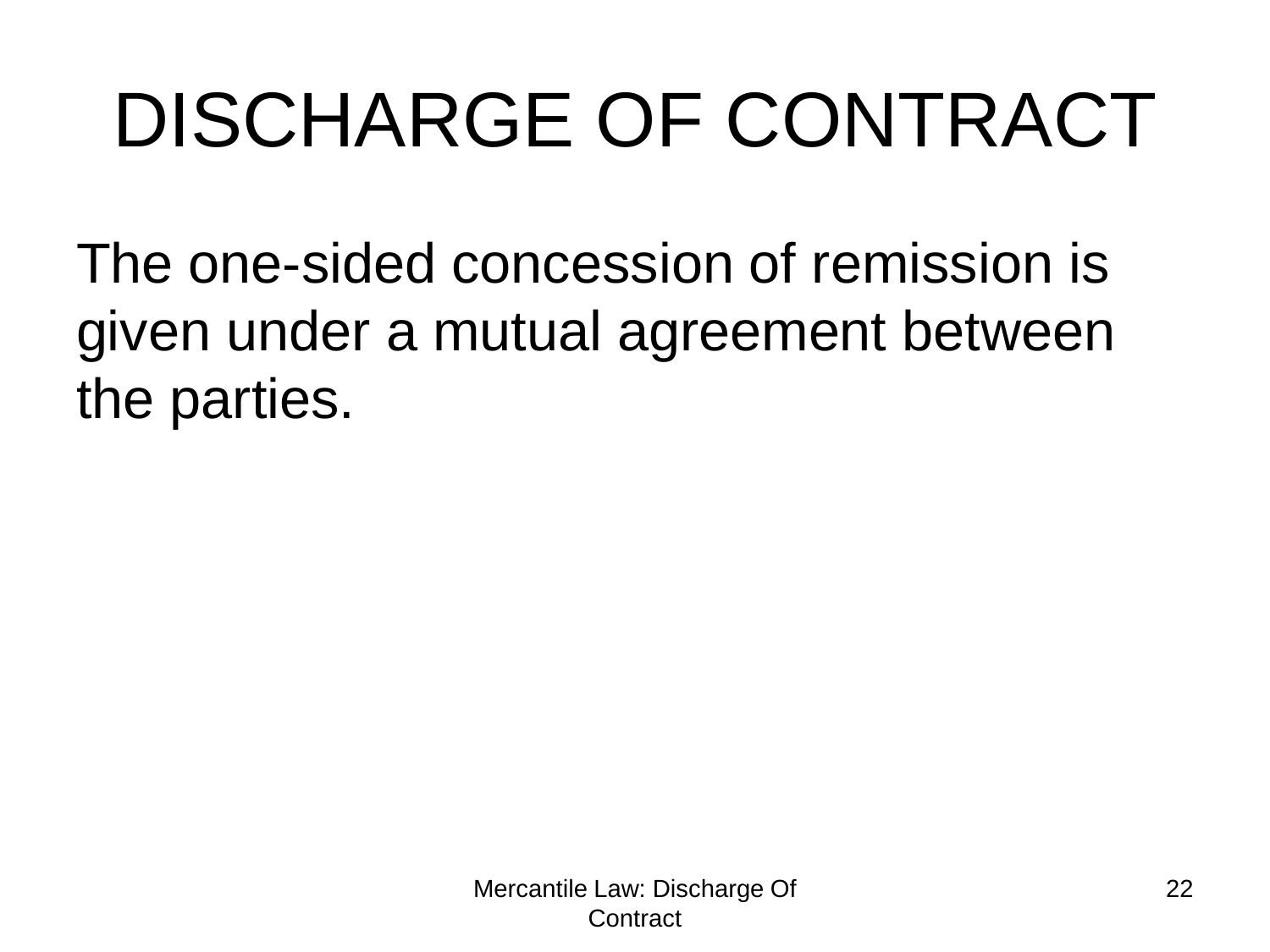The one-sided concession of remission is given under a mutual agreement between the parties.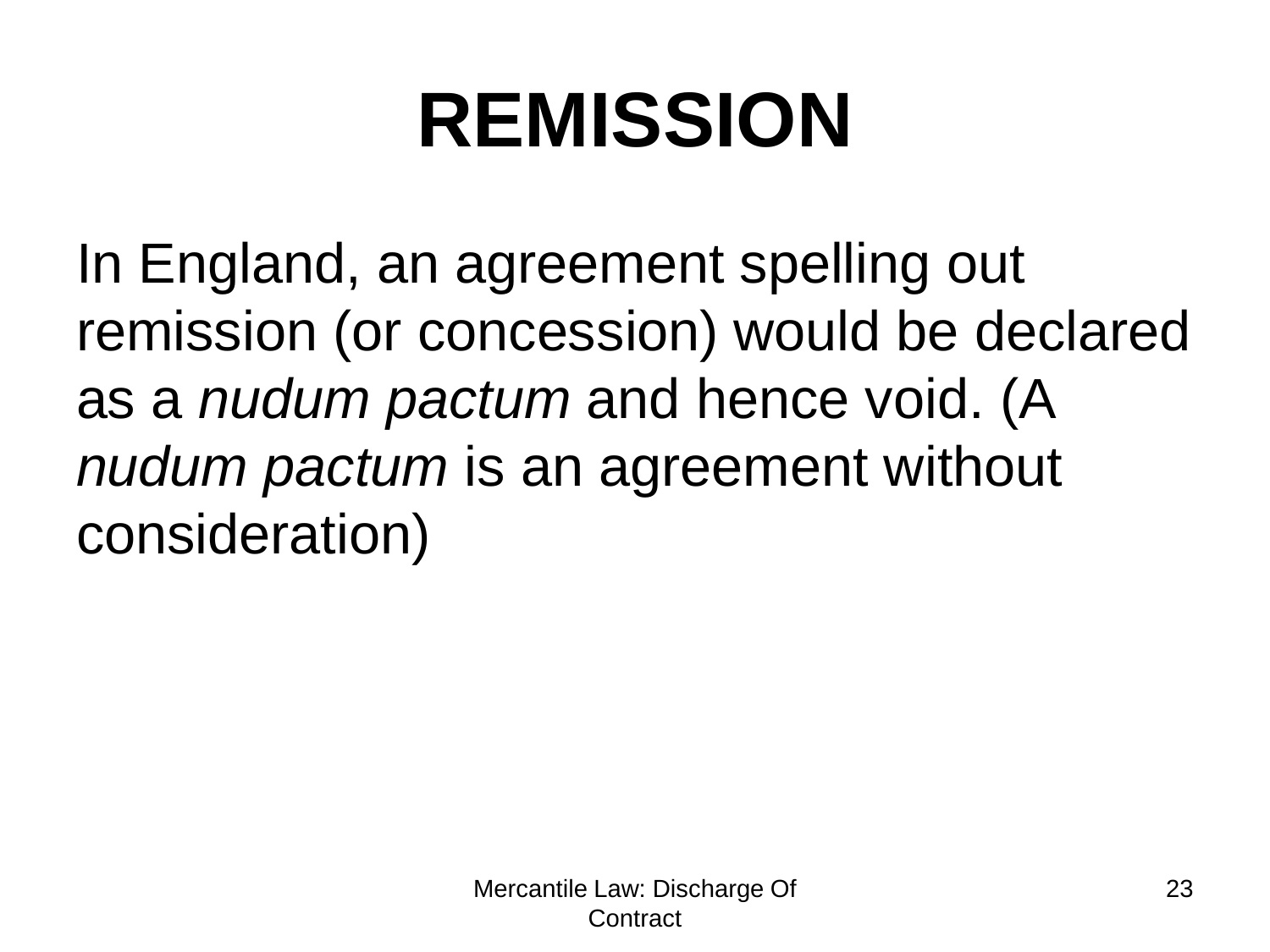# **REMISSION**

In England, an agreement spelling out remission (or concession) would be declared as a *nudum pactum* and hence void. (A *nudum pactum* is an agreement without consideration)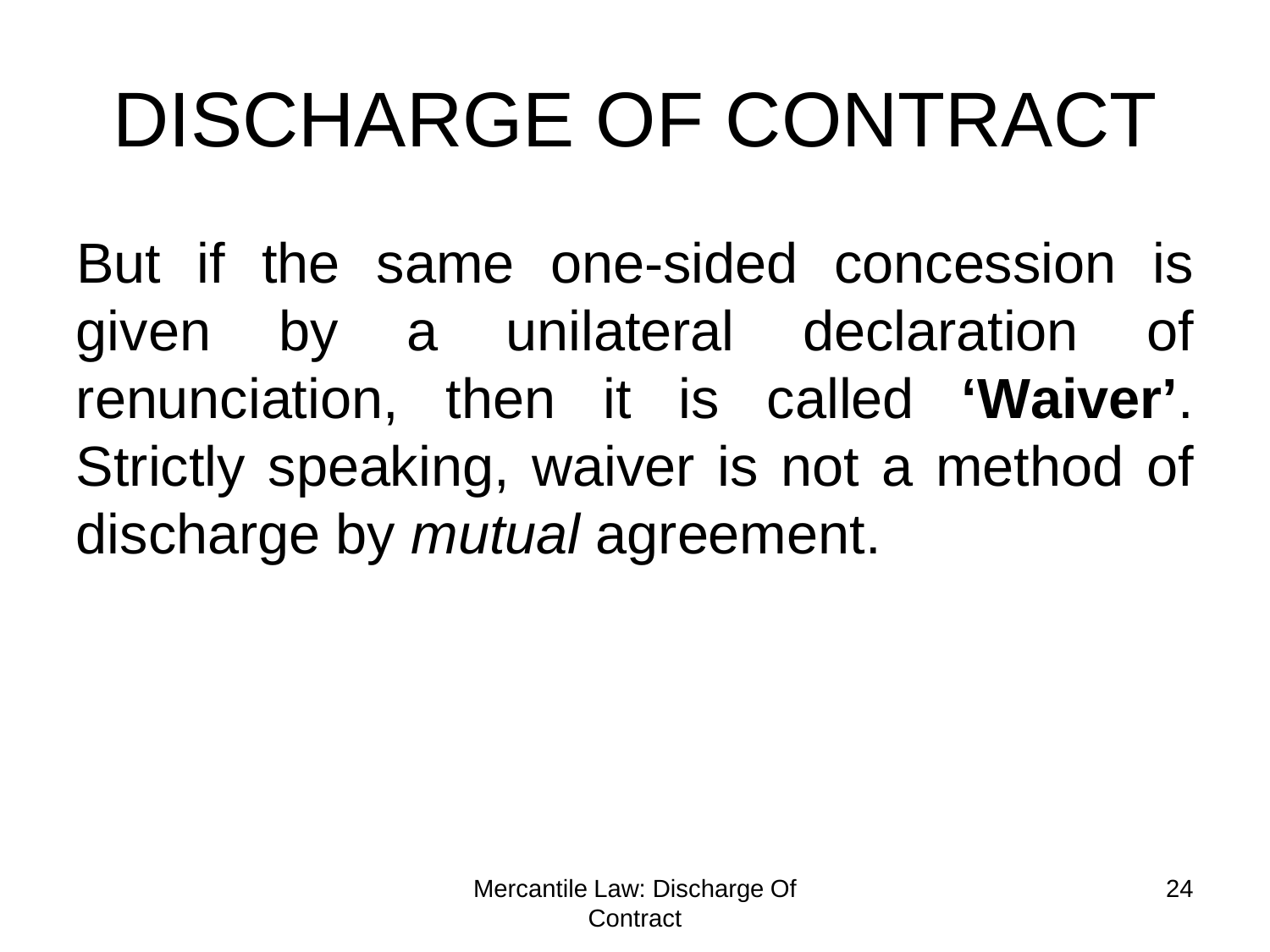But if the same one-sided concession is given by a unilateral declaration of renunciation, then it is called **'Waiver'**. Strictly speaking, waiver is not a method of discharge by *mutual* agreement.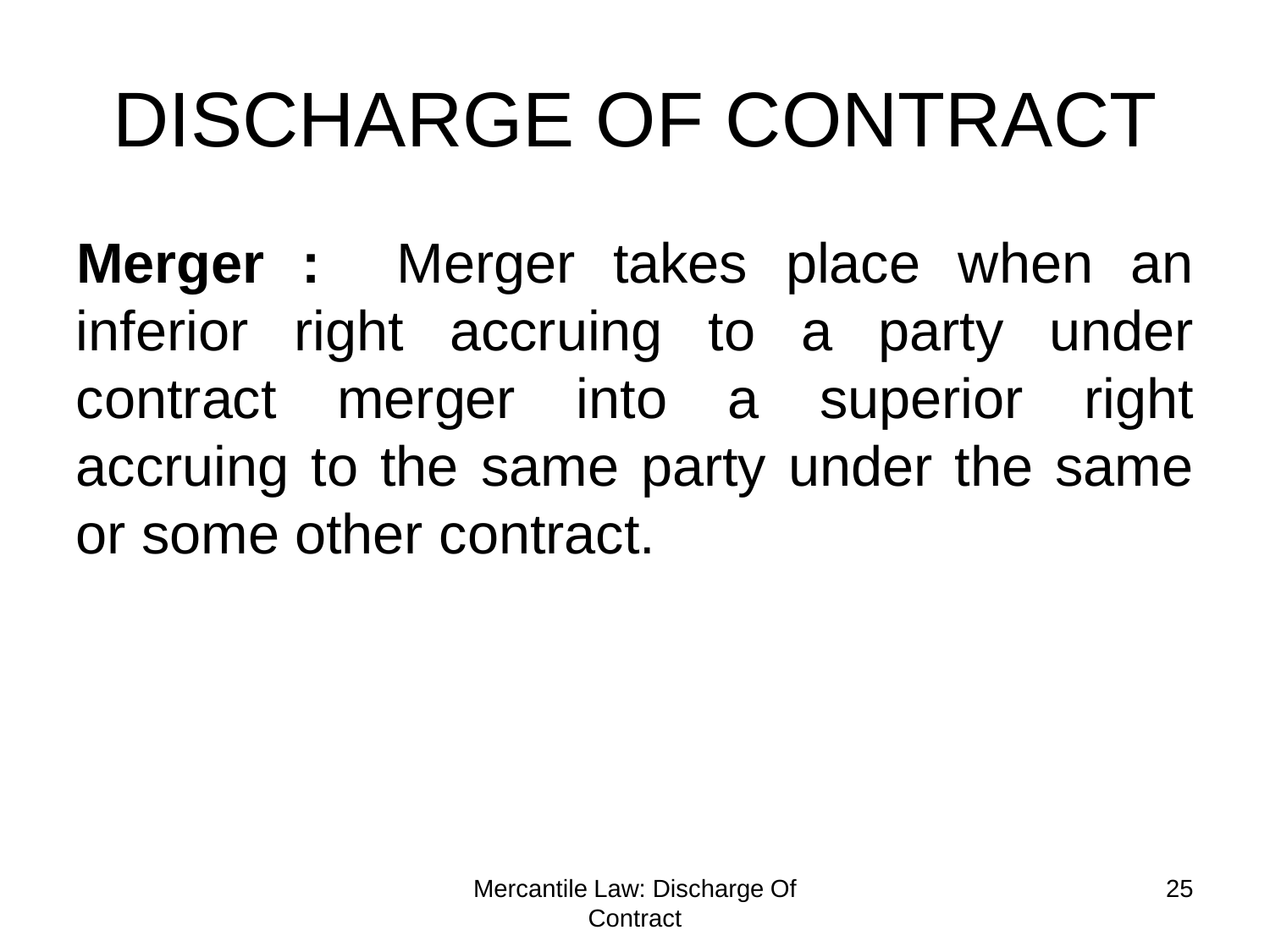**Merger :** Merger takes place when an inferior right accruing to a party under contract merger into a superior right accruing to the same party under the same or some other contract.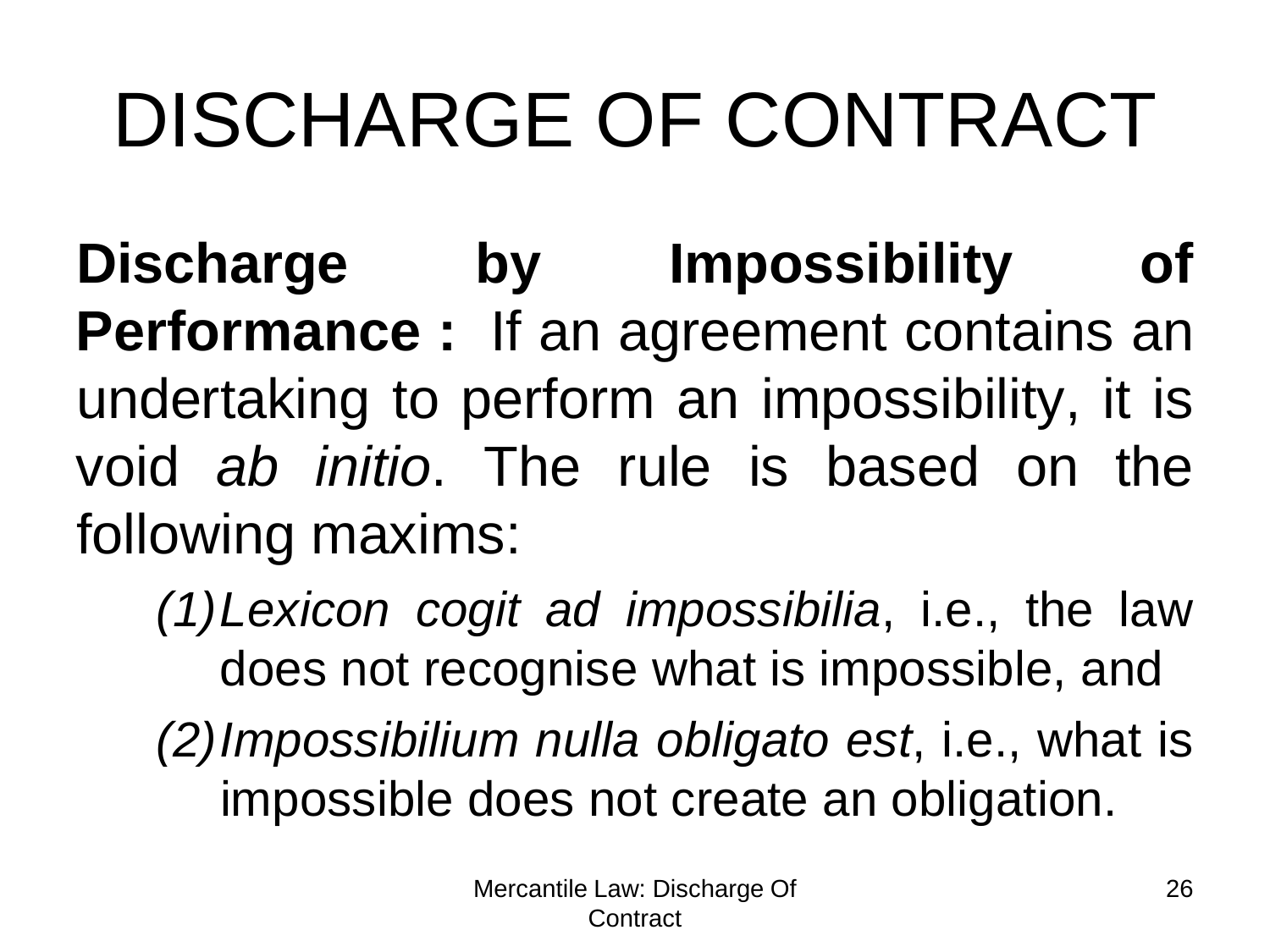**Discharge by Impossibility of Performance :** If an agreement contains an undertaking to perform an impossibility, it is void *ab initio*. The rule is based on the following maxims:

- *(1)Lexicon cogit ad impossibilia*, i.e., the law does not recognise what is impossible, and
- *(2)Impossibilium nulla obligato est*, i.e., what is impossible does not create an obligation.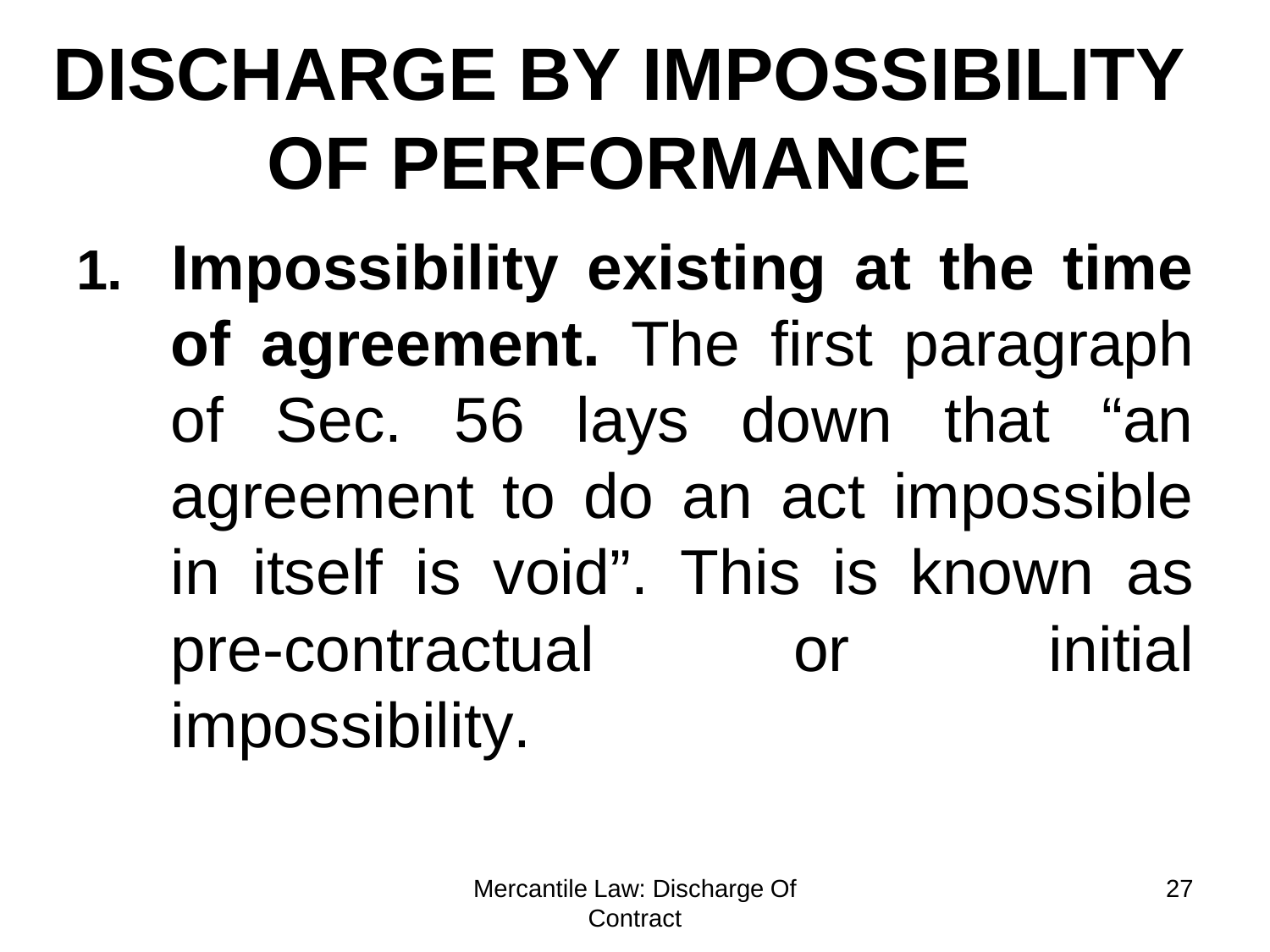## **DISCHARGE BY IMPOSSIBILITY OF PERFORMANCE**

**1. Impossibility existing at the time of agreement.** The first paragraph of Sec. 56 lays down that "an agreement to do an act impossible in itself is void". This is known as pre-contractual or initial impossibility.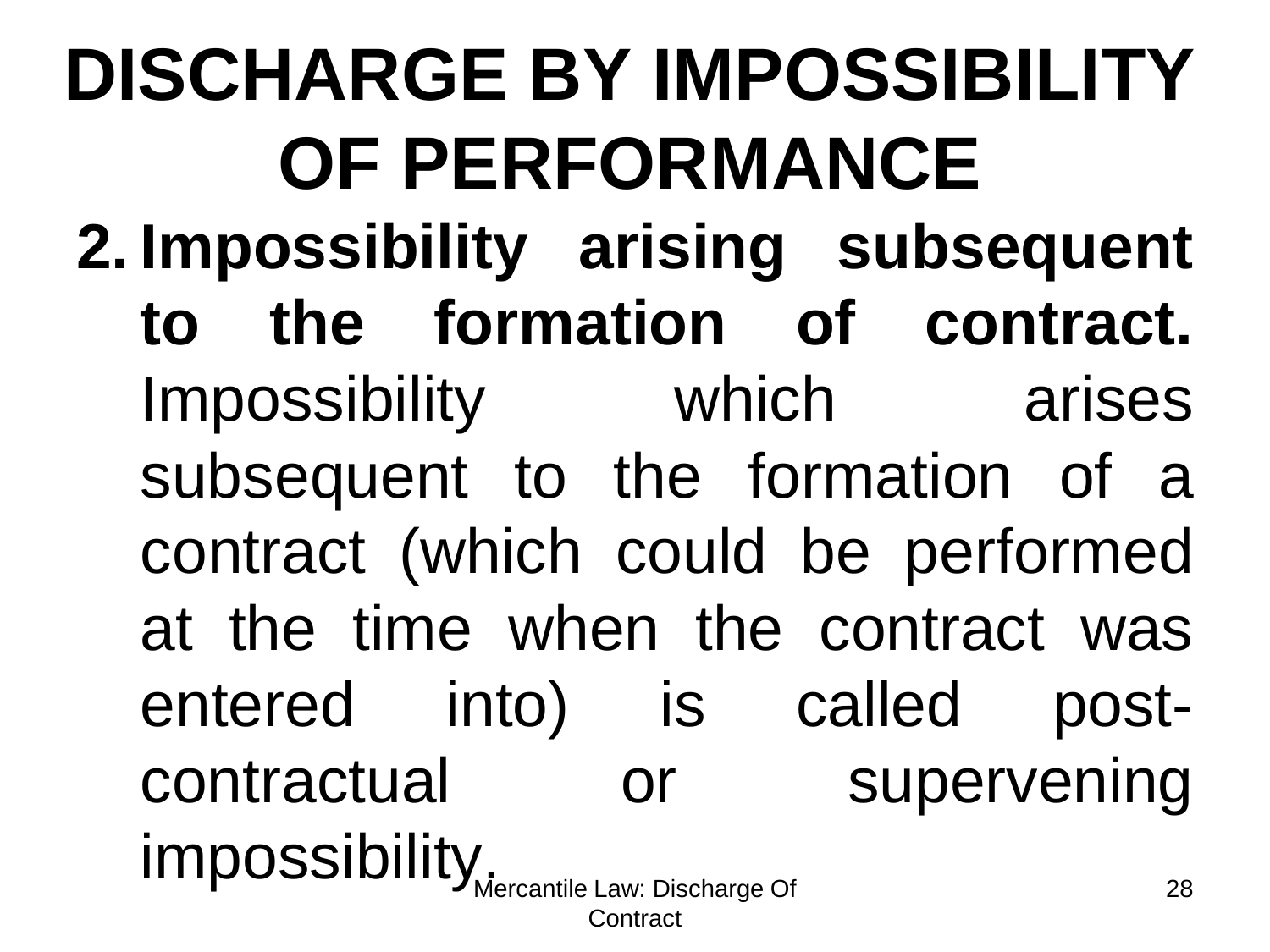impossibility<sub>Mercantile Law: Discharge Of</sub> **Contract** 28 **DISCHARGE BY IMPOSSIBILITY OF PERFORMANCE 2. Impossibility arising subsequent to the formation of contract.** Impossibility which arises subsequent to the formation of a contract (which could be performed at the time when the contract was entered into) is called postcontractual or supervening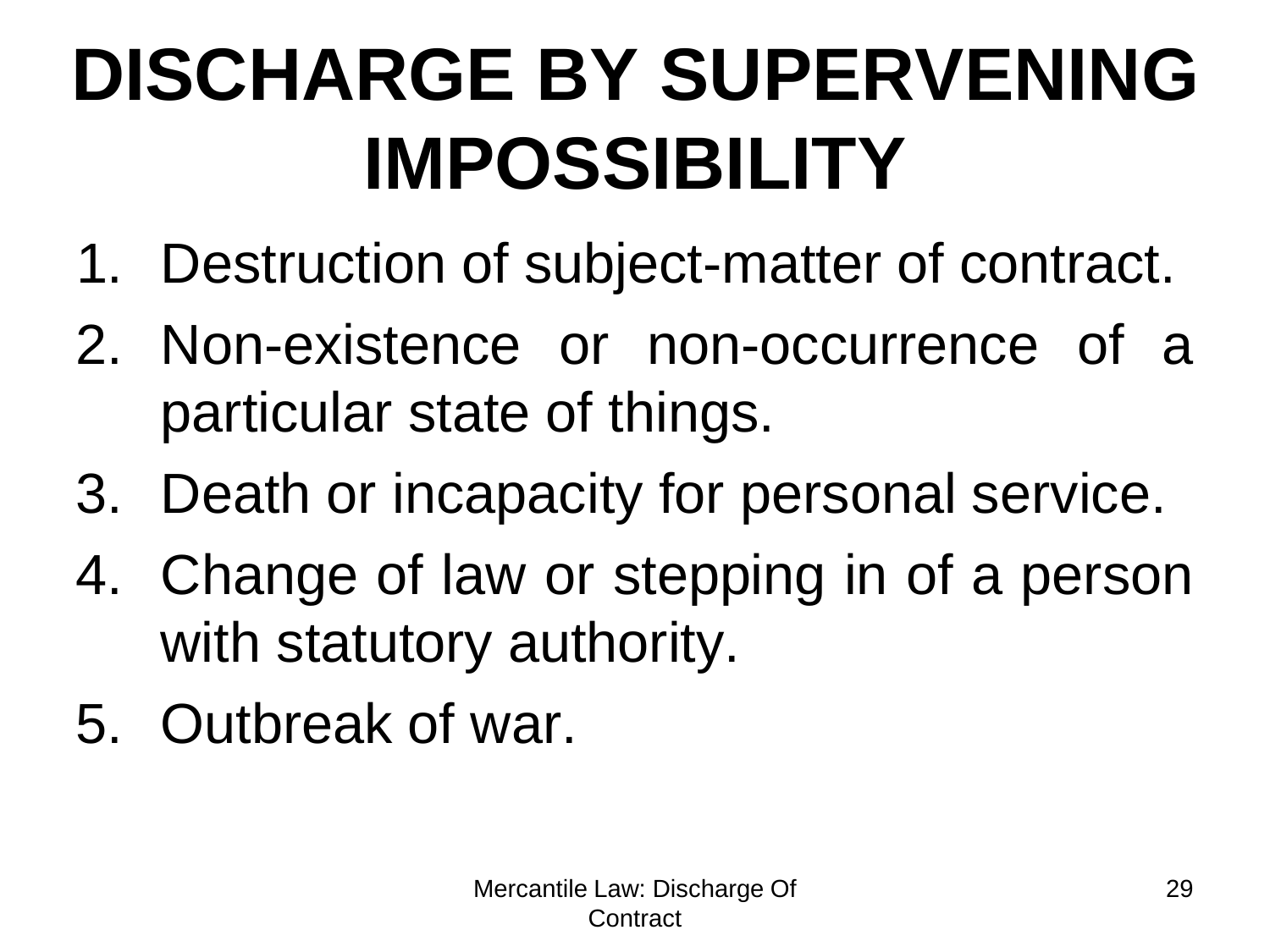## **DISCHARGE BY SUPERVENING IMPOSSIBILITY**

- 1. Destruction of subject-matter of contract.
- 2. Non-existence or non-occurrence of a particular state of things.
- 3. Death or incapacity for personal service.
- 4. Change of law or stepping in of a person with statutory authority.
- 5. Outbreak of war.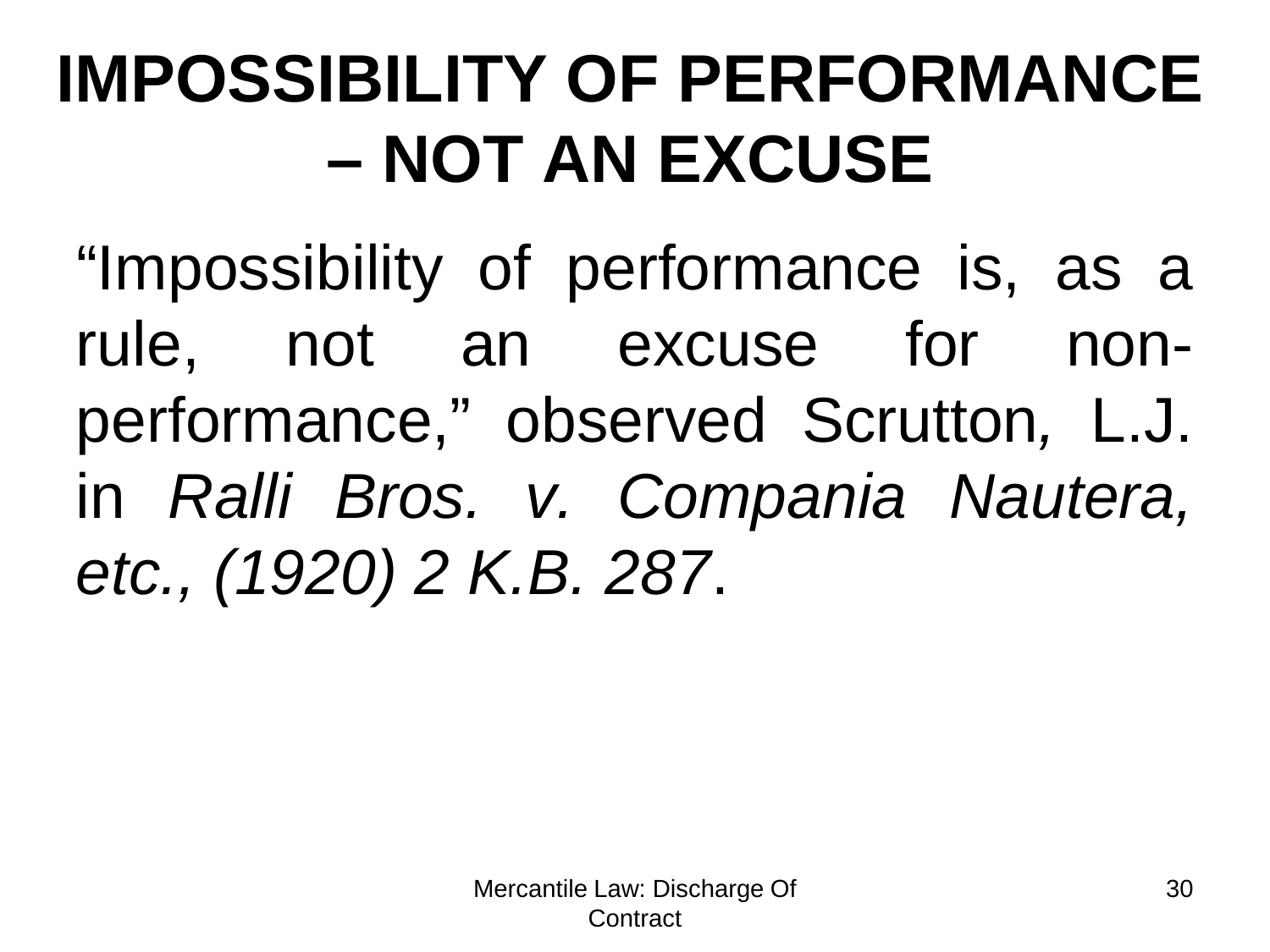### **IMPOSSIBILITY OF PERFORMANCE – NOT AN EXCUSE**

"Impossibility of performance is, as a rule, not an excuse for nonperformance," observed Scrutton*,* L.J. in *Ralli Bros. v. Compania Nautera, etc., (1920) 2 K.B. 287*.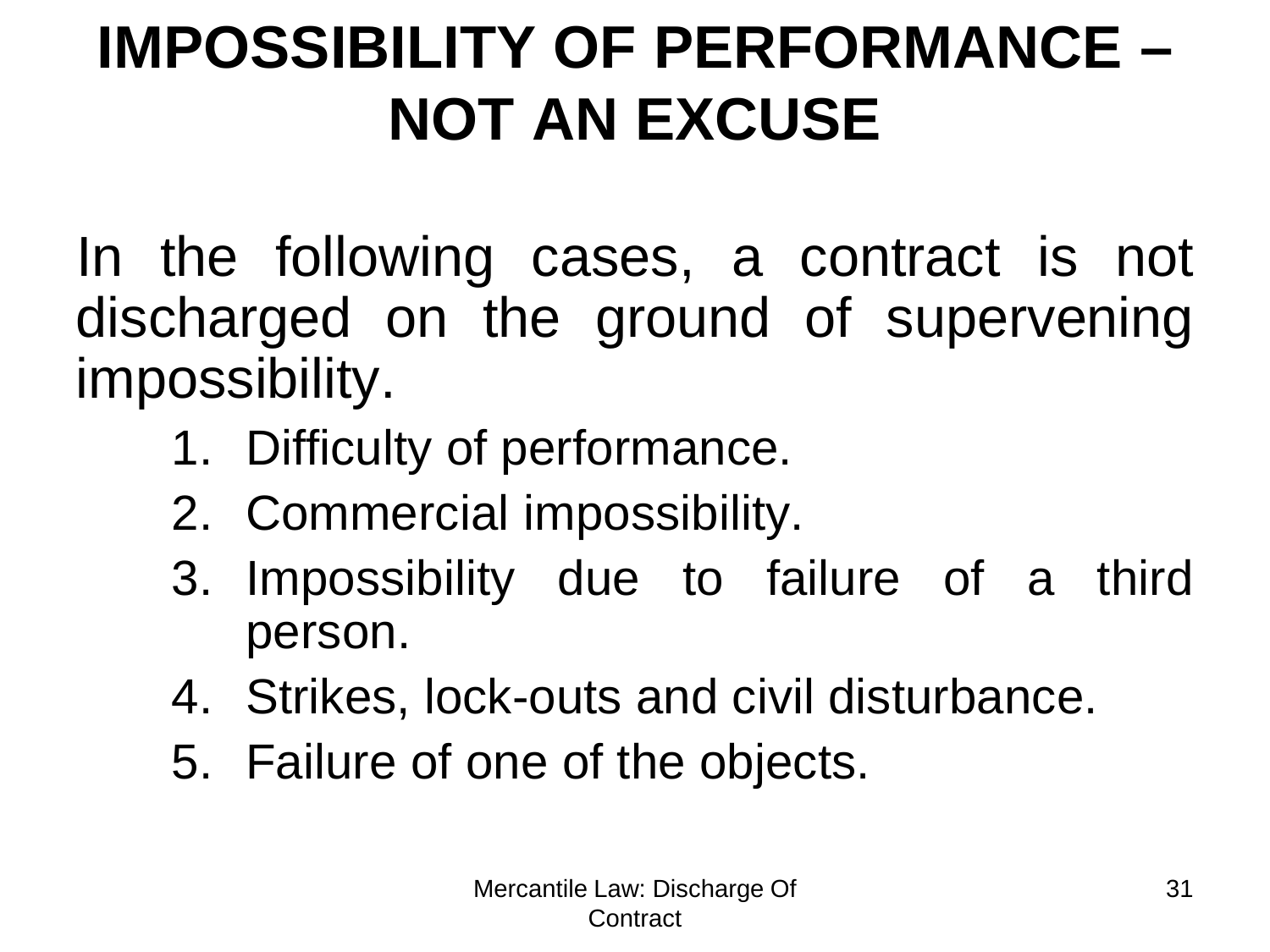#### **IMPOSSIBILITY OF PERFORMANCE – NOT AN EXCUSE**

In the following cases, a contract is not discharged on the ground of supervening impossibility.

- 1. Difficulty of performance.
- 2. Commercial impossibility.
- 3. Impossibility due to failure of a third person.
- 4. Strikes, lock-outs and civil disturbance.
- 5. Failure of one of the objects.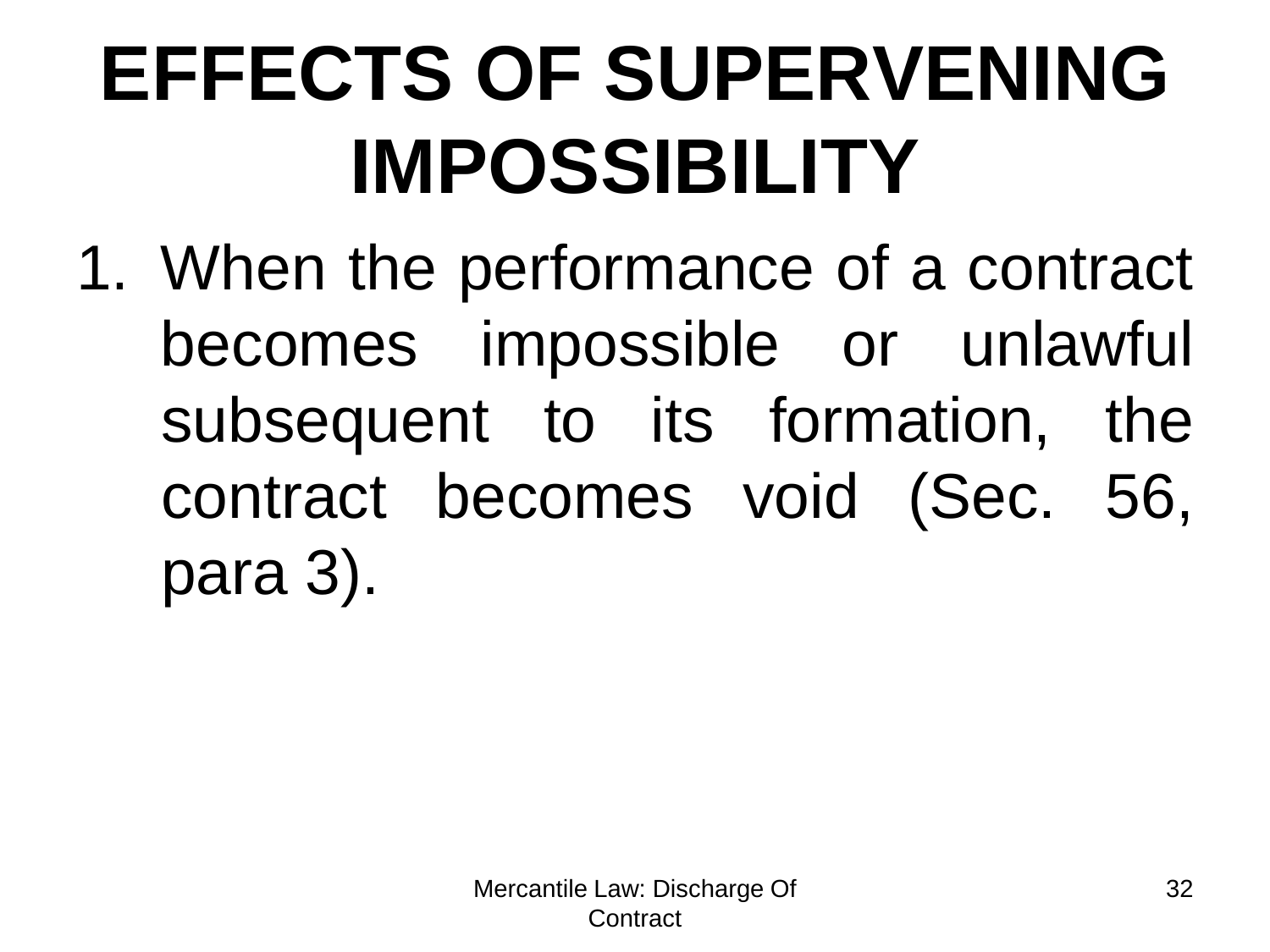## **EFFECTS OF SUPERVENING IMPOSSIBILITY**

1. When the performance of a contract becomes impossible or unlawful subsequent to its formation, the contract becomes void (Sec. 56, para 3).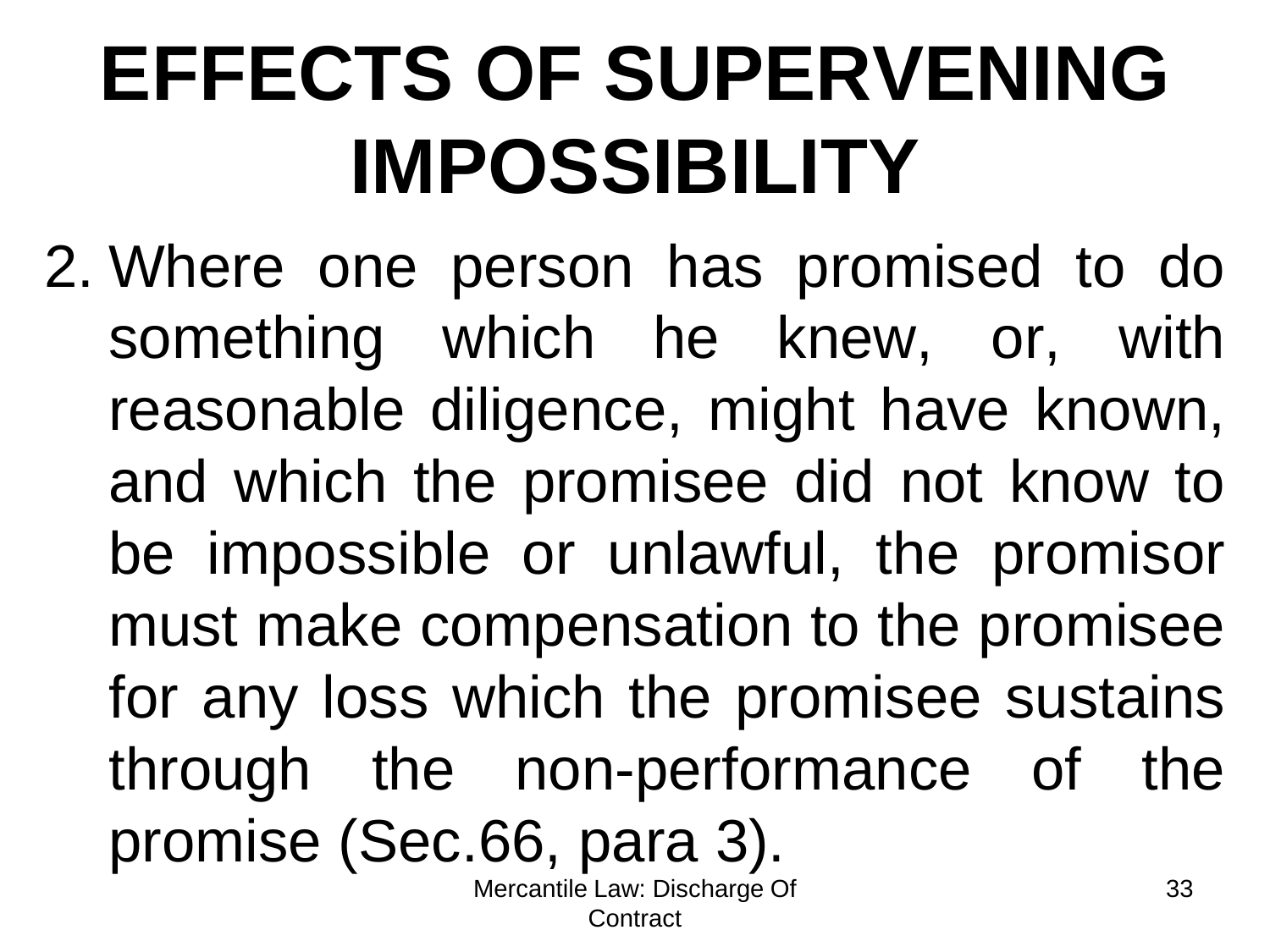## **EFFECTS OF SUPERVENING IMPOSSIBILITY**

2. Where one person has promised to do something which he knew, or, with reasonable diligence, might have known, and which the promisee did not know to be impossible or unlawful, the promisor must make compensation to the promisee for any loss which the promisee sustains through the non-performance of the promise (Sec.66, para 3).

Mercantile Law: Discharge Of Contract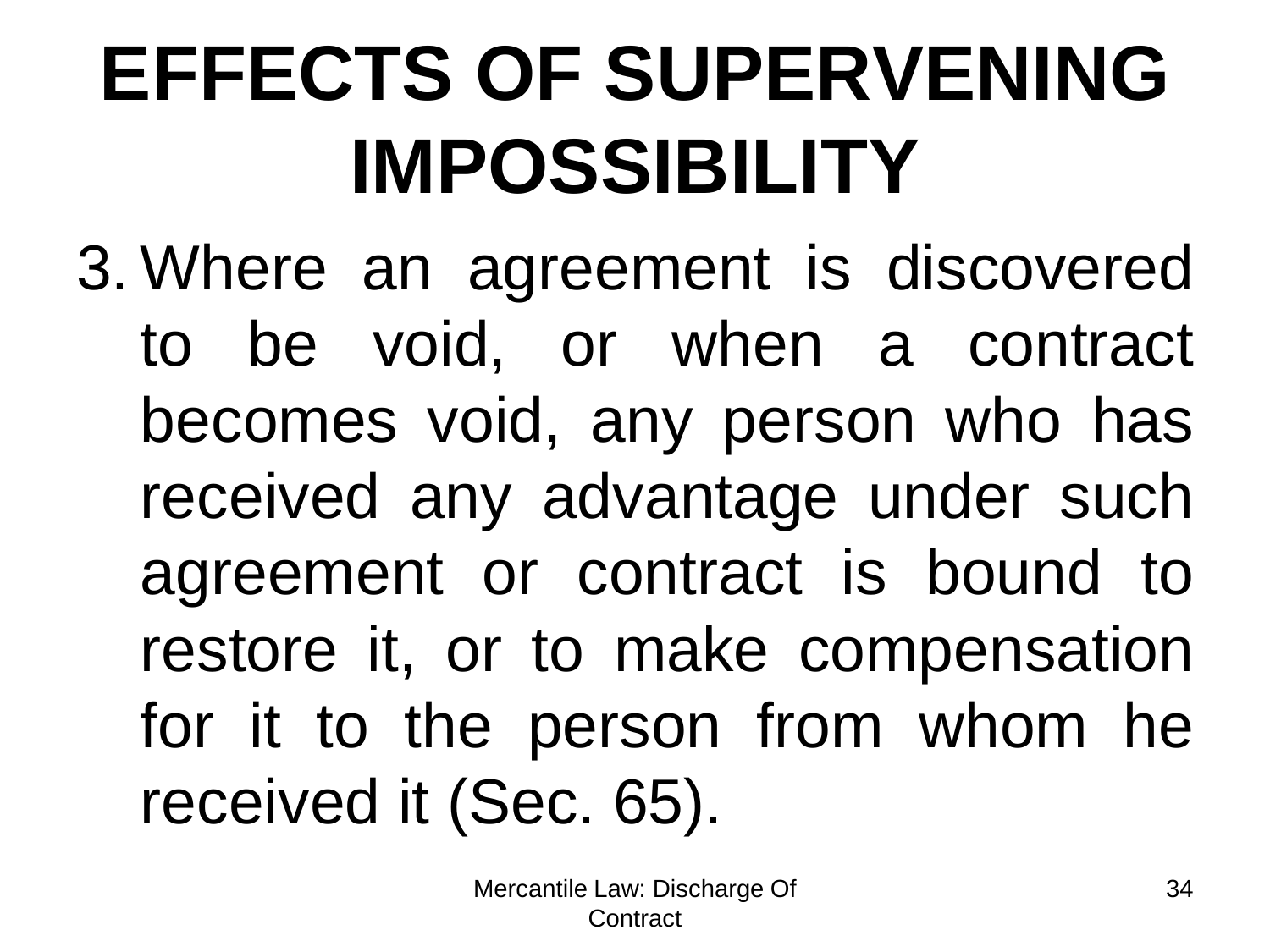# **EFFECTS OF SUPERVENING IMPOSSIBILITY**

3. Where an agreement is discovered to be void, or when a contract becomes void, any person who has received any advantage under such agreement or contract is bound to restore it, or to make compensation for it to the person from whom he received it (Sec. 65).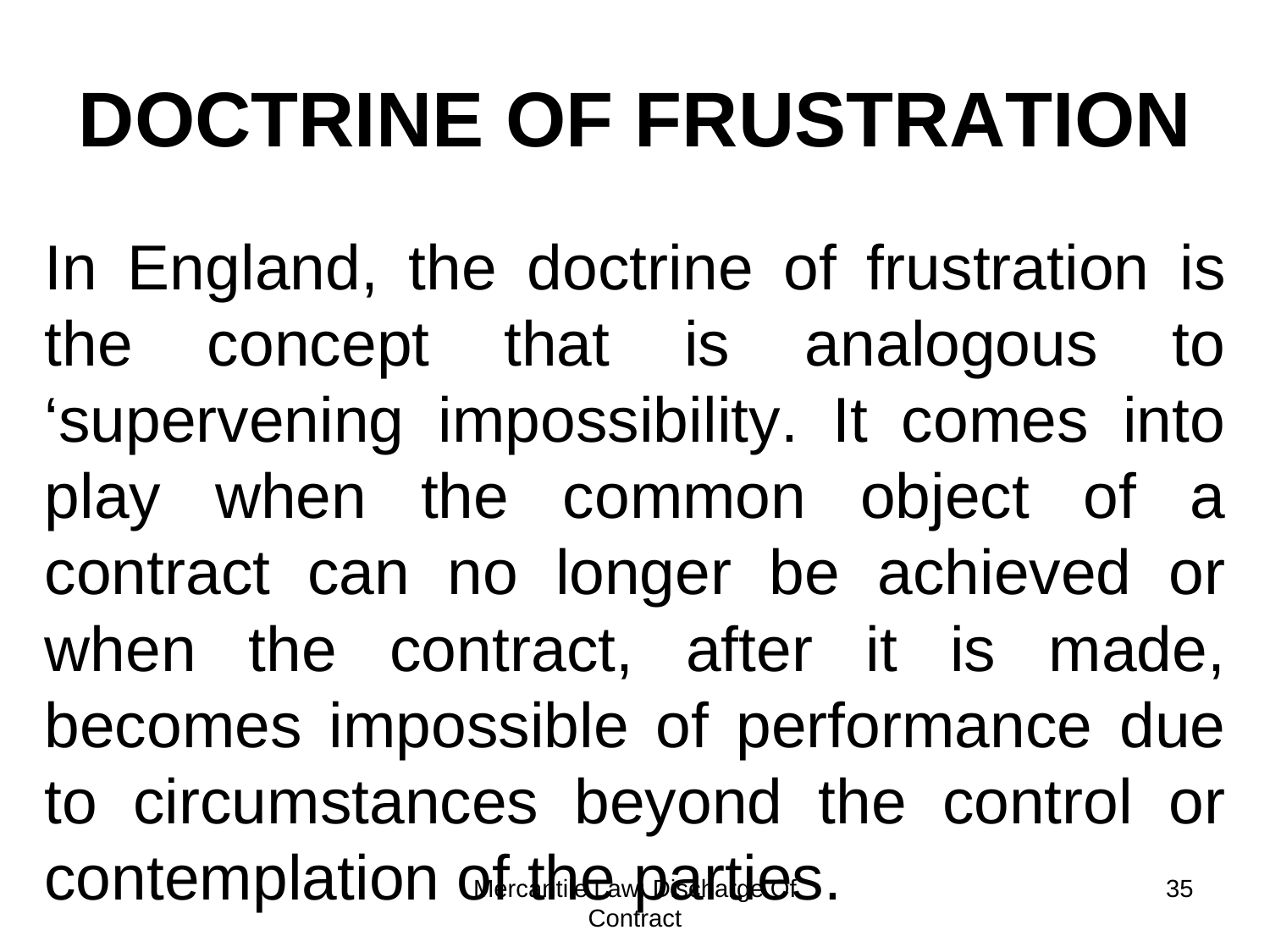# **DOCTRINE OF FRUSTRATION**

contemplation of the exparties. Contract 35 In England, the doctrine of frustration is the concept that is analogous to 'supervening impossibility. It comes into play when the common object of a contract can no longer be achieved or when the contract, after it is made, becomes impossible of performance due to circumstances beyond the control or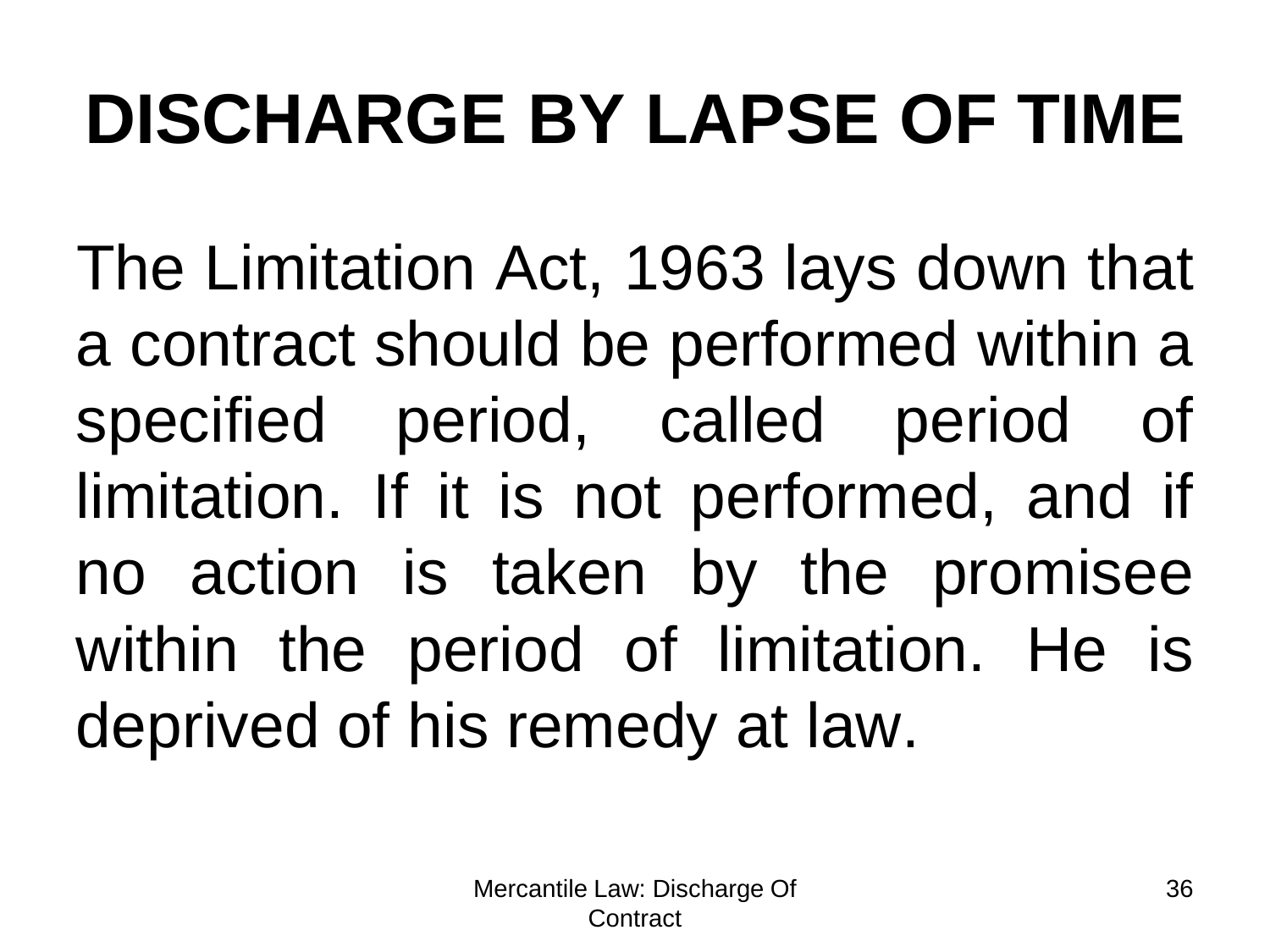## **DISCHARGE BY LAPSE OF TIME**

The Limitation Act, 1963 lays down that a contract should be performed within a specified period, called period of limitation. If it is not performed, and if no action is taken by the promisee within the period of limitation. He is deprived of his remedy at law.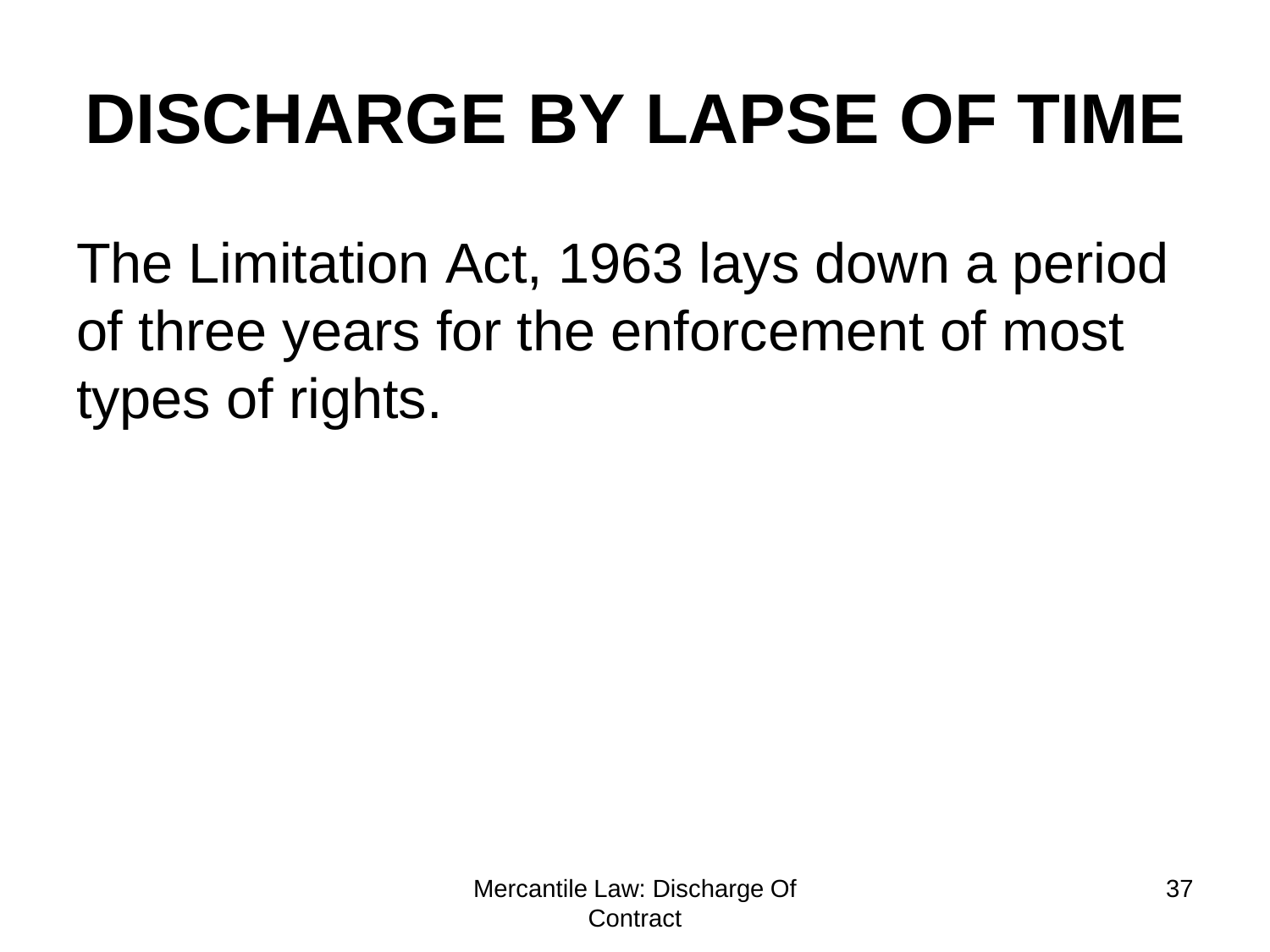## **DISCHARGE BY LAPSE OF TIME**

The Limitation Act, 1963 lays down a period of three years for the enforcement of most types of rights.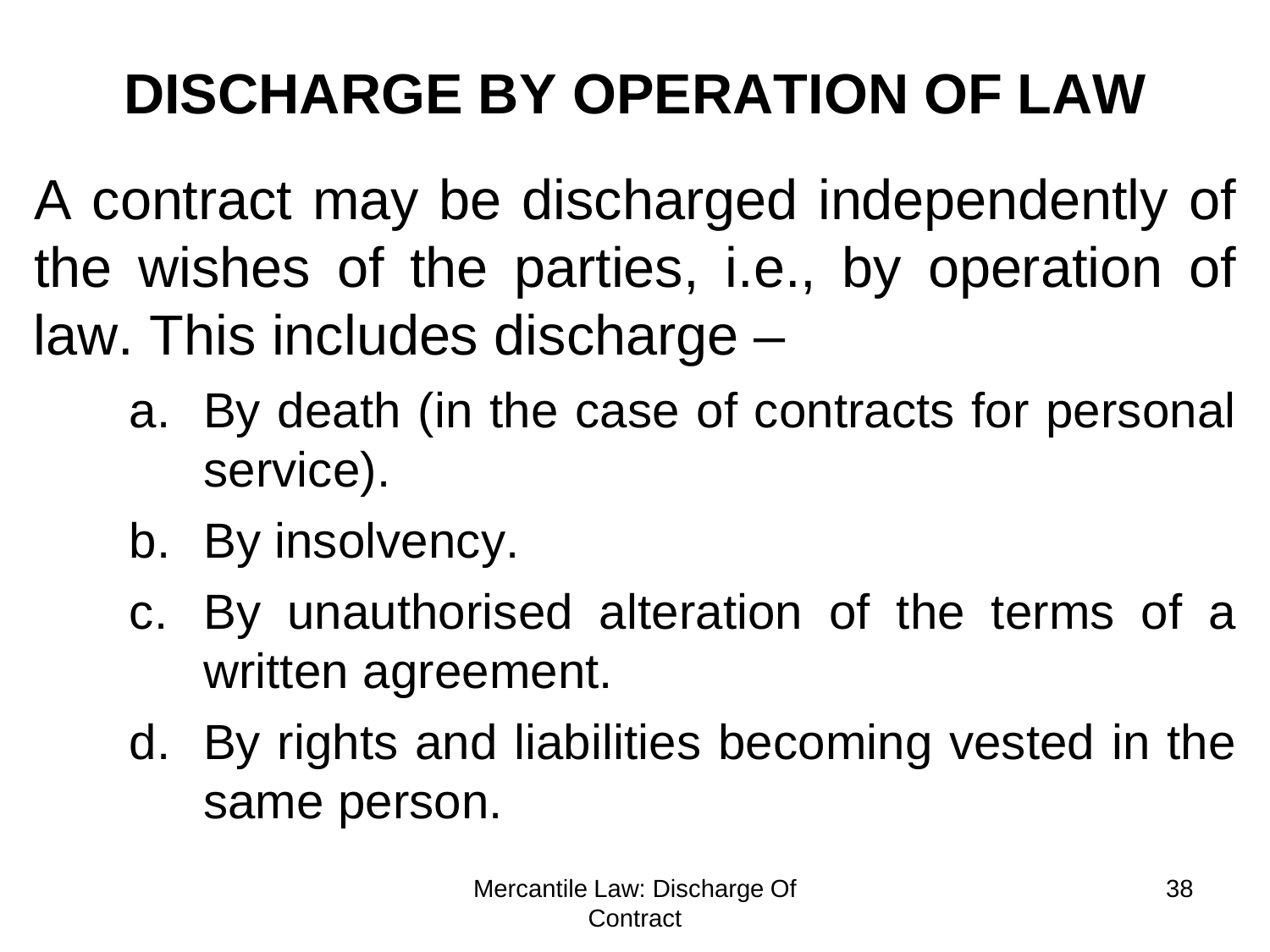#### **DISCHARGE BY OPERATION OF LAW**

A contract may be discharged independently of the wishes of the parties, i.e., by operation of law. This includes discharge –

- a. By death (in the case of contracts for personal service).
- b. By insolvency.
- c. By unauthorised alteration of the terms of a written agreement.
- d. By rights and liabilities becoming vested in the same person.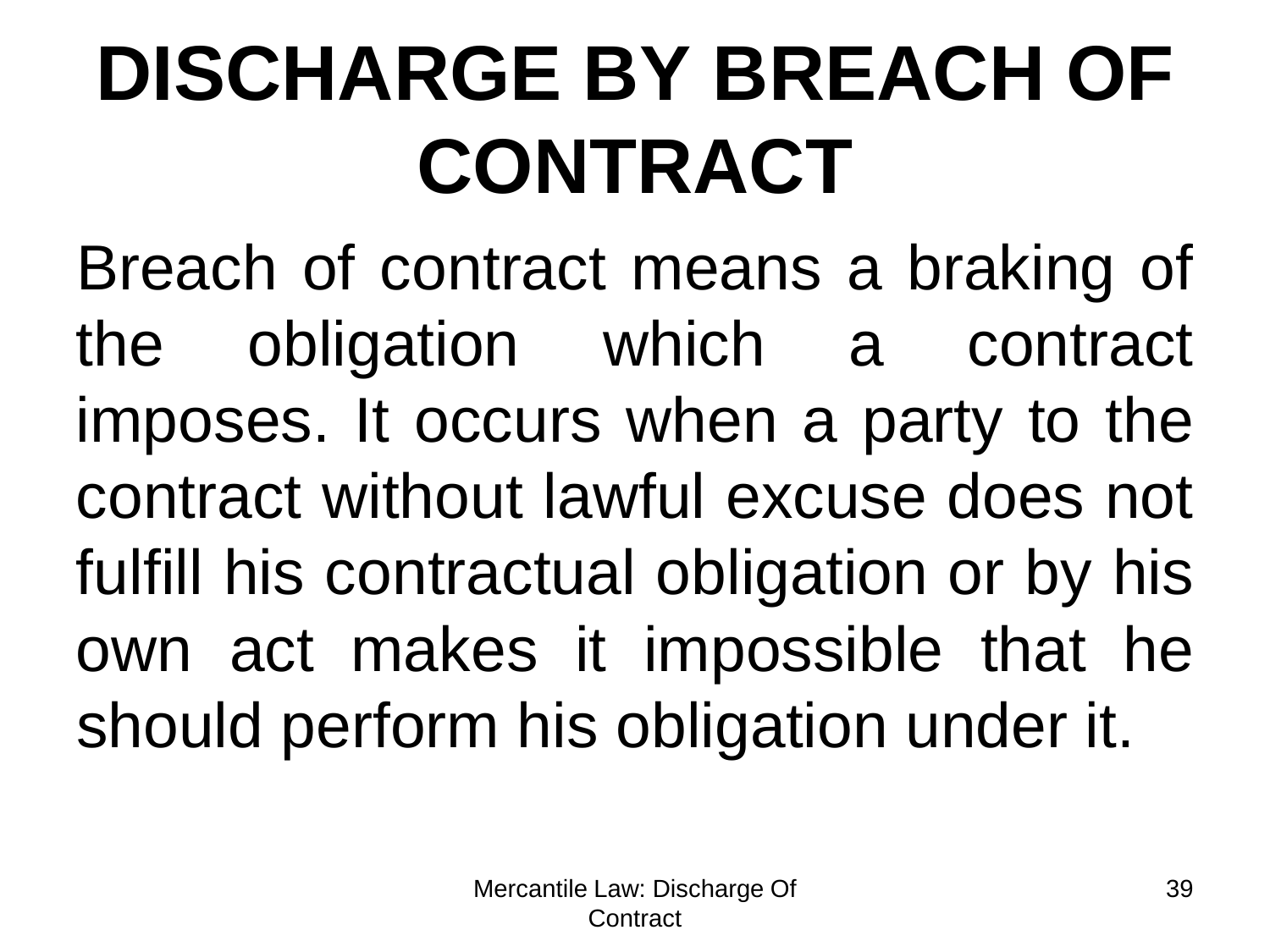# **DISCHARGE BY BREACH OF CONTRACT**

Breach of contract means a braking of the obligation which a contract imposes. It occurs when a party to the contract without lawful excuse does not fulfill his contractual obligation or by his own act makes it impossible that he should perform his obligation under it.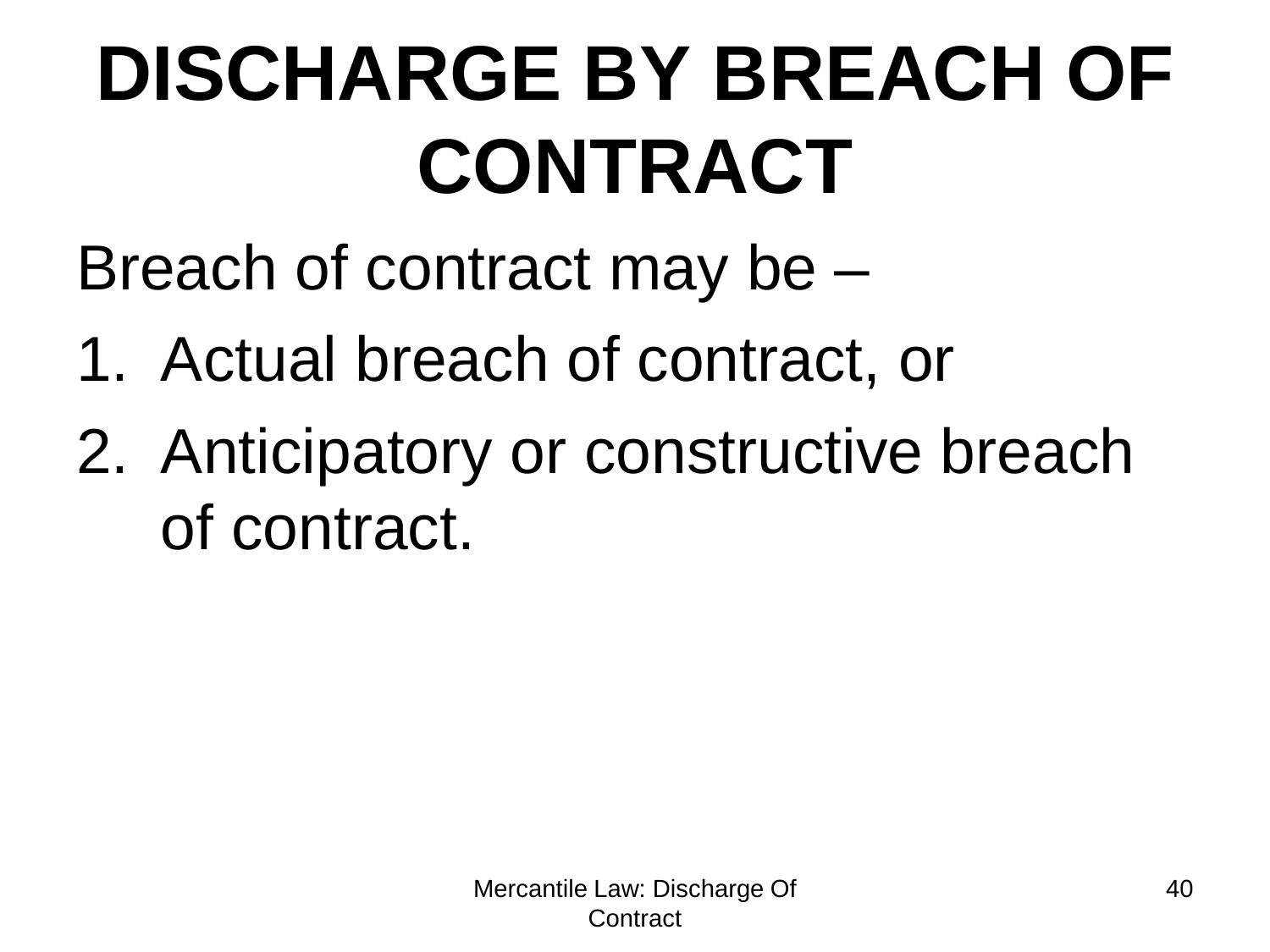# **DISCHARGE BY BREACH OF CONTRACT**

Breach of contract may be –

- 1. Actual breach of contract, or
- 2. Anticipatory or constructive breach of contract.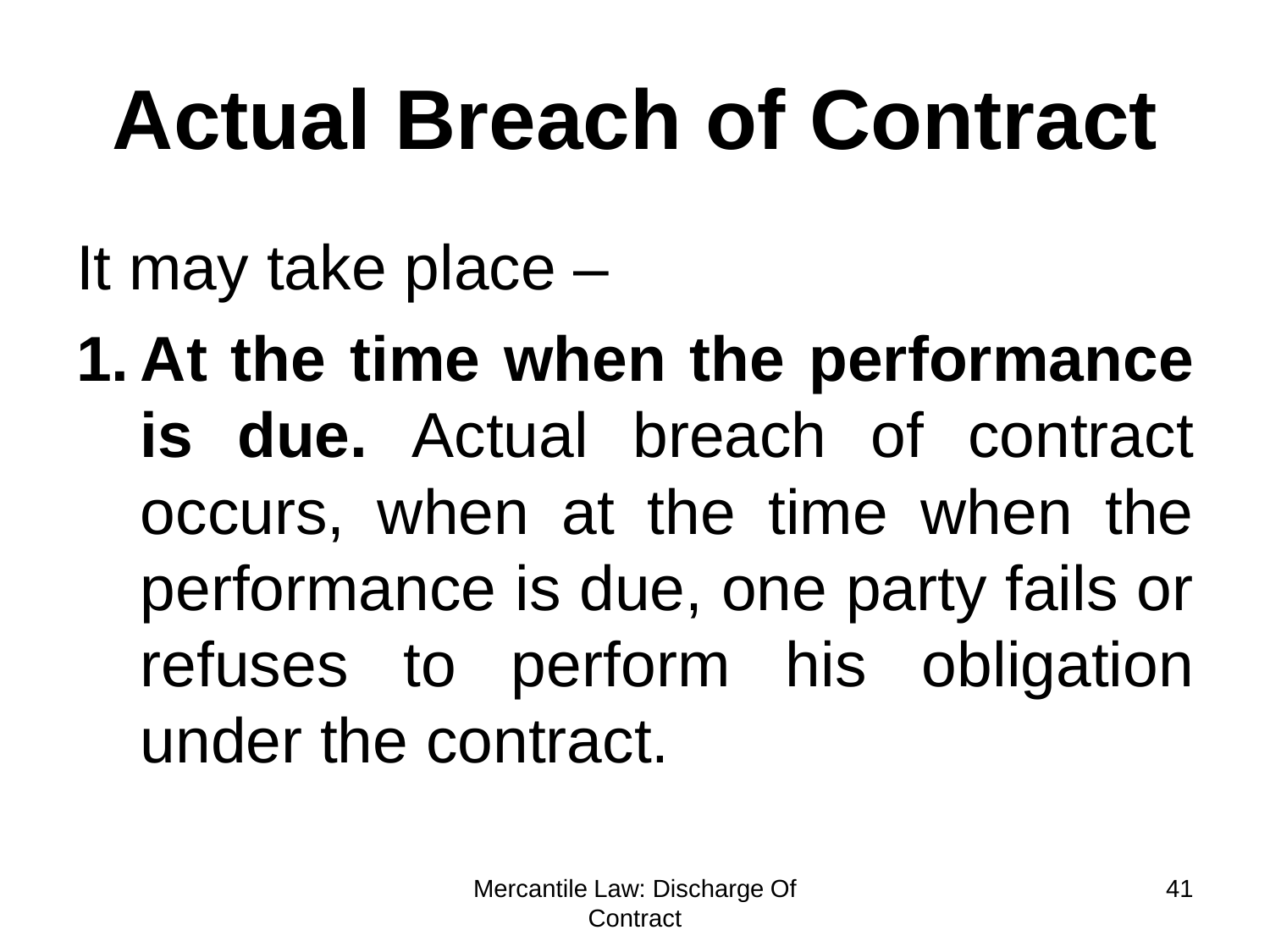# **Actual Breach of Contract**

It may take place –

**1. At the time when the performance is due.** Actual breach of contract occurs, when at the time when the performance is due, one party fails or refuses to perform his obligation under the contract.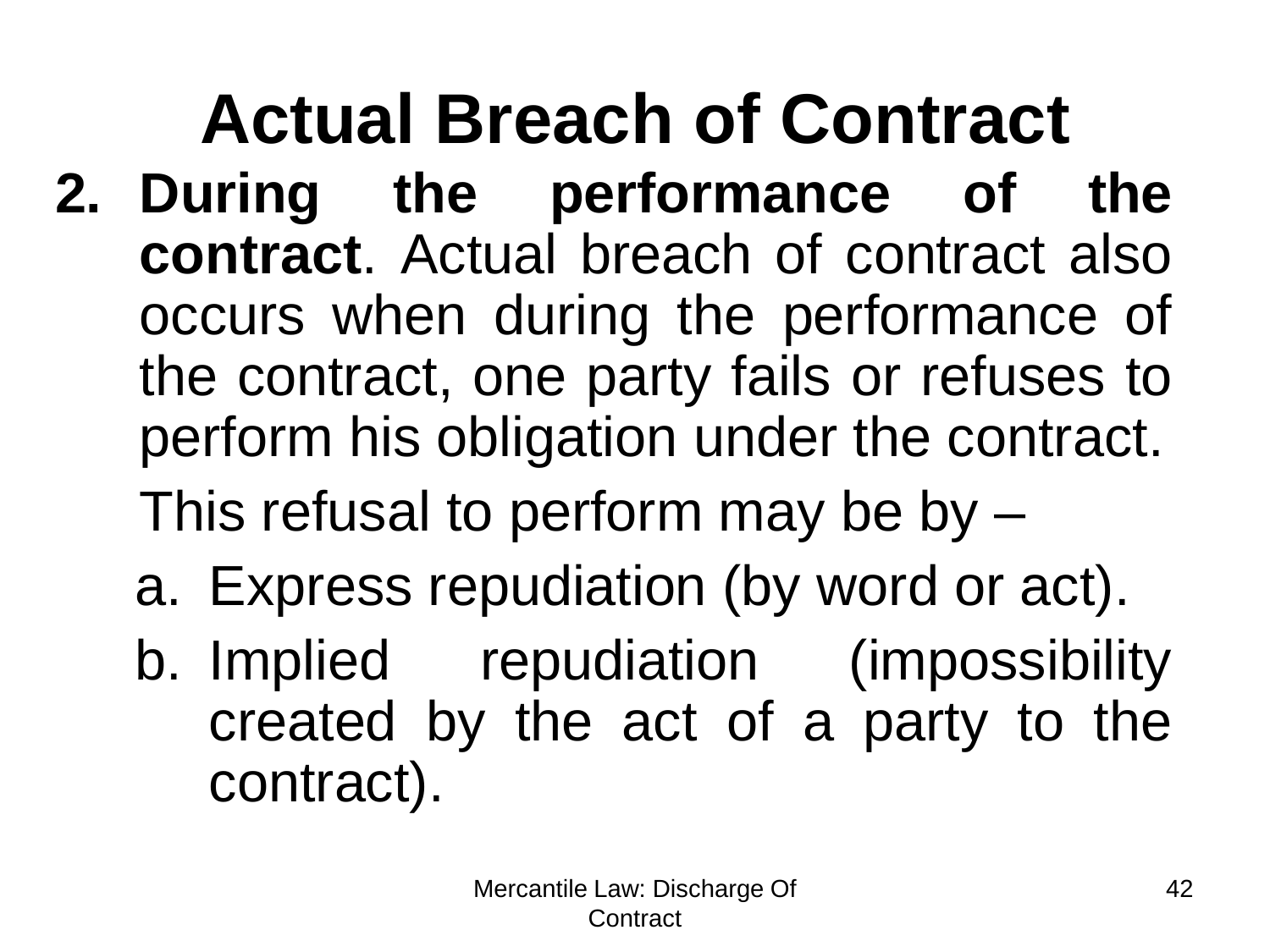#### **Actual Breach of Contract 2. During the performance of the contract**. Actual breach of contract also occurs when during the performance of the contract, one party fails or refuses to perform his obligation under the contract. This refusal to perform may be by –

- a. Express repudiation (by word or act).
- b. Implied repudiation (impossibility created by the act of a party to the contract).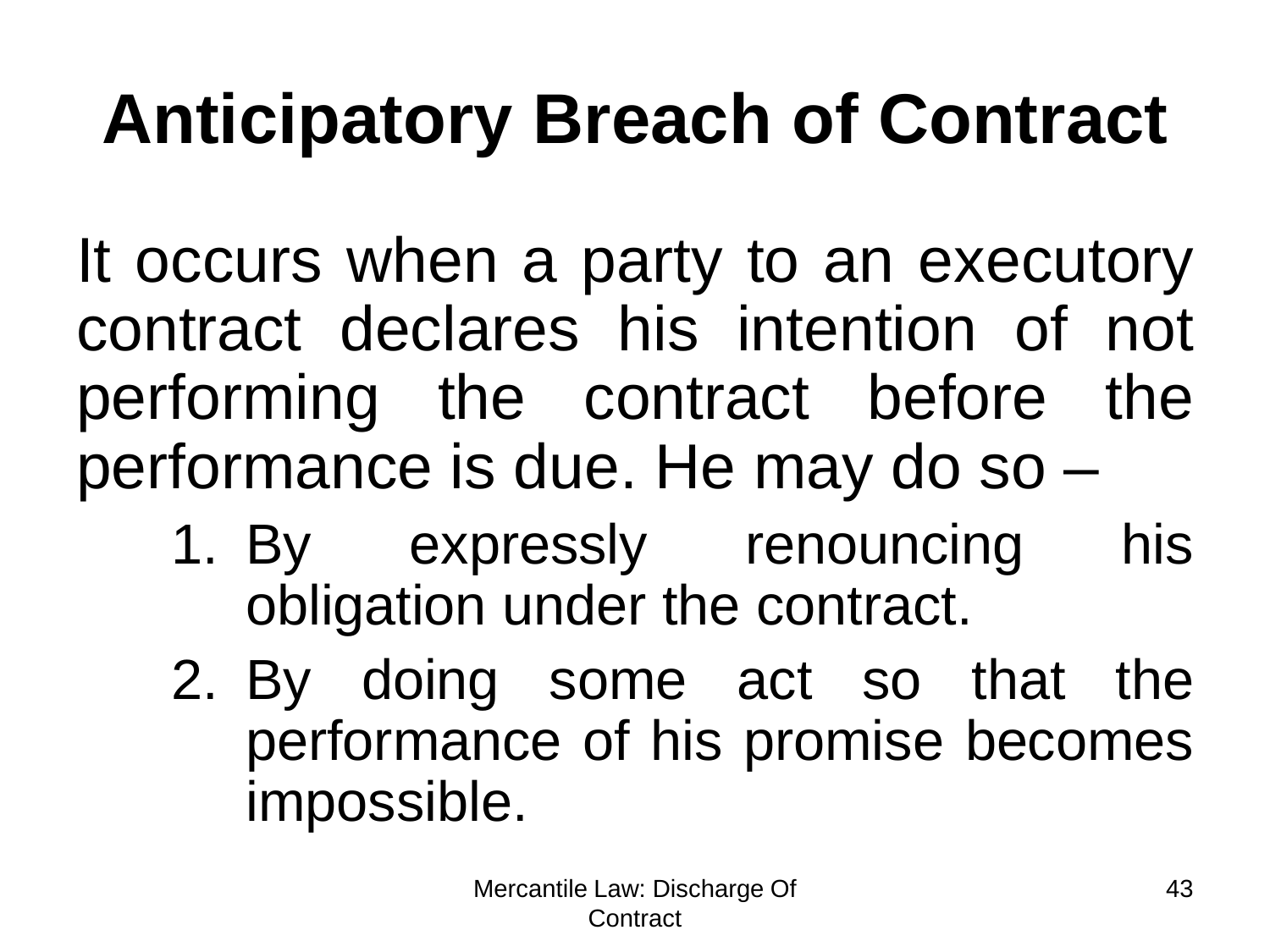## **Anticipatory Breach of Contract**

It occurs when a party to an executory contract declares his intention of not performing the contract before the performance is due. He may do so –

- 1. By expressly renouncing his obligation under the contract.
- 2. By doing some act so that the performance of his promise becomes impossible.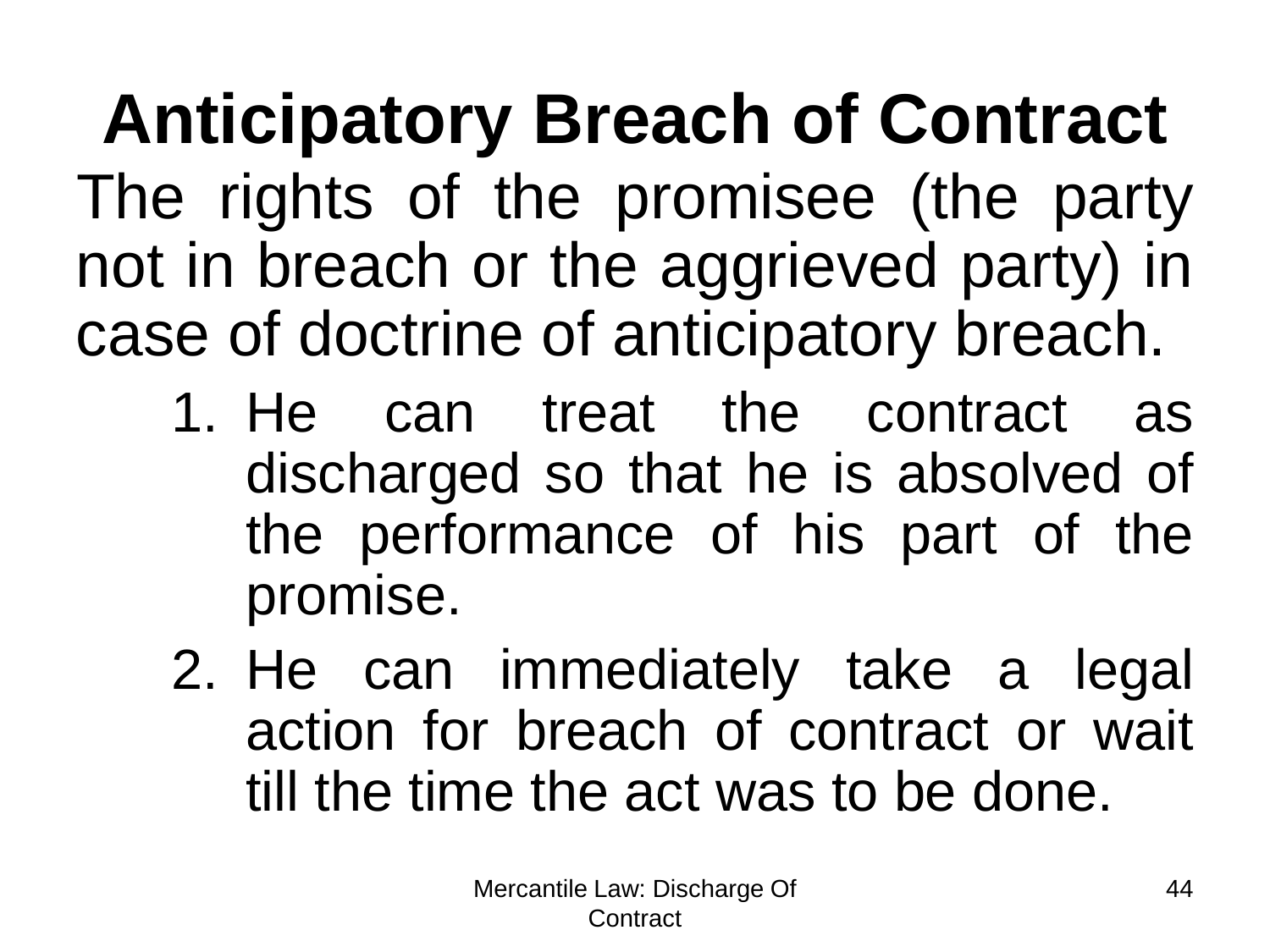**Anticipatory Breach of Contract** The rights of the promisee (the party not in breach or the aggrieved party) in case of doctrine of anticipatory breach.

- 1. He can treat the contract as discharged so that he is absolved of the performance of his part of the promise.
- 2. He can immediately take a legal action for breach of contract or wait till the time the act was to be done.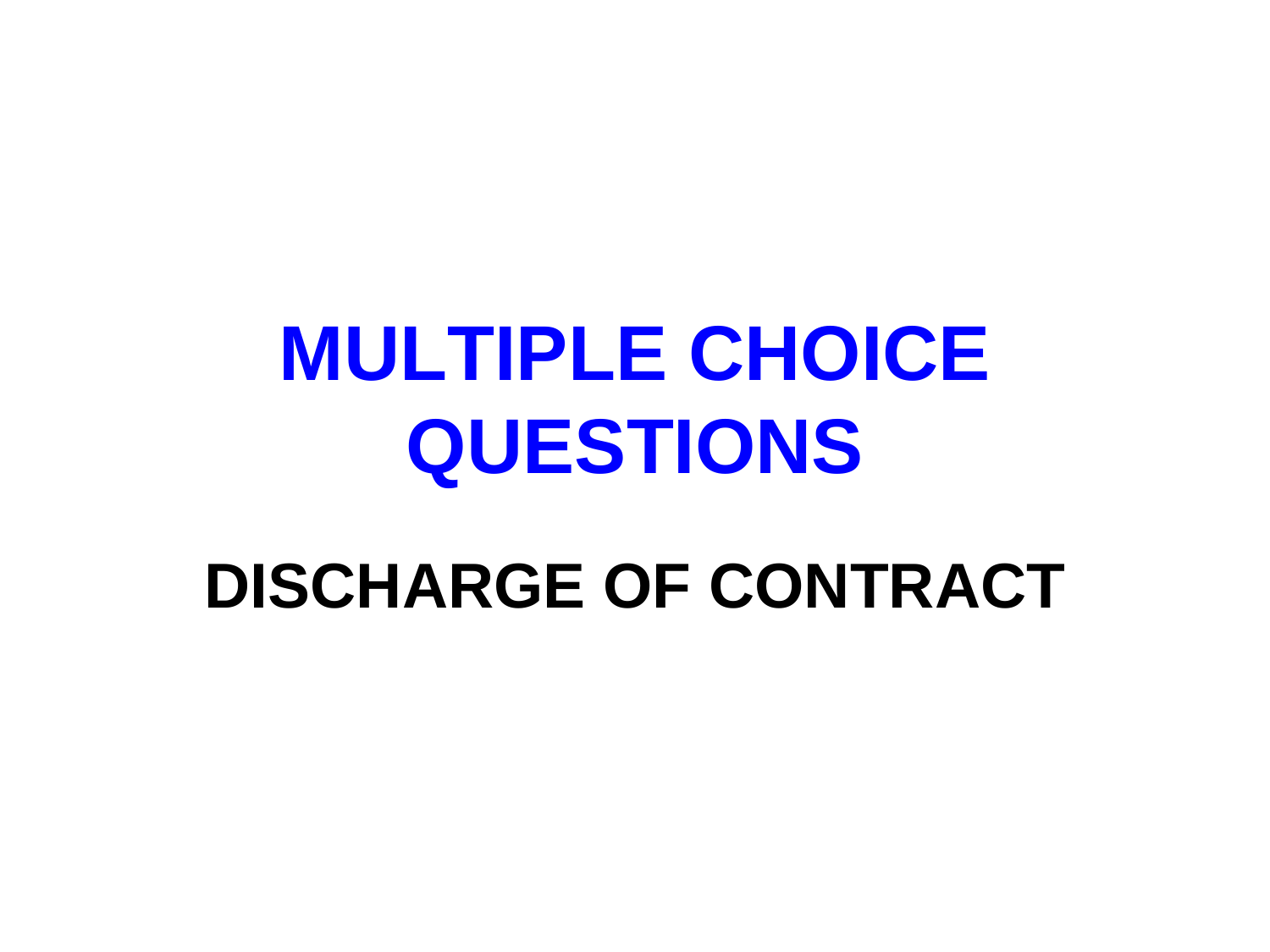#### **DISCHARGE OF CONTRACT**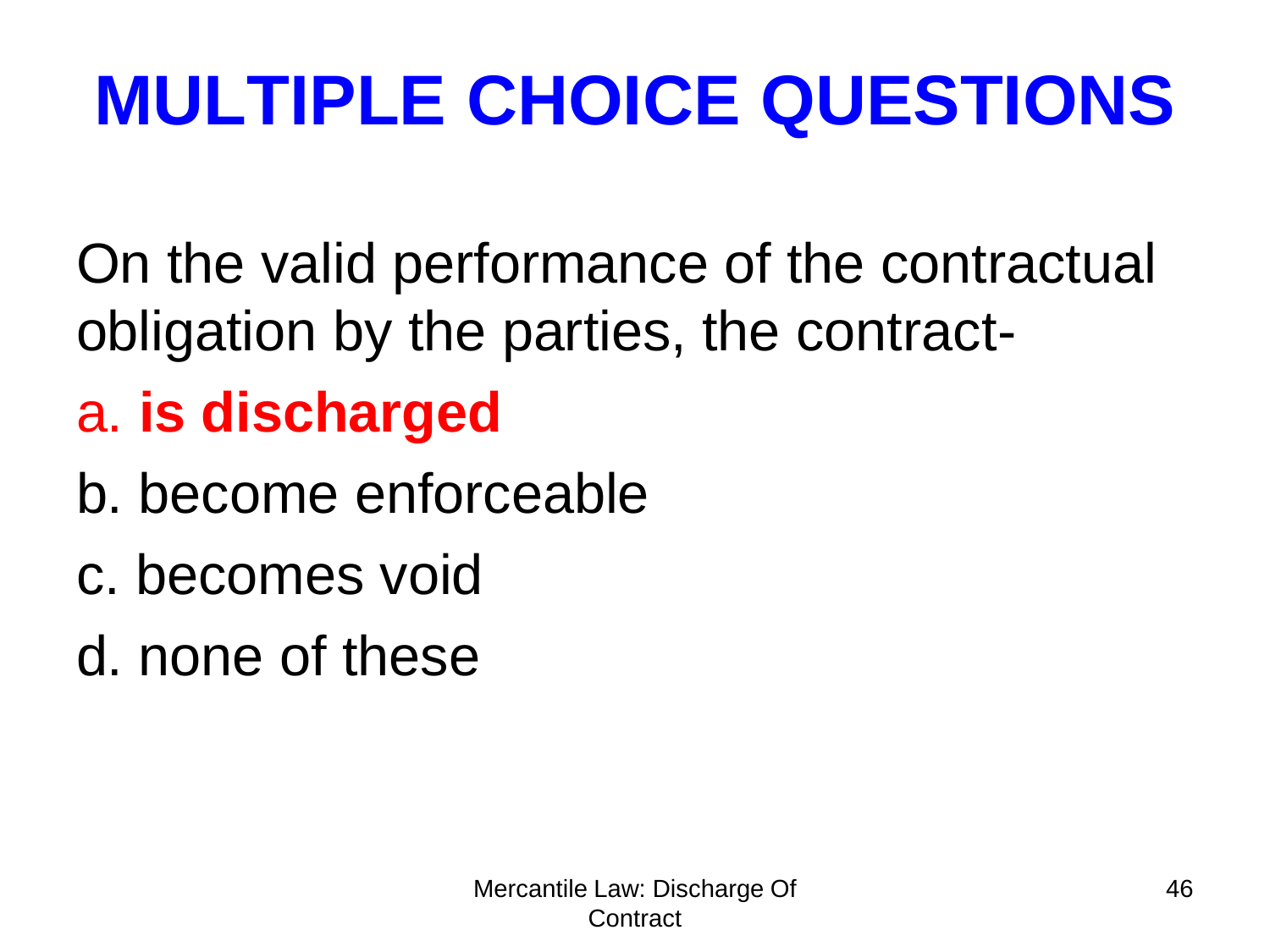On the valid performance of the contractual obligation by the parties, the contract-

#### a. **is discharged**

- b. become enforceable
- c. becomes void

d. none of these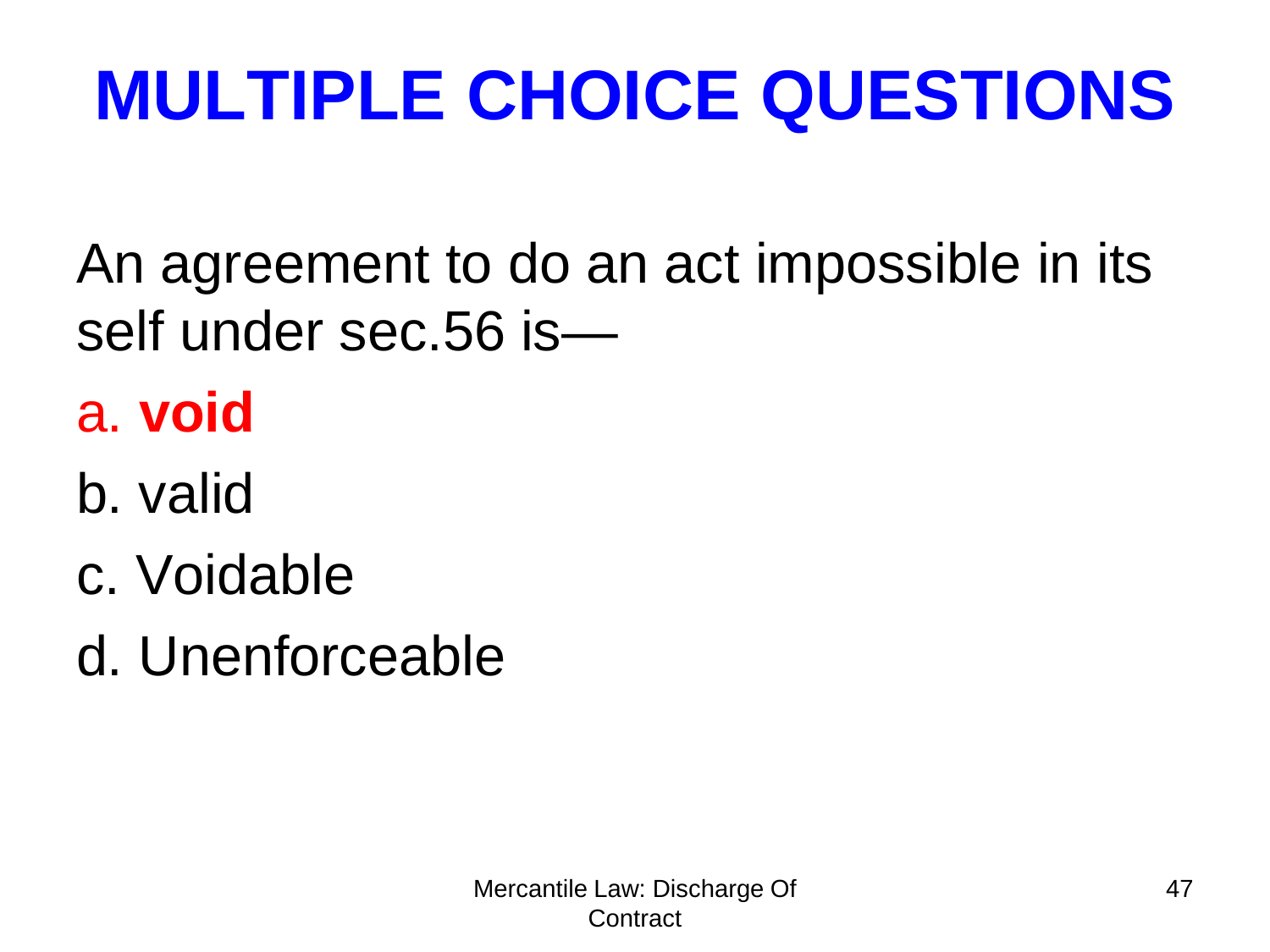An agreement to do an act impossible in its self under sec.56 is—

- a. **void**
- b. valid
- c. Voidable
- d. Unenforceable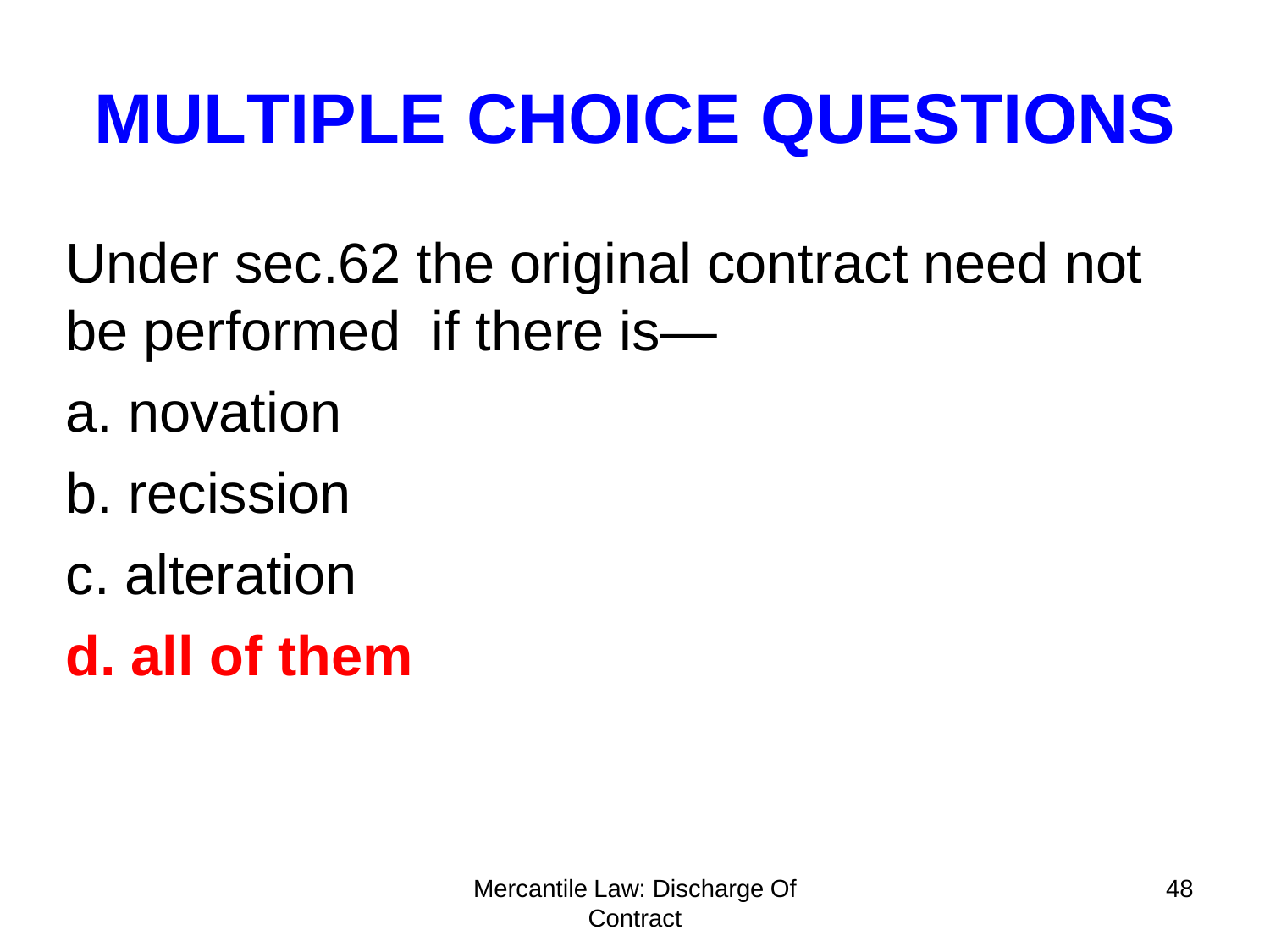Under sec.62 the original contract need not be performed if there is—

- a. novation
- b. recission
- c. alteration
- **d. all of them**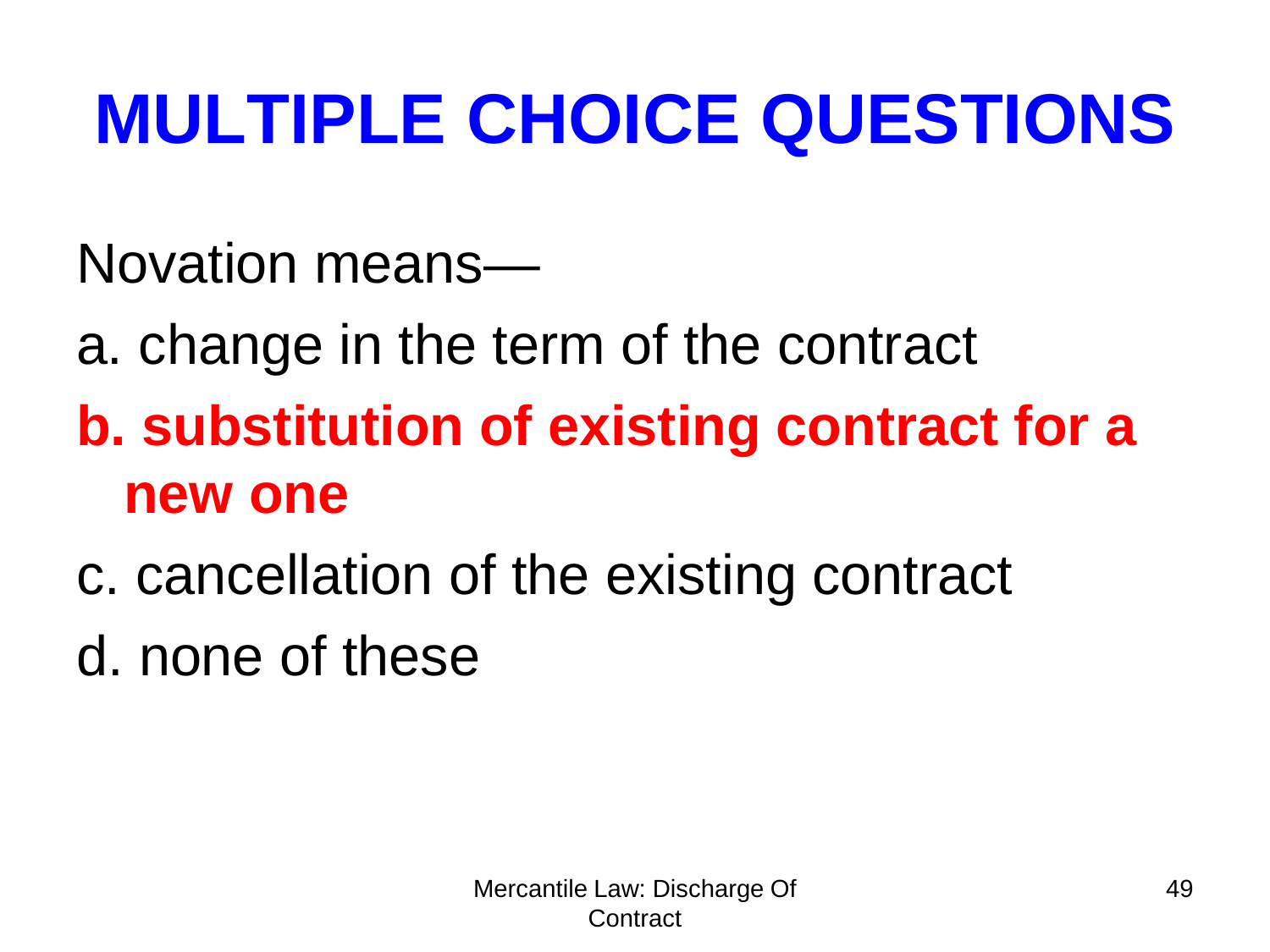Novation means—

- a. change in the term of the contract
- **b. substitution of existing contract for a new one**
- c. cancellation of the existing contract

d. none of these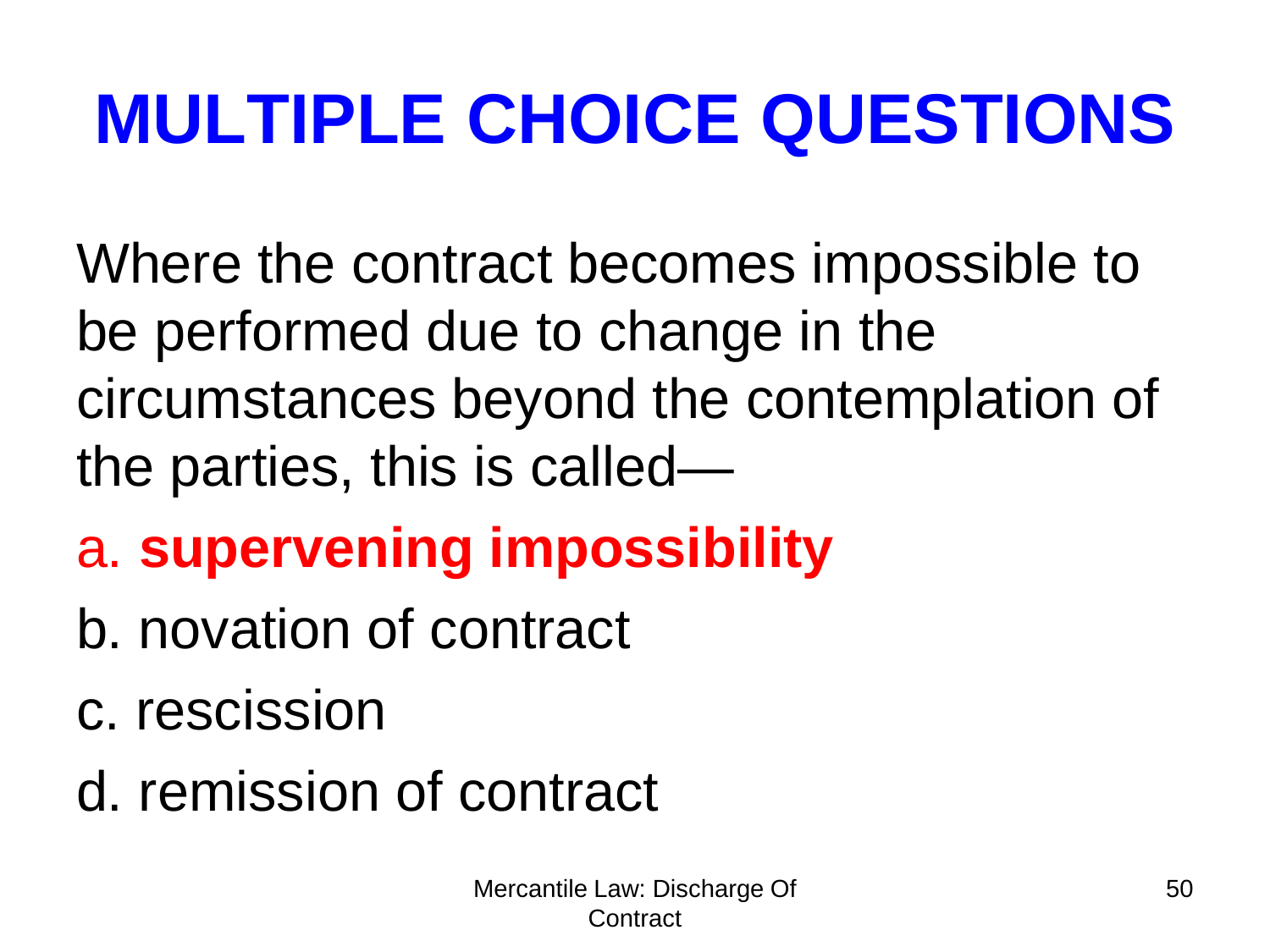Where the contract becomes impossible to be performed due to change in the circumstances beyond the contemplation of the parties, this is called—

- a. **supervening impossibility**
- b. novation of contract
- c. rescission
- d. remission of contract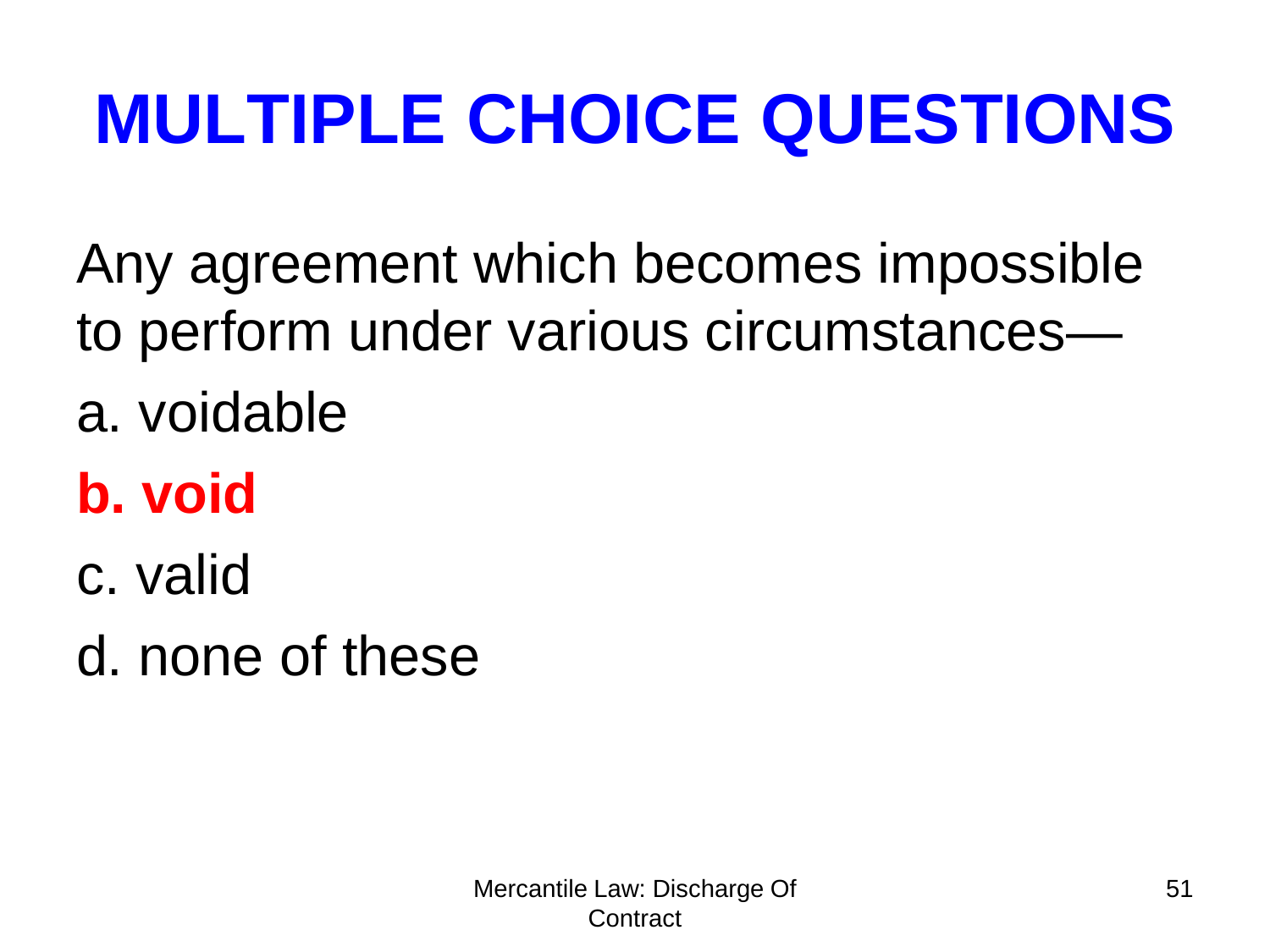Any agreement which becomes impossible to perform under various circumstances—

a. voidable

#### **b. void**

- c. valid
- d. none of these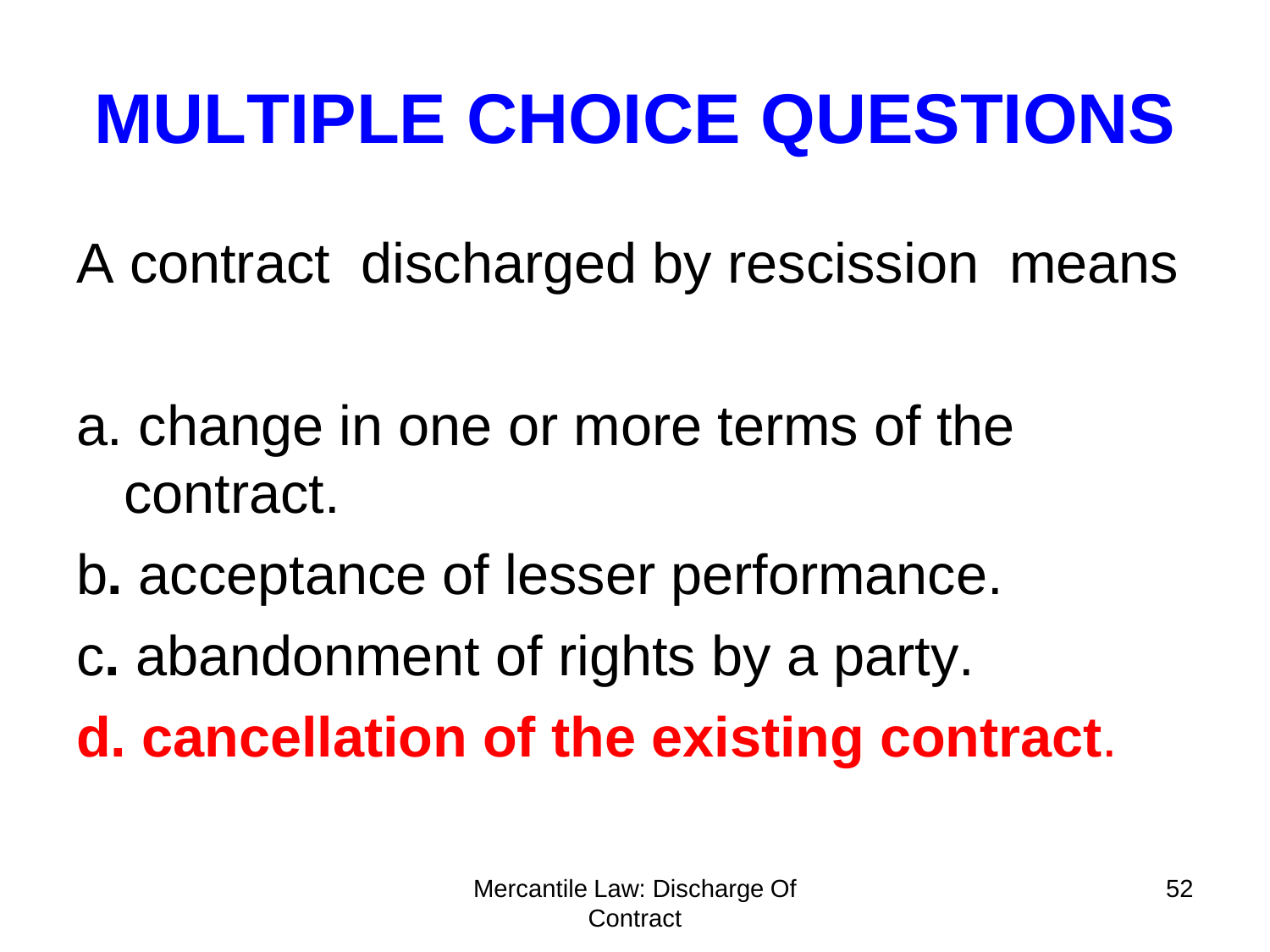A contract discharged by rescission means

- a. change in one or more terms of the contract.
- b**.** acceptance of lesser performance.
- c**.** abandonment of rights by a party.

**d. cancellation of the existing contract**.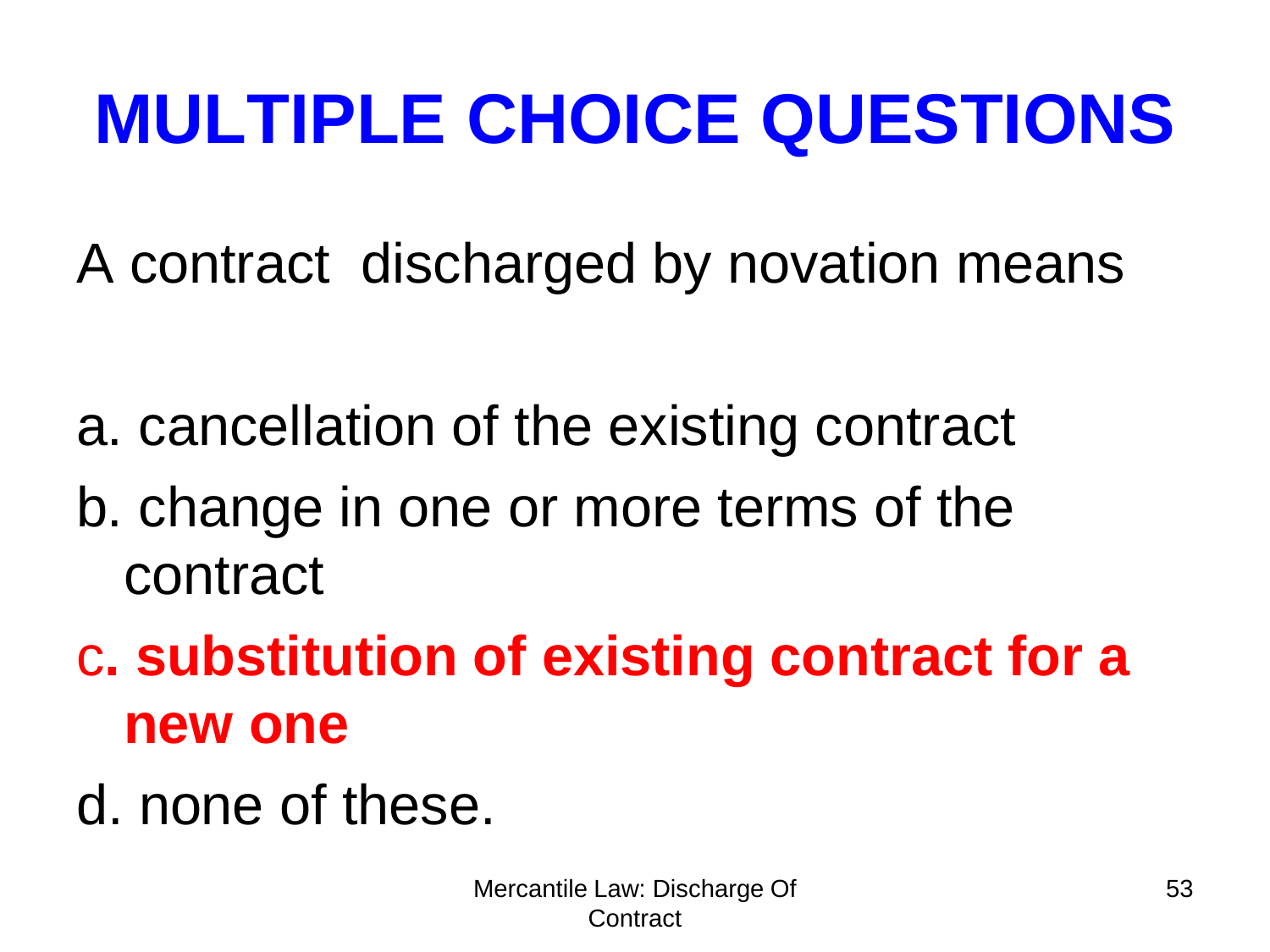A contract discharged by novation means

- a. cancellation of the existing contract
- b. change in one or more terms of the contract
- c**. substitution of existing contract for a new one**
- d. none of these.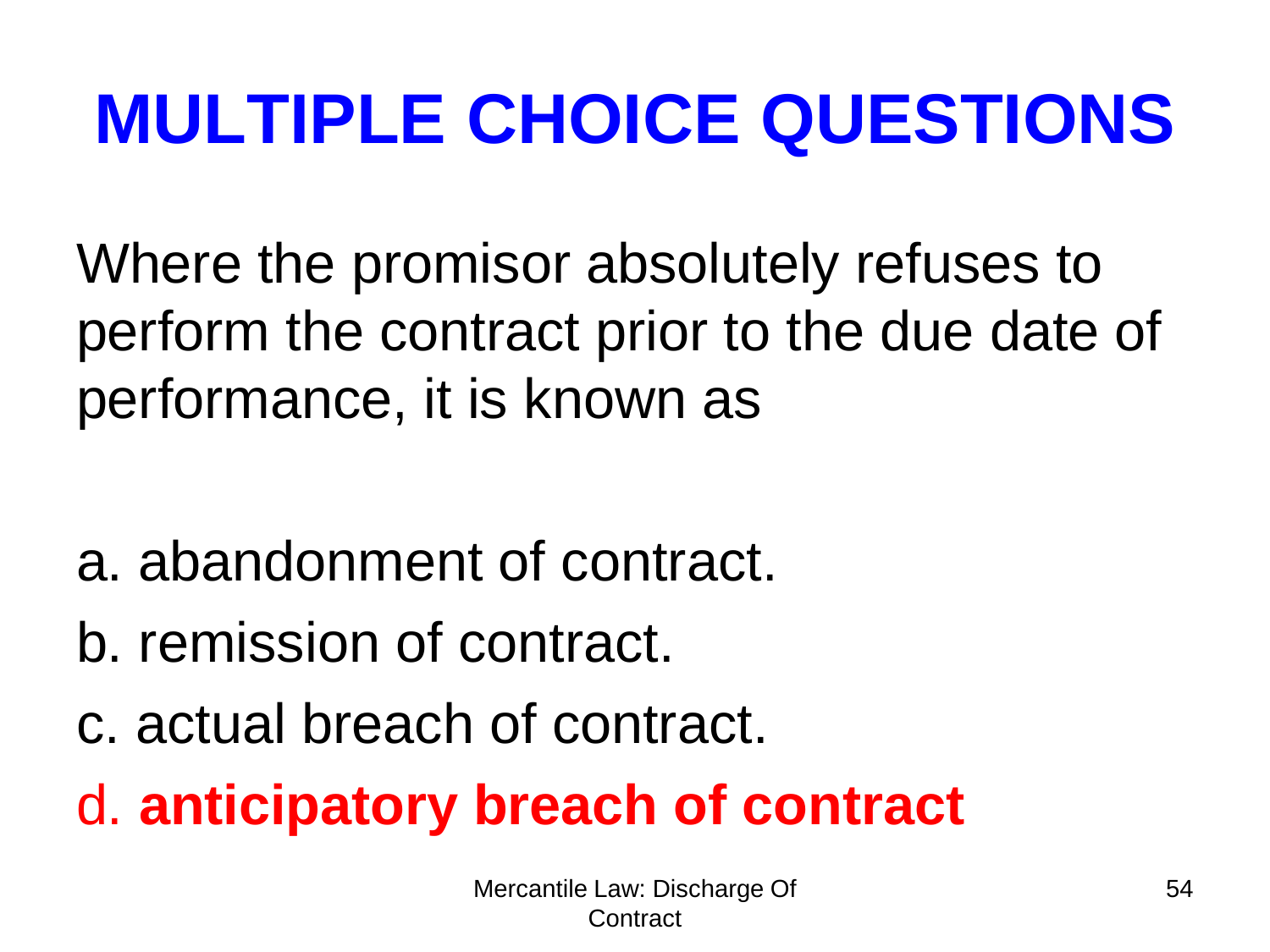Where the promisor absolutely refuses to perform the contract prior to the due date of performance, it is known as

- a. abandonment of contract.
- b. remission of contract.
- c. actual breach of contract.

d. **anticipatory breach of contract**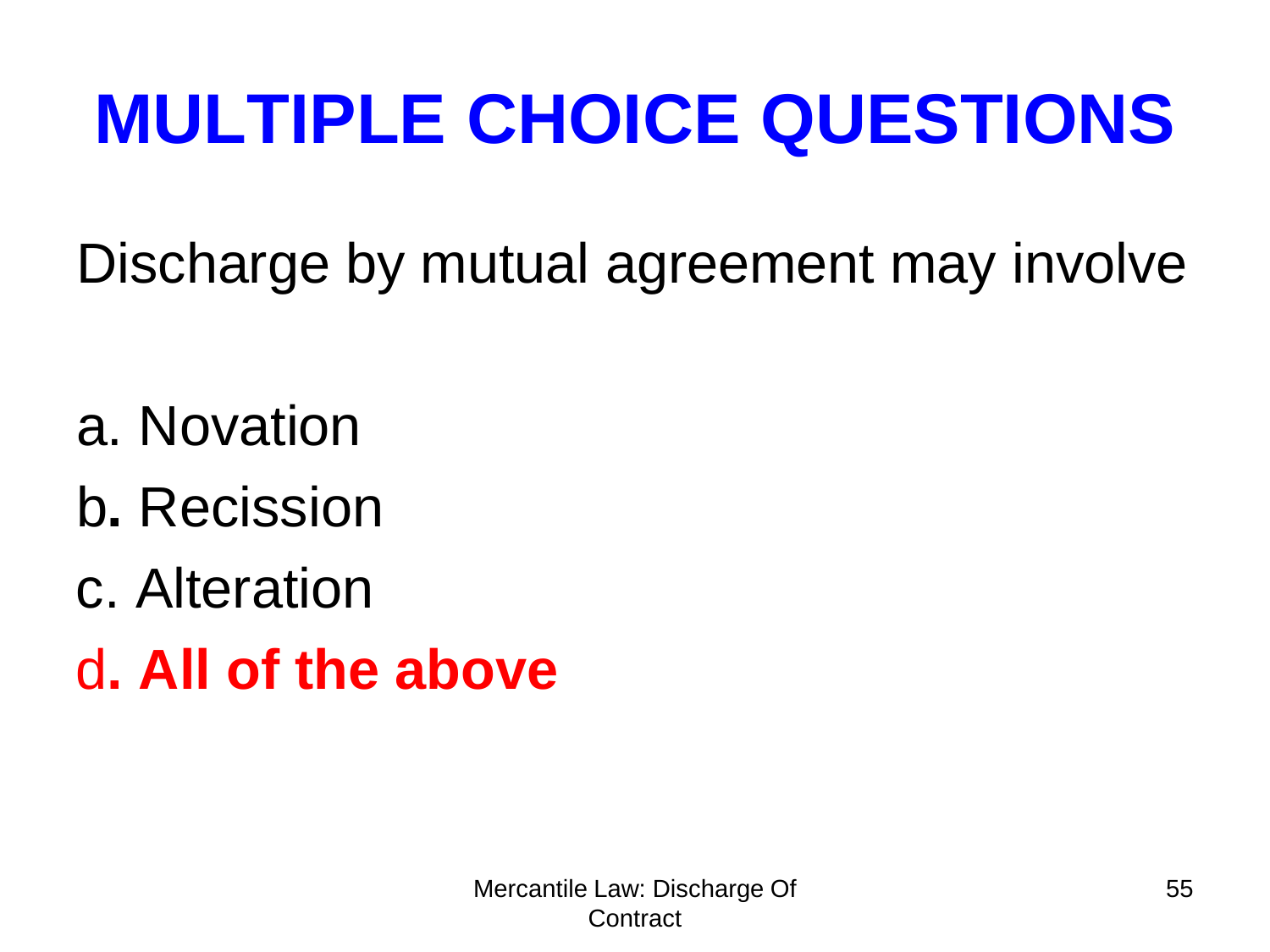Discharge by mutual agreement may involve

- a. Novation
- b**.** Recission
- c. Alteration
- d**. All of the above**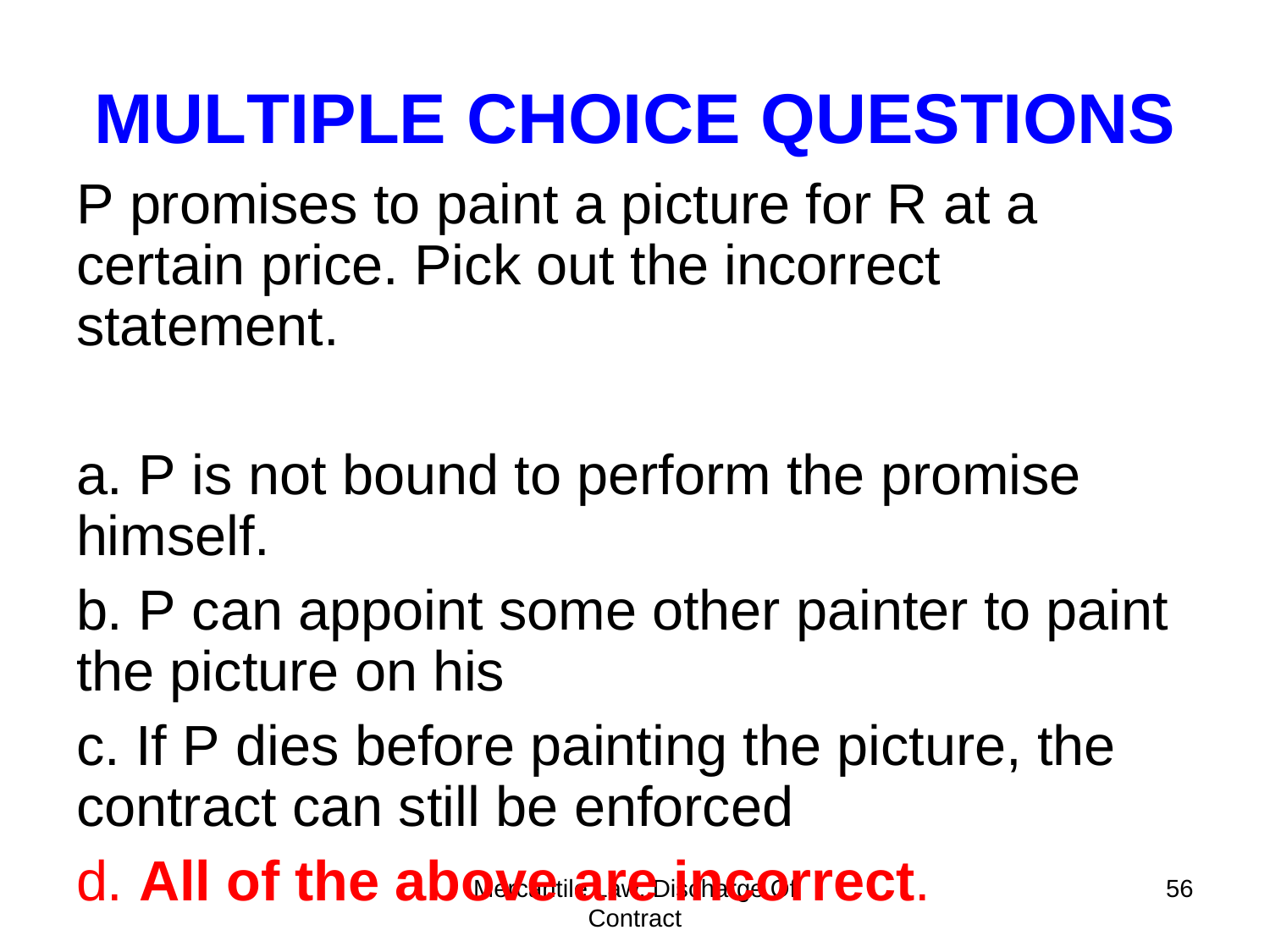P promises to paint a picture for R at a certain price. Pick out the incorrect statement.

a. P is not bound to perform the promise himself.

b. P can appoint some other painter to paint the picture on his

c. If P dies before painting the picture, the contract can still be enforced

#### d. All of the above are incorrect. Contract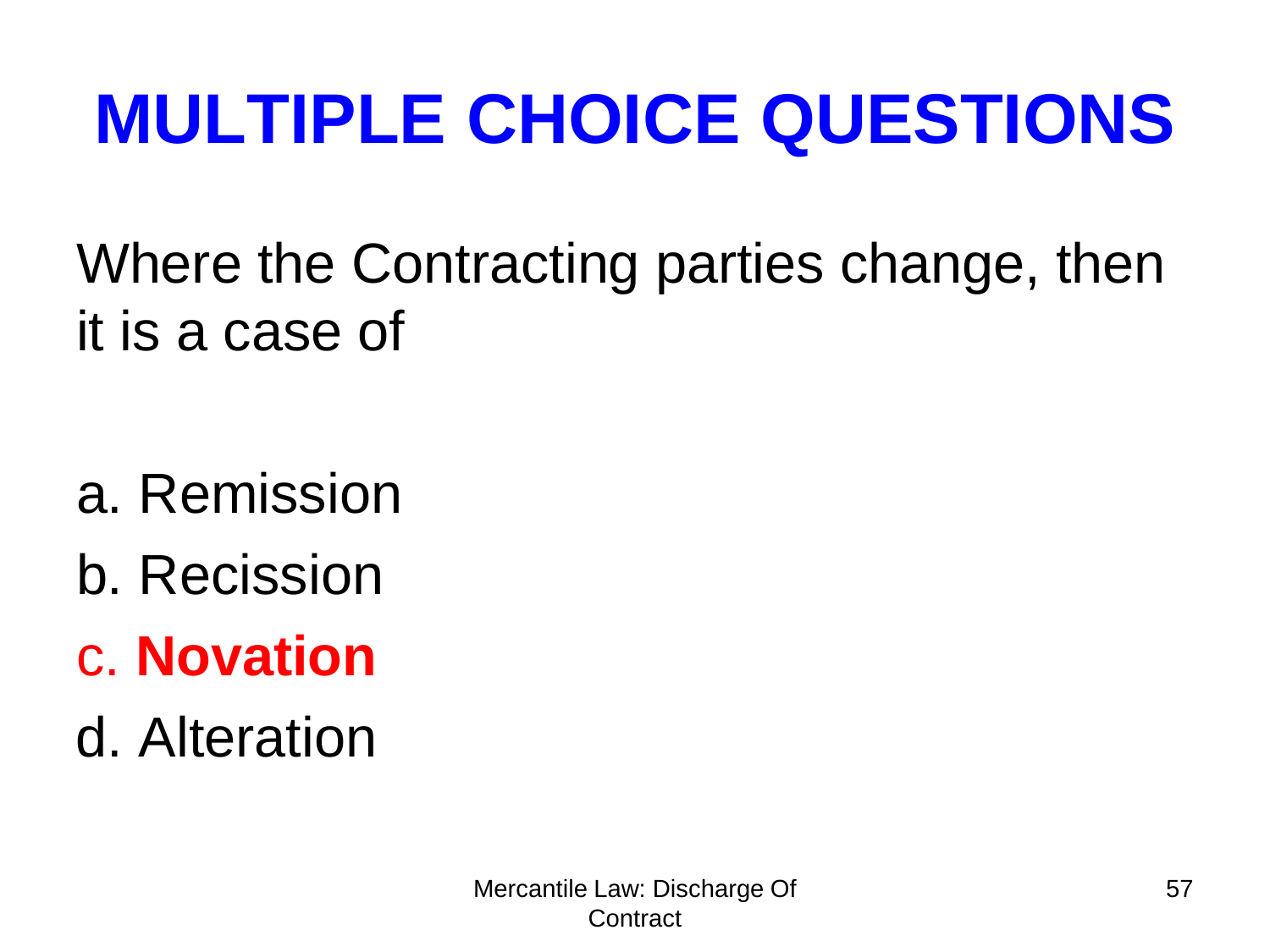Where the Contracting parties change, then it is a case of

- a. Remission
- b. Recission
- c. **Novation**
- d. Alteration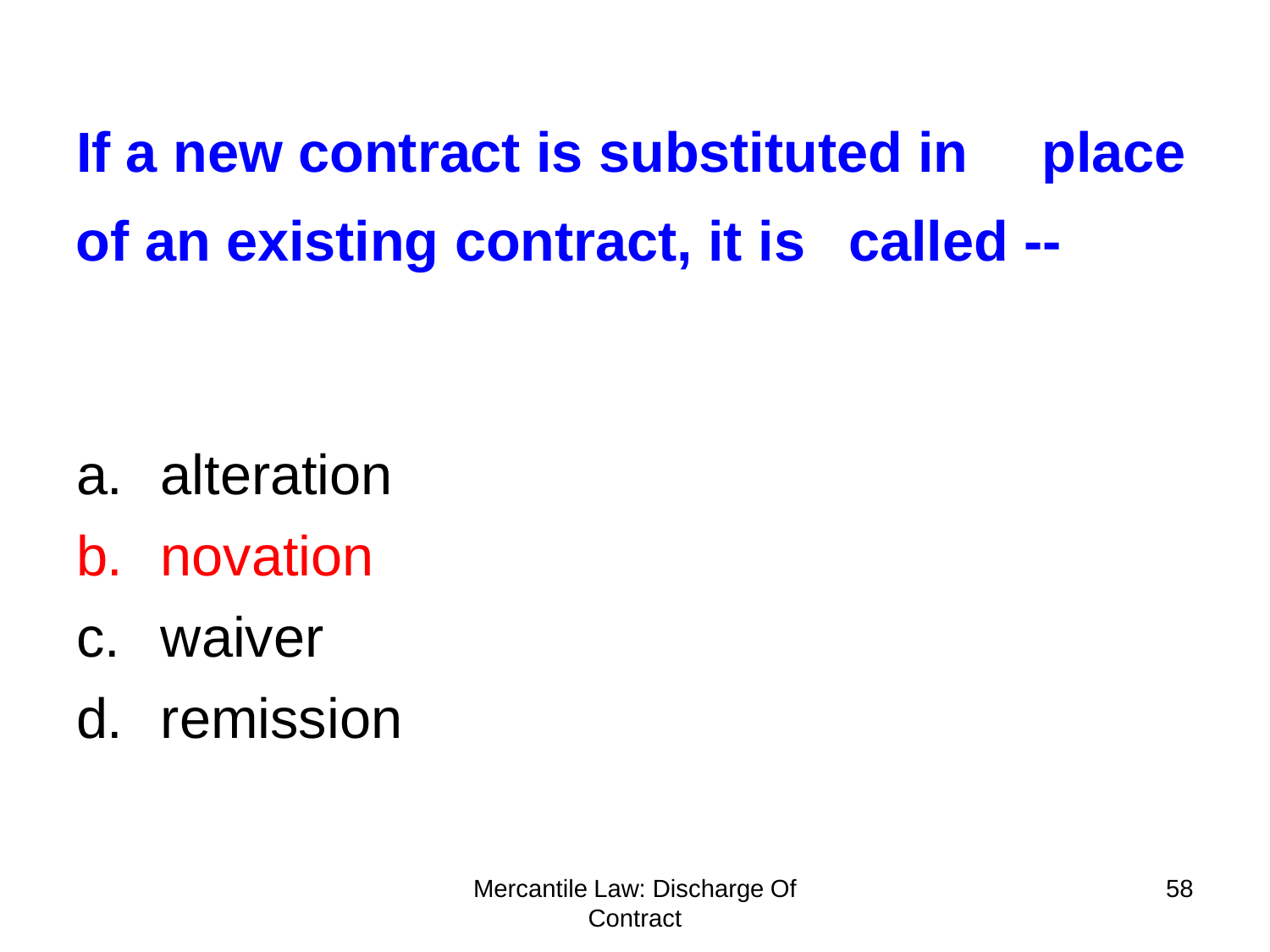**If a new contract is substituted in place of an existing contract, it is called --**

- a. alteration
- b. novation
- c. waiver
- d. remission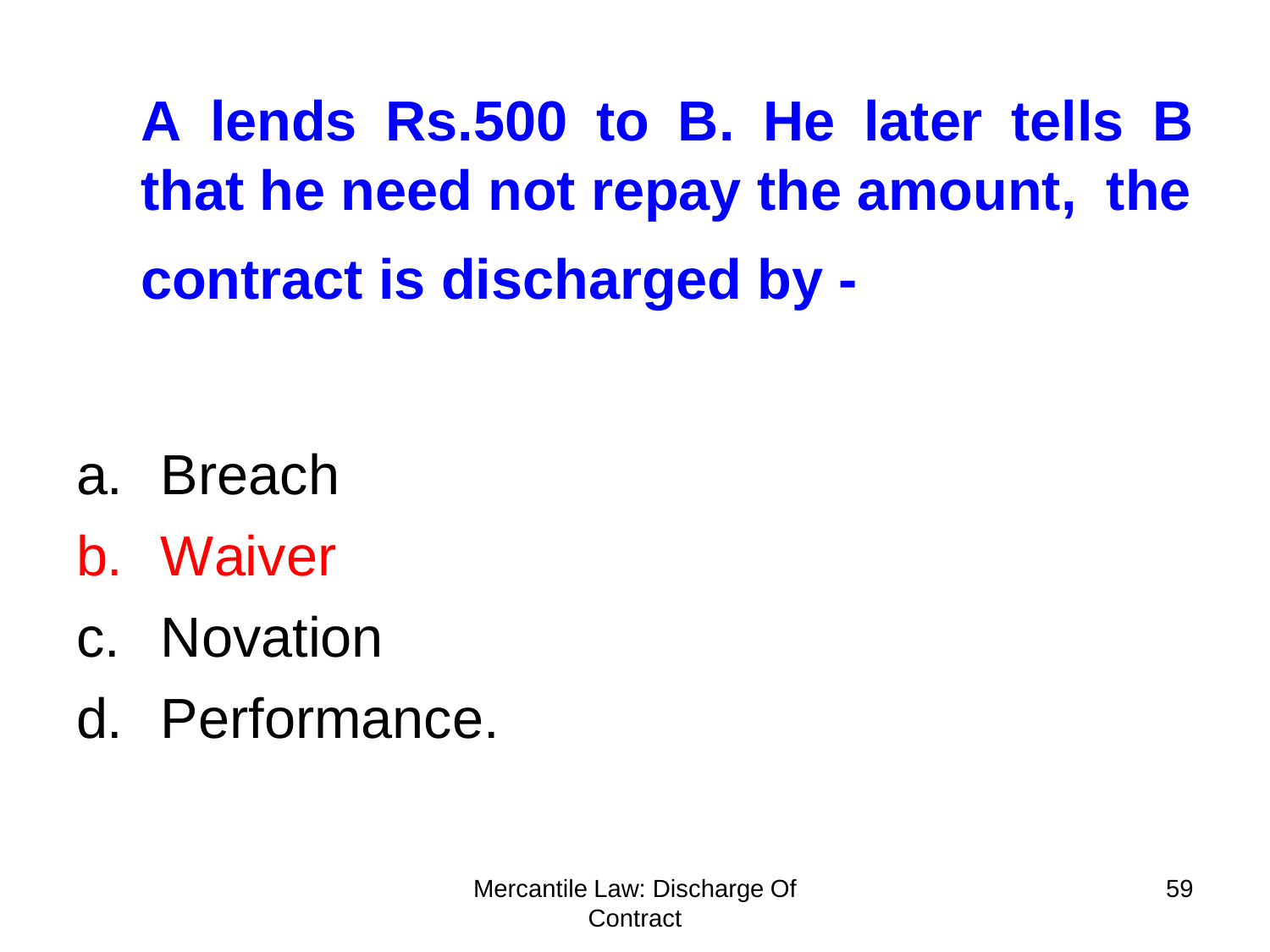**A lends Rs.500 to B. He later tells B that he need not repay the amount, the contract is discharged by -**

- a. Breach
- b. Waiver
- c. Novation
- d. Performance.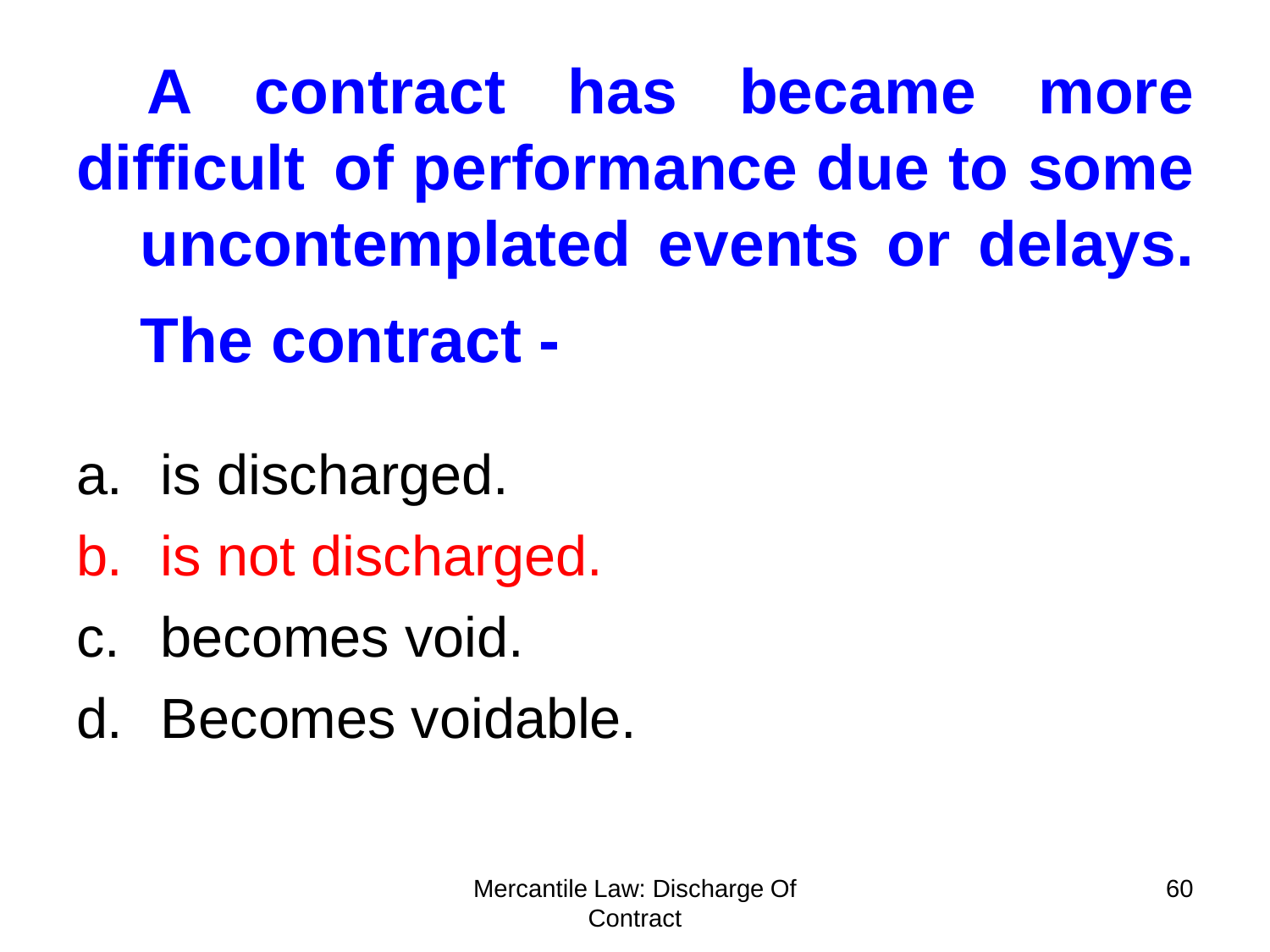**A contract has became more difficult of performance due to some uncontemplated events or delays. The contract -**

- a. is discharged.
- b. is not discharged.
- c. becomes void.
- d. Becomes voidable.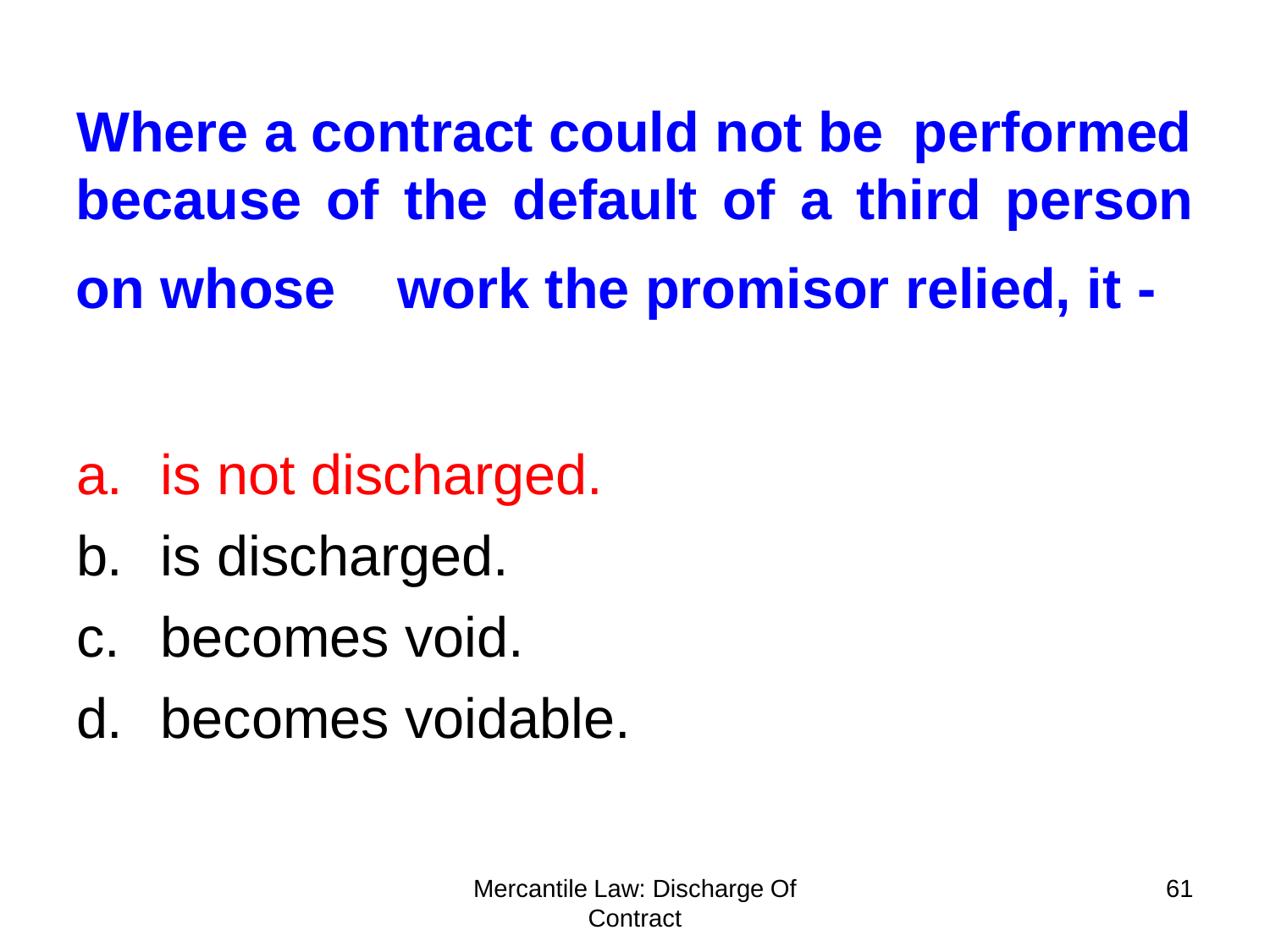**Where a contract could not be performed because of the default of a third person on whose work the promisor relied, it -**

- a. is not discharged.
- b. is discharged.
- c. becomes void.
- d. becomes voidable.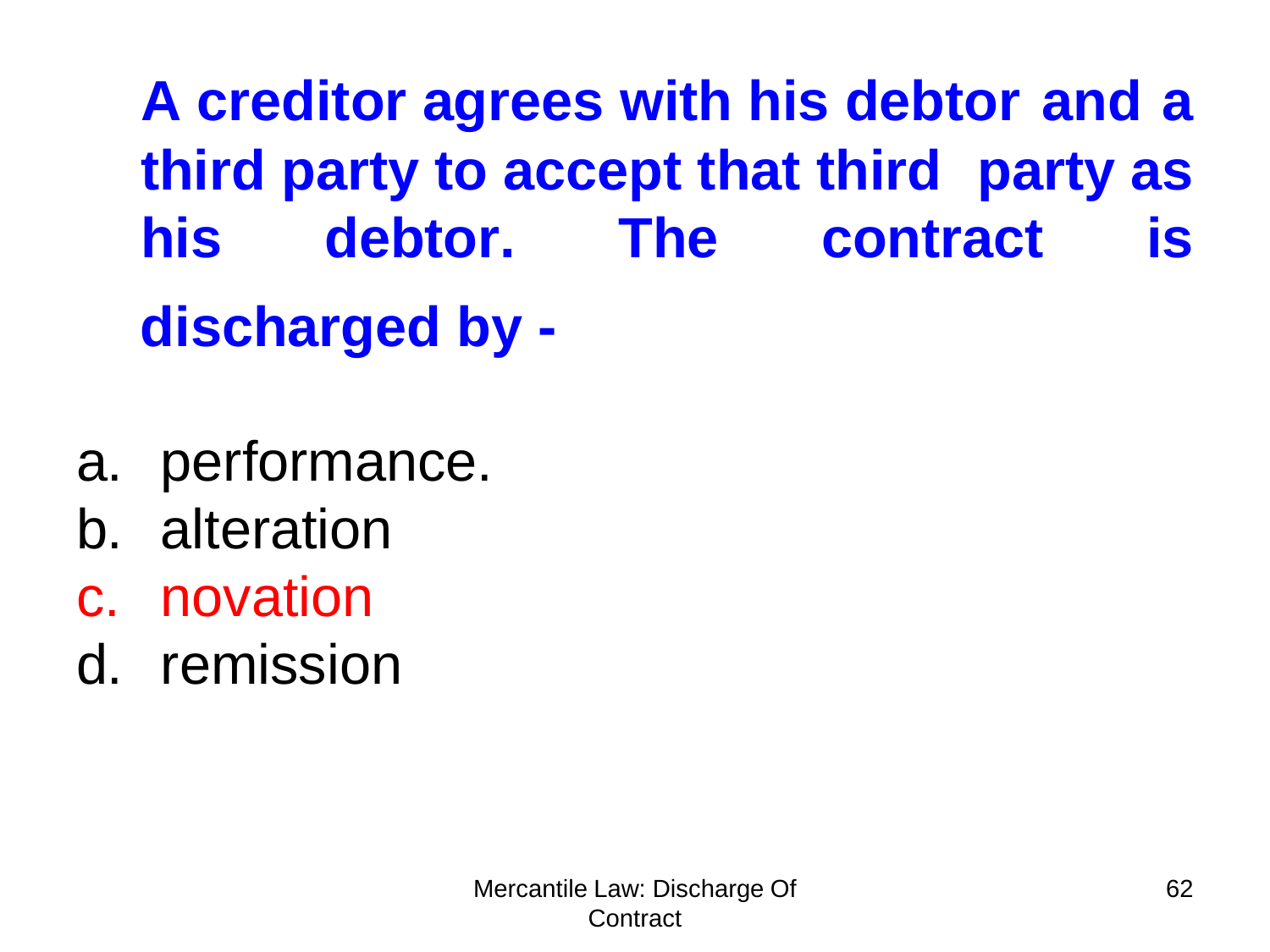**A creditor agrees with his debtor and a third party to accept that third party as his debtor. The contract is discharged by -**

- a. performance.
- b. alteration
- c. novation
- d. remission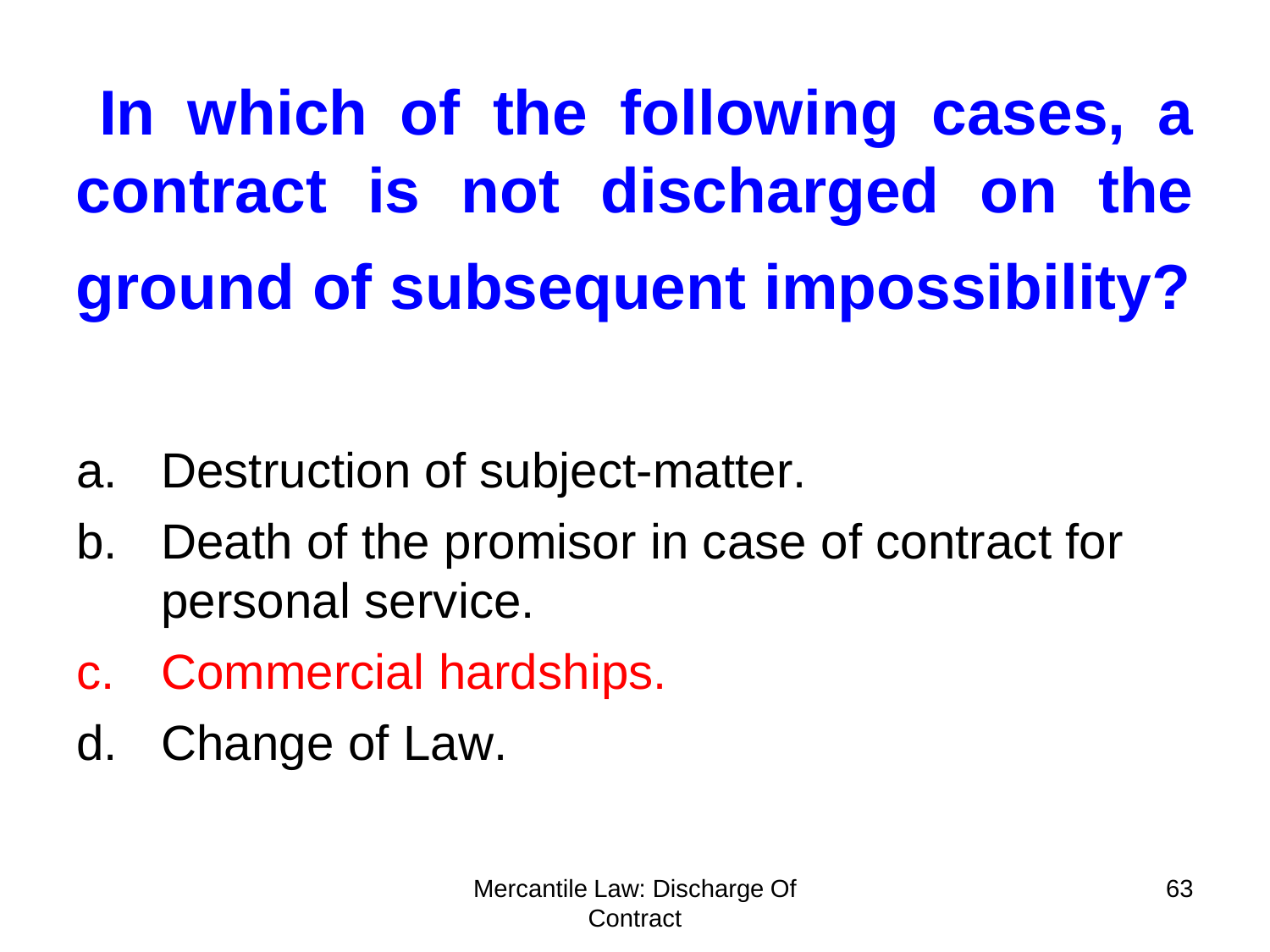**In which of the following cases, a contract is not discharged on the ground of subsequent impossibility?**

- a. Destruction of subject-matter.
- b. Death of the promisor in case of contract for personal service.
- c. Commercial hardships.
- d. Change of Law.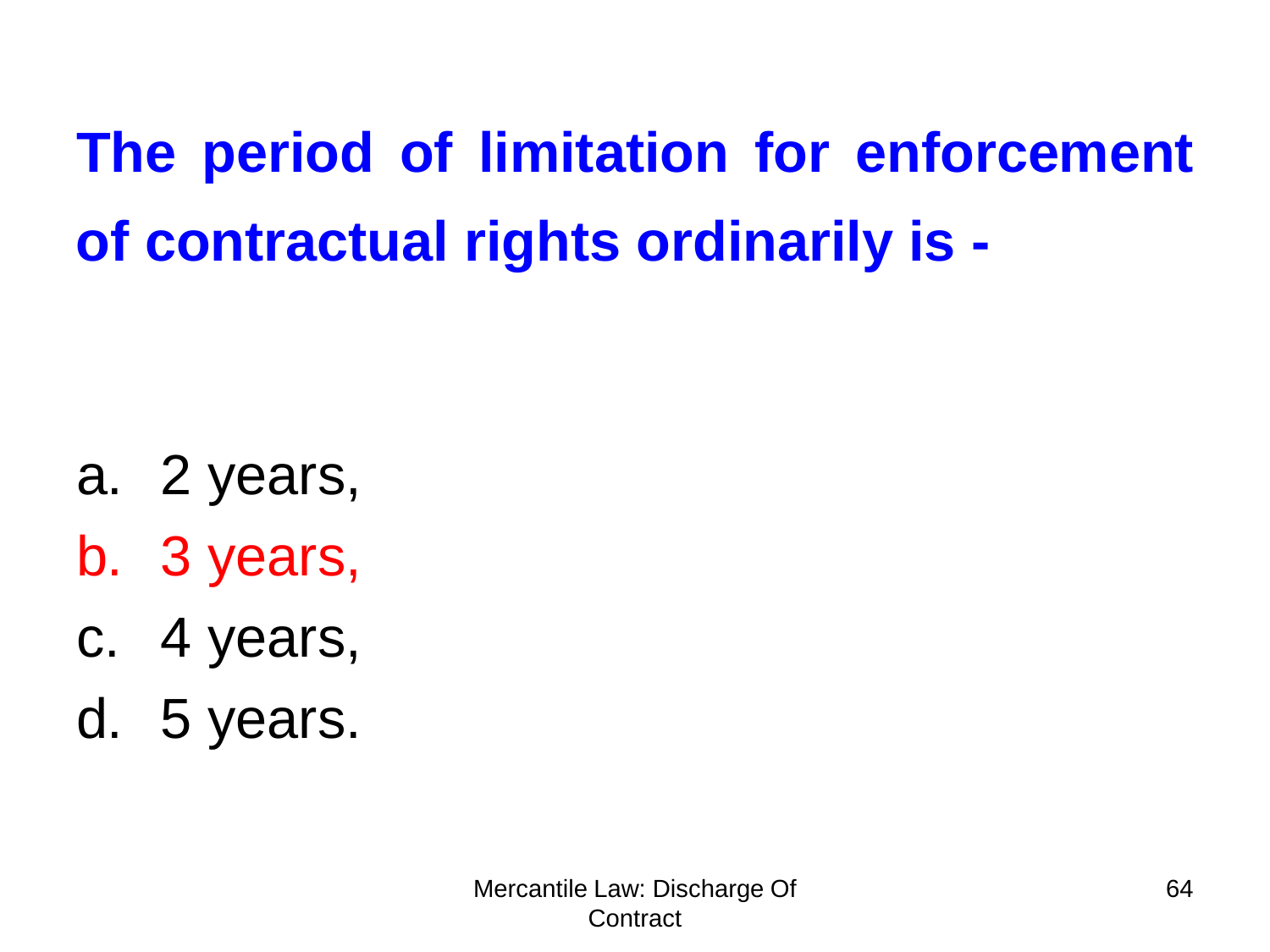**The period of limitation for enforcement of contractual rights ordinarily is -**

- a. 2 years,
- b. 3 years,
- c. 4 years,
- d. 5 years.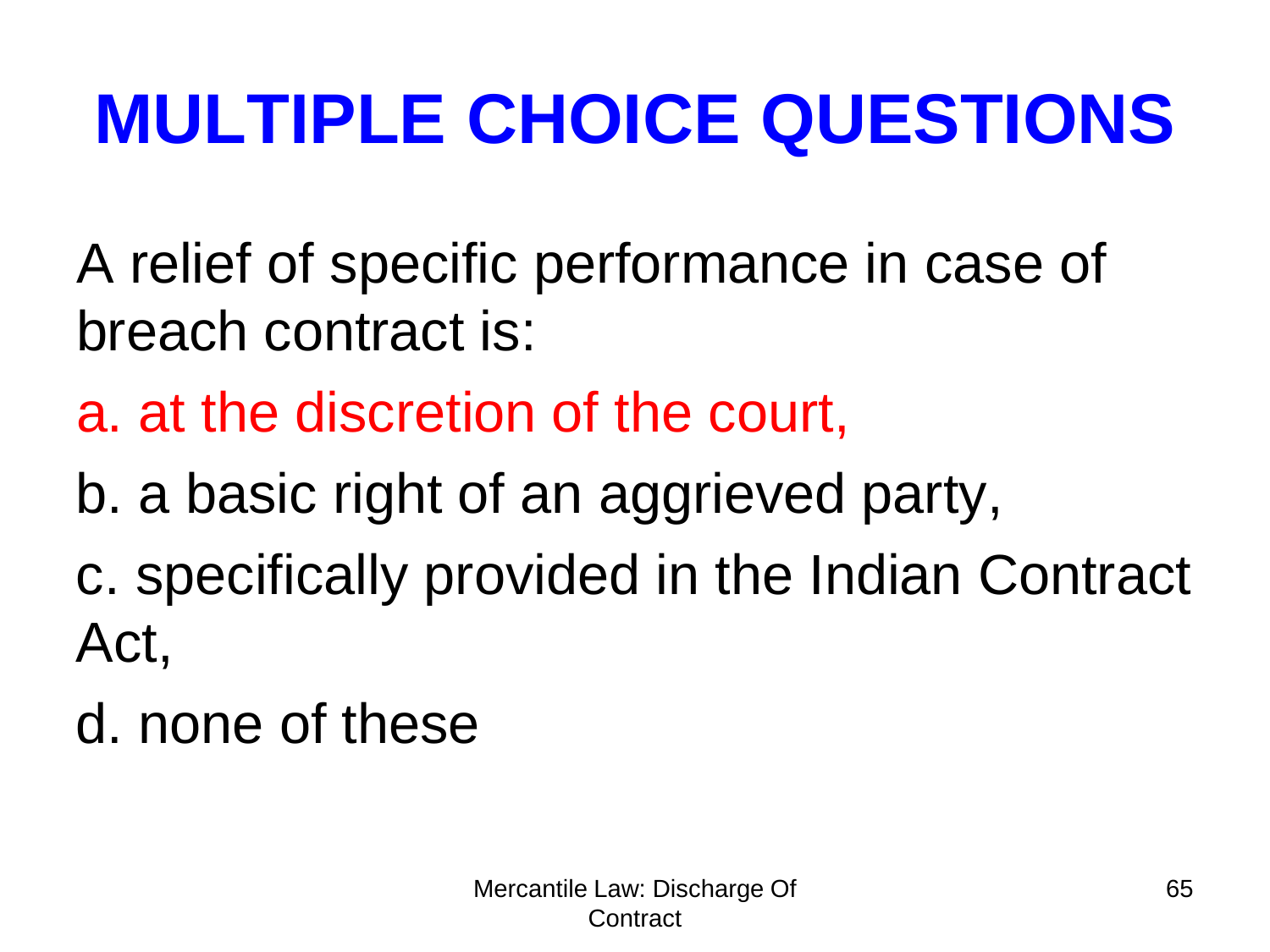- A relief of specific performance in case of breach contract is:
- a. at the discretion of the court,
- b. a basic right of an aggrieved party,
- c. specifically provided in the Indian Contract Act,
- d. none of these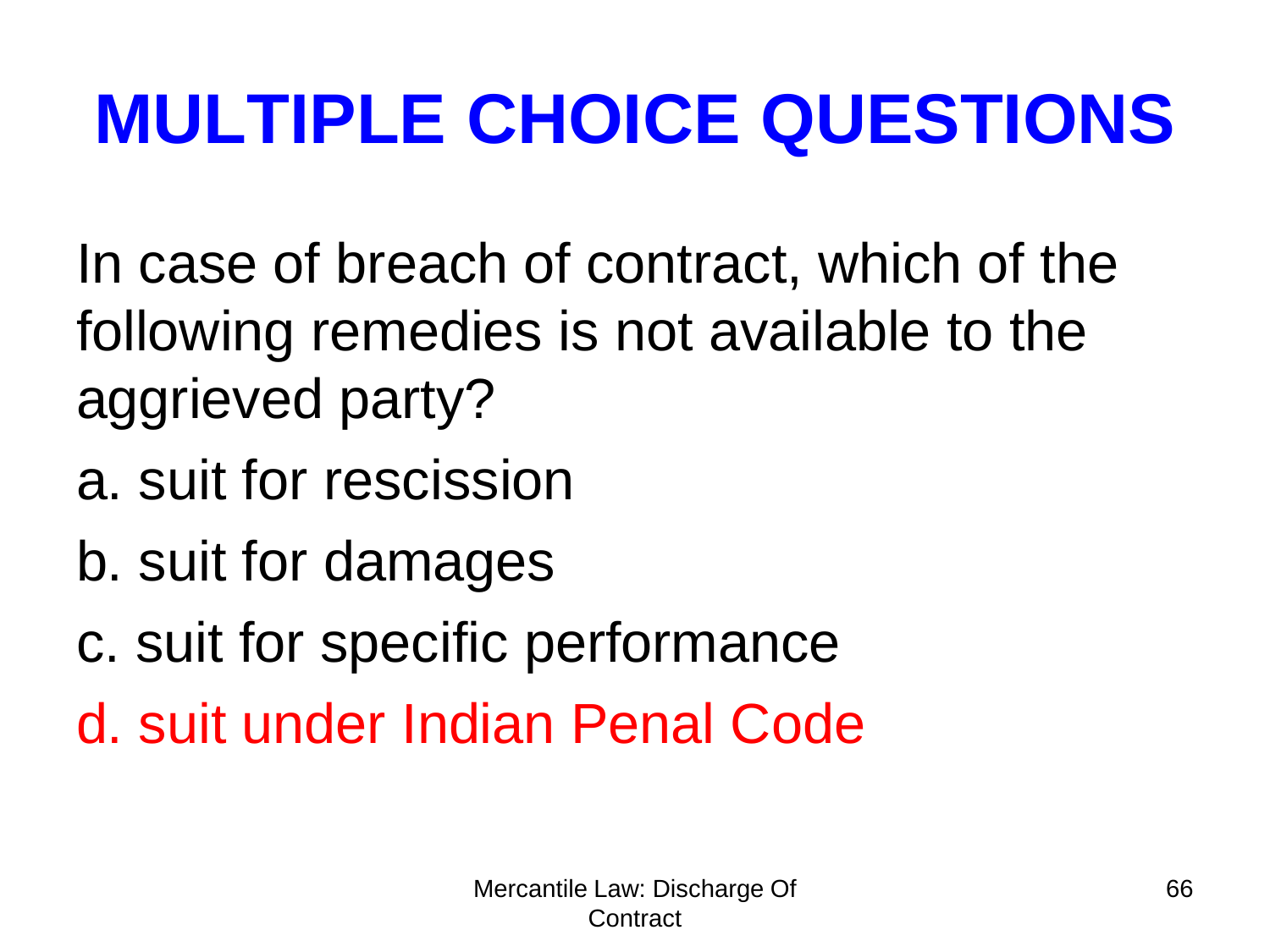In case of breach of contract, which of the following remedies is not available to the aggrieved party?

- a. suit for rescission
- b. suit for damages
- c. suit for specific performance
- d. suit under Indian Penal Code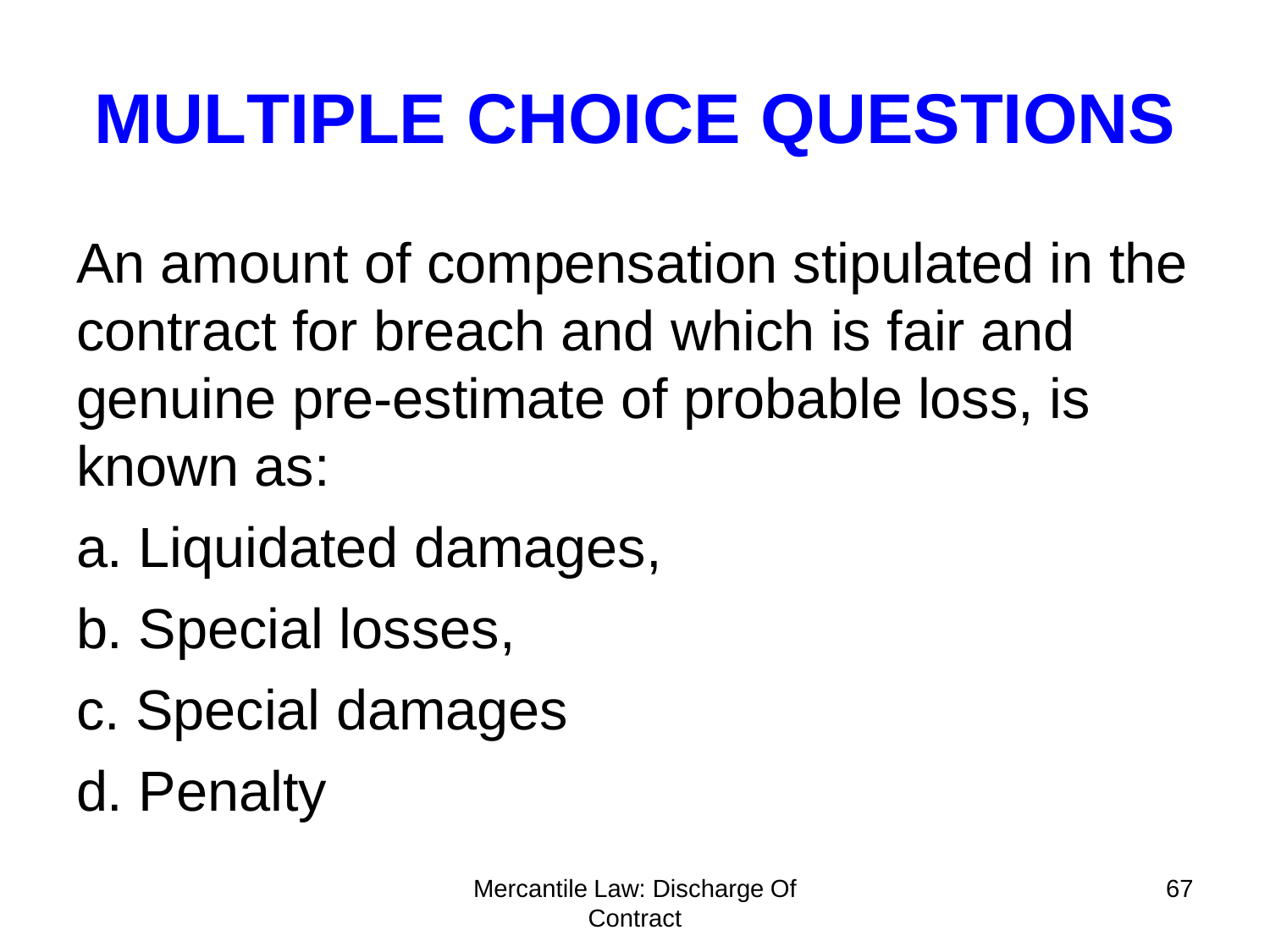An amount of compensation stipulated in the contract for breach and which is fair and genuine pre-estimate of probable loss, is known as:

- a. Liquidated damages,
- b. Special losses,
- c. Special damages
- d. Penalty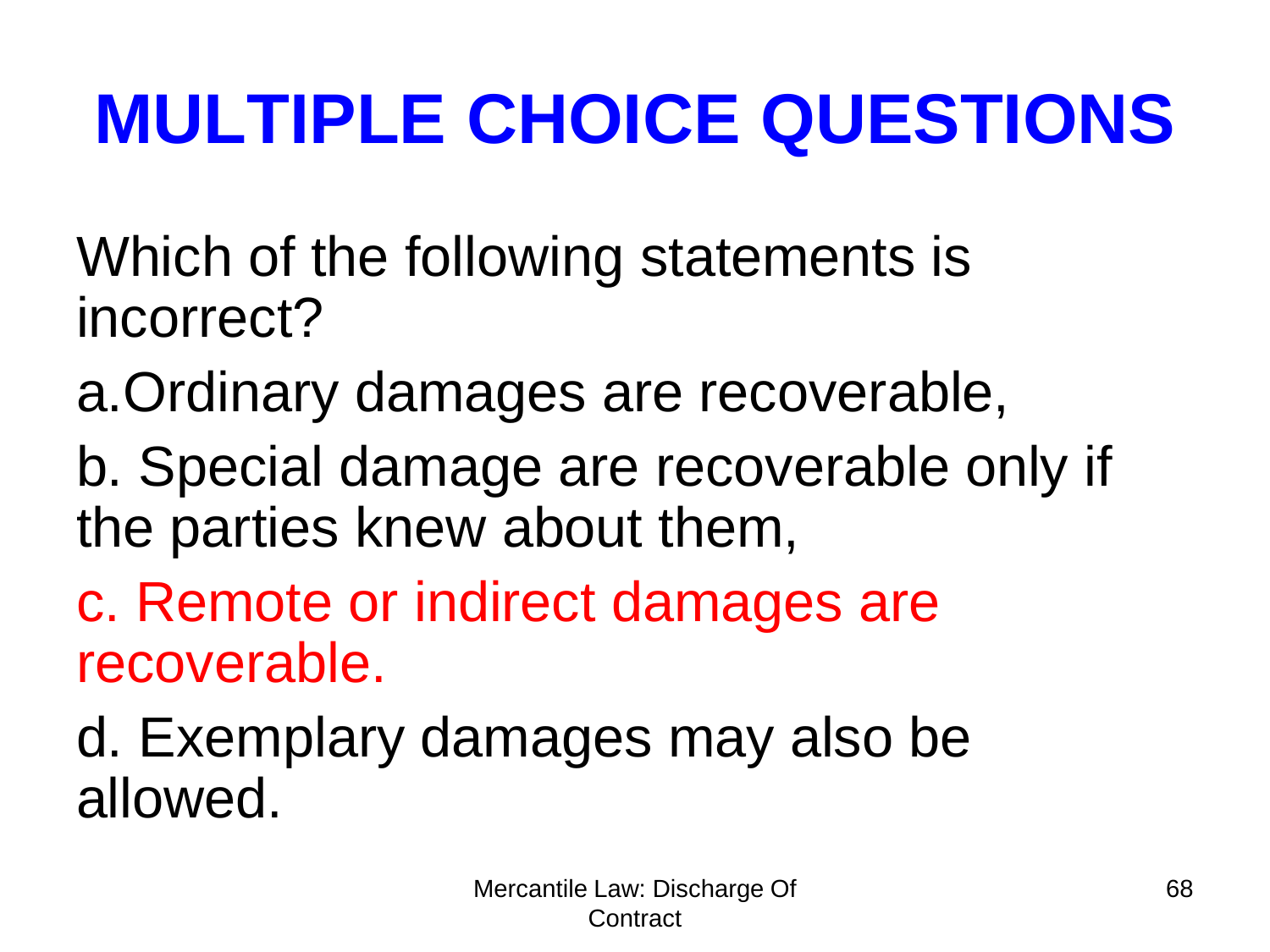Which of the following statements is incorrect?

a.Ordinary damages are recoverable,

b. Special damage are recoverable only if the parties knew about them,

c. Remote or indirect damages are recoverable.

d. Exemplary damages may also be allowed.